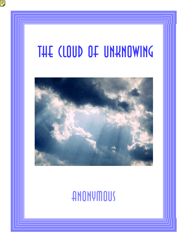# The Cloud of Unknowing

 $\overline{\Xi}$ 



## **ANONYMOUS**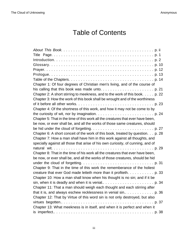### Table of Contents

| Chapter 1: Of four degrees of Christian men's living, and of the course of      |
|---------------------------------------------------------------------------------|
|                                                                                 |
| Chapter 2: A short stirring to meekness, and to the work of this book. p. 22    |
| Chapter 3: How the work of this book shall be wrought and of the worthiness     |
|                                                                                 |
| Chapter 4: Of the shortness of this work, and how it may not be come to by      |
|                                                                                 |
| Chapter 5: That in the time of this work all the creatures that ever have been, |
| be now, or ever shall be, and all the works of those same creatures, should     |
|                                                                                 |
| Chapter 6: A short conceit of the work of this book, treated by question. p. 28 |
| Chapter 7: How a man shall have him in this work against all thoughts, and      |
| specially against all those that arise of his own curiosity, of cunning, and of |
|                                                                                 |
| Chapter 8: That in the time of his work all the creatures that ever have been,  |
| be now, or ever shall be, and all the works of those creatures, should be hid   |
|                                                                                 |
| Chapter 9: That in the time of this work the rememberance of the holiest        |
| creature that ever God made letteth more than it profiteth. p. 33               |
| Chapter 10: How a man shall know when his thought is no sin; and if it be       |
|                                                                                 |
| Chapter 11: That a man should weigh each thought and each stirring after        |
|                                                                                 |
| Chapter 12: That by Virtue of this word sin is not only destroyed, but also     |
|                                                                                 |
| Chapter 13: What meekness is in itself, and when it is perfect and when it      |
|                                                                                 |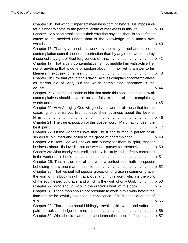| Chapter 14: That without imperfect meekness coming before, it is impossible              |
|------------------------------------------------------------------------------------------|
| for a sinner to come to the perfect Virtue of meekness in this life. $\dots \dots$ p. 39 |
| Chapter 15: A short proof against their error that say, that there is no perfecter       |
| cause to be meeked under, than is the knowledge of a man's own                           |
|                                                                                          |
| Chapter 16: That by virtue of this work a sinner truly turned and called to              |
| contemplation cometh sooner to perfection than by any other work; and by                 |
|                                                                                          |
| Chapter 17: That a very contemplative list not meddle him with active life,              |
| nor of anything that is done or spoken about him, nor yet to answer to his               |
|                                                                                          |
| Chapter 18: How that yet unto this day all actives complain of contemplatives            |
| as Martha did of Mary. Of the which complaining ignorance is the                         |
|                                                                                          |
| Chapter 19: A short excusation of him that made this book, teaching how all              |
| contemplatives should have all actives fully excused of their complaining                |
|                                                                                          |
| Chapter 20: How Almighty God will goodly answer for all those that for the               |
| excusing of themselves list not leave their business about the love of                   |
|                                                                                          |
| Chapter 21: The true exposition of this gospel word, 'Mary hath chosen the               |
|                                                                                          |
| Chapter 22: Of the wonderful love that Christ had to man in person of all                |
|                                                                                          |
| Chapter 23: How God will answer and purvey for them in spirit, that for                  |
| business about His love list not answer nor purvey for themselves. p. 50                 |
| Chapter 24: What charity is in itself, and how it is truly and perfectly contained       |
|                                                                                          |
| Chapter 25: That in the time of this work a perfect soul hath no special                 |
|                                                                                          |
| Chapter 26: That without full special grace, or long use in common grace,                |
| the work of this book is right travailous; and in this work, which is the work           |
|                                                                                          |
| Chapter 27: Who should work in the gracious work of this book. p. 54                     |
| Chapter 28: That a man should not presume to work in this work before the                |
| time that he be lawfully cleansed in conscience of all his special deeds of              |
|                                                                                          |
| Chapter 29: That a man should bidingly travail in this work, and suffer the              |
|                                                                                          |
| Chapter 30: Who should blame and condemn other men's defaults. p. 57                     |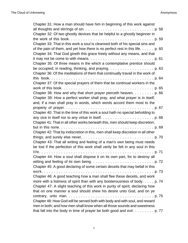| Chapter 31: How a man should have him in beginning of this work against                                     |
|-------------------------------------------------------------------------------------------------------------|
| all thoughts and stirrings of $sin. \ldots \ldots \ldots \ldots \ldots \ldots \ldots \ldots \ldots$ . p. 58 |
| Chapter 32: Of two ghostly devices that be helpful to a ghostly beginner in                                 |
|                                                                                                             |
| Chapter 33: That in this work a soul is cleansed both of his special sins and                               |
|                                                                                                             |
| Chapter 34: That God giveth this grace freely without any means, and that                                   |
|                                                                                                             |
| Chapter 35: Of three means in the which a contemplative prentice should                                     |
| be occupied; in reading, thinking, and praying. $\ldots \ldots \ldots \ldots \ldots$                        |
| Chapter 36: Of the meditations of them that continually travail in the work of                              |
|                                                                                                             |
| Chapter 37: Of the special prayers of them that be continual workers in the                                 |
|                                                                                                             |
| Chapter 38: How and why that short prayer pierceth heaven. p. 66                                            |
| Chapter 39: How a perfect worker shall pray, and what prayer is in itself;                                  |
| and, if a man shall pray in words, which words accord them most to the                                      |
|                                                                                                             |
| Chapter 40: That in the time of this work a soul hath no special beholding to                               |
|                                                                                                             |
| Chapter 41: That in all other works beneath this, men should keep discretion;                               |
|                                                                                                             |
| Chapter 42: That by indiscretion in this, men shall keep discretion in all other                            |
|                                                                                                             |
| Chapter 43: That all writing and feeling of a man's own being must needs                                    |
| be lost if the perfection of this work shall verily be felt in any soul in this                             |
|                                                                                                             |
| Chapter 44: How a soul shall dispose it on its own part, for to destroy all                                 |
|                                                                                                             |
| Chapter 45: A good declaring of some certain deceits that may befall in this                                |
|                                                                                                             |
| Chapter 46: A good teaching how a man shall flee these deceits, and work                                    |
| more with a listiness of spirit than with any boisterousness of body. $\dots$ . p. 74                       |
| Chapter 47: A slight teaching of this work in purity of spirit; declaring how                               |
| that on one manner a soul should shew his desire unto God, and on ye                                        |
|                                                                                                             |
| Chapter 48: How God will be served both with body and with soul, and reward                                 |
| men in both; and how men shall know when all those sounds and sweetness                                     |
|                                                                                                             |
|                                                                                                             |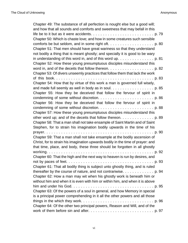| Chapter 49: The substance of all perfection is nought else but a good will;     |
|---------------------------------------------------------------------------------|
| and how that all sounds and comforts and sweetness that may befall in this      |
|                                                                                 |
| Chapter 50: Which is chaste love; and how in some creatures such sensible       |
|                                                                                 |
| Chapter 51: That men should have great wariness so that they understand         |
| not bodily a thing that is meant ghostly; and specially it is good to be wary   |
|                                                                                 |
| Chapter 52: How these young presumptuous disciples misunderstand this           |
|                                                                                 |
| Chapter 53: Of divers unseemly practices that follow them that lack the work    |
|                                                                                 |
| Chapter 54: How that by virtue of this work a man is governed full wisely,      |
|                                                                                 |
| Chapter 55: How they be deceived that follow the fervour of spirit in           |
|                                                                                 |
| Chapter 56: How they be deceived that follow the fervour of spirit in           |
|                                                                                 |
| Chapter 57: How these young presumptuous disciples misunderstand this           |
| other word up; and of the deceits that follow thereon. 9. 89                    |
| Chapter 58: That a man shall not take ensample of Saint Martin and of Saint     |
| Stephen, for to strain his imagination bodily upwards in the time of his        |
|                                                                                 |
| Chapter 59: That a man shall not take ensample at the bodily ascension of       |
| Christ, for to strain his imagination upwards bodily in the time of prayer: and |
| that time, place, and body, these three should be forgotten in all ghostly      |
|                                                                                 |
| Chapter 60: That the high and the next way to heaven is run by desires, and     |
|                                                                                 |
| Chapter 61: That all bodily thing is subject unto ghostly thing, and is ruled   |
|                                                                                 |
| Chapter 62: How a man may wit when his ghostly work is beneath him or           |
| without him and when it is even with him or within him, and when it is above    |
|                                                                                 |
| Chapter 63: Of the powers of a soul in general, and how Memory in special       |
| is a principal power comprehending in it all the other powers and all those     |
|                                                                                 |
| Chapter 64: Of the other two principal powers, Reason and Will, and of the      |
|                                                                                 |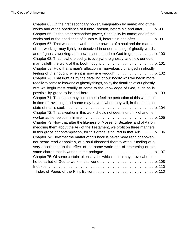| Chapter 65: Of the first secondary power, Imagination by name; and of the                   |
|---------------------------------------------------------------------------------------------|
| works and of the obedience of it unto Reason, before sin and after. p. 98                   |
| Chapter 66: Of the other secondary power, Sensuality by name; and of the                    |
| works and of the obedience of it unto Will, before sin and after. p. 99                     |
| Chapter 67: That whoso knoweth not the powers of a soul and the manner                      |
| of her working, may lightly be deceived in understanding of ghostly words                   |
| and of ghostly working; and how a soul is made a God in grace. $\dots \dots$ p. 100         |
| Chapter 68: That nowhere bodily, is everywhere ghostly; and how our outer                   |
|                                                                                             |
| Chapter 69: How that a man's affection is marvelously changed in ghostly                    |
|                                                                                             |
| Chapter 70: That right as by the defailing of our bodily wits we begin more                 |
| readily to come to knowing of ghostly things, so by the defailing of our ghostly            |
| wits we begin most readily to come to the knowledge of God, such as is                      |
|                                                                                             |
| Chapter 71: That some may not come to feel the perfection of this work but                  |
| in time of ravishing, and some may have it when they will, in the common                    |
|                                                                                             |
| Chapter 72: That a worker in this work should not deem nor think of another                 |
|                                                                                             |
| Chapter 73: How that after the likeness of Moses, of Bezaleel and of Aaron                  |
| meddling them about the Ark of the Testament, we profit on three manners                    |
| in this grace of contemplation, for this grace is figured in that Ark. $\dots \dots$ p. 106 |
| Chapter 74: How that the matter of this book is never more read or spoken,                  |
| nor heard read or spoken, of a soul disposed thereto without feeling of a                   |
| very accordance to the effect of the same work: and of rehearsing of the                    |
|                                                                                             |
| Chapter 75: Of some certain tokens by the which a man may prove whether                     |
|                                                                                             |
|                                                                                             |
|                                                                                             |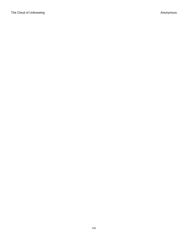The Cloud of Unknowing **Anonymous** Anonymous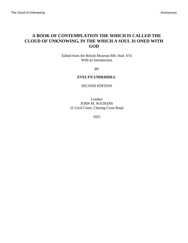#### <span id="page-7-0"></span>**A BOOK OF CONTEMPLATION THE WHICH IS CALLED THE CLOUD OF UNKNOWING, IN THE WHICH A SOUL IS ONED WITH GOD**

Edited from the British Museum MS. Harl. 674 With an Introduction

*BY*

**EVELYN UNDERHILL**

SECOND EDITION

London JOHN M. WATKINS 21 Cecil Court, Charing Cross Road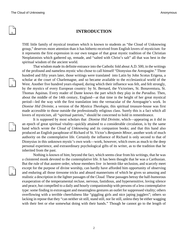6

7

8

#### **INTRODUCTION**

<span id="page-8-0"></span>THE little family of mystical treatises which is known to students as "the Cloud of Unknowing group," deserves more attention than it has hitherto received from English lovers of mysticism: for it represents the first expression in our own tongue of that great mystic tradition of the Christian Neoplatonists which gathered up, remade, and "salted with Christ's salt" all that was best in the spiritual wisdom of the ancient world.

That wisdom made its definite entrance into the Catholic fold about A.D. 500, in the writings of the profound and nameless mystic who chose to call himself "Dionysius the Areopagite." Three hundred and fifty years later, those writings were translated into Latin by John Scotus Erigena, a scholar at the court of Charlemagne, and so became available to the ecclesiastical world of the West. Another five hundred years elapsed, during which their influence was felt, and felt strongly, by the mystics of every European country: by St. Bernard, the Victorines, St. Bonaventura, St. Thomas Aquinas. Every reader of Dante knows the part which they play in the *Paradiso.* Then, about the middle of the 14th century, England—at that time in the height of her great mystical period—led the way with the first translation into the vernacular of the Areopagite's work. In *Dionise Hid Divinite,* a version of the *Mystica Theologia,* this spiritual treasure-house was first made accessible to those outside the professionally religious class. Surely this is a fact which all lovers of mysticism, all "spiritual patriots," should be concerned to hold in remembrance.

It is supposed by most scholars that *Dionise Hid Divinite,* which—appearing as it did in an epoch of great spiritual vitality--quickly attained to a considerable circulation, is by the same hand which wrote the *Cloud of Unknowing* and its companion books; and that this hand also produced an English paraphrase of Richard of St. Victor's *Benjamin Minor,* another work of much authority on the contemplative life. Certainly the influence of Richard is only second to that of Dionysius in this unknown mystic's own work—work, however, which owes as much to the deep personal experience, and extraordinary psychological gifts of its writer, as to the tradition that he inherited from the past.

Nothing is known of him; beyond the fact, which seems clear from his writings, that he was a cloistered monk devoted to the contemplative life. It has been thought that he was a Carthusian. But the rule of that austere order, whose members live in hermit-like seclusion, and scarcely meet except for the purpose of divine worship, can hardly have afforded him opportunity of observing and enduring all those tiresome tricks and absurd mannerisms of which he gives so amusing and realistic a description in the lighter passages of the *Cloud.* These passages betray the half-humorous exasperation of the temperamental recluse, nervous, fastidious, and hypersensitive, loving silence and peace, but compelled to a daily and hourly companionship with persons of a less contemplative type: some finding in extravagant and meaningless gestures an outlet for suppressed vitality; others overflowing with a terrible cheerfulness like "giggling girls and nice japing jugglers"; others so lacking in repose that they "can neither sit still, stand still, nor lie still, unless they be either wagging with their feet or else somewhat doing with their hands." Though he cannot go to the length of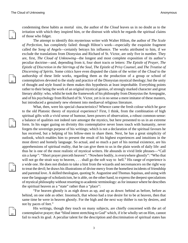10

11

12

condemning these habits as mortal sins, the author of the *Cloud* leaves us in no doubt as to the irritation with which they inspired him, or the distrust with which he regards the spiritual claims of those who fidget.

The attempt to identify this mysterious writer with Walter Hilton, the author of *The Scale of Perfection,* has completely failed: though Hilton's work—especially the exquisite fragment called the *Song of Angels—*certainly betrays his influence. The works attributed to him, if we exclude the translations from Dionysius and Richard of St. Victor, are only five in number. They are, first, *The Cloud of Unknowing—*the longest and most complete exposition of its author's peculiar doctrine—and, depending from it, four short tracts or letters: *The Epistle of Prayer, The Epistle of Discretion in the Stirrings of the Soul, The Epistle of Privy Counsel,* and *The Treatise of Discerning of Spirits.* Some critics have even disputed the claim of the writer of the *Cloud* to the authorship of these little works, regarding them as the production of a group or school of contemplatives devoted to the study and practice of the Dionysian mystical theology; but the unity of thought and style found in them makes this hypothesis at least improbable. Everything points rather to their being the work of an original mystical genius, of strongly marked character and great literary ability: who, whilst he took the framework of his philosophy from Dionysius the Areopagite, and of his psychology from Richard of St. Victor, yet is in no sense a mere imitator of these masters, but introduced a genuinely new element into mediaeval religious literature.

What, then, were his special characteristics? Whence came the fresh colour which he gave to the old Platonic theory of mystical experience? First, I think, from the combination of high spiritual gifts with a vivid sense of humour, keen powers of observation, a robust common-sense: a balance of qualities not indeed rare amongst the mystics, but here presented to us in an extreme form. In his eager gazing on divinity this contemplative never loses touch with humanity, never forgets the sovereign purpose of his writings; which is not a declaration of the spiritual favours he has received, but a helping of his fellow-men to share them. Next, he has a great simplicity of outlook, which enables him to present the result of his highest experiences and intuitions in the most direct and homely language. So actual, and so much a part of his normal existence, are his apprehensions of spiritual reality, that he can give them to us in the plain words of daily life: and thus he is one of the most realistic of mystical writers. He abounds in vivid little phrases—"Call sin a *lump":* "Short prayer pierceth heaven": "Nowhere bodily, is everywhere ghostly": "Who that will not go the strait way to heaven, . . . shall go the soft way to hell." His range of experience is a wide one. He does not disdain to take a hint from the wizards and necromancers on the right way to treat the devil; he draws his illustrations of divine mercy from the homeliest incidents of friendship and parental love. A skilled theologian, quoting St. Augustine and Thomas Aquinas, and using with ease the language of scholasticism, he is able, on the other hand, to express the deepest speculations of mystical philosophy without resorting to academic terminology: as for instance where he describes the spiritual heaven as a "state" rather than a "place":

"For heaven ghostly is as nigh down as up, and up as down: behind as before, before as behind, on one side as other. Insomuch, that whoso had a true desire for to be at heaven, then that same time he were in heaven ghostly. For the high and the next way thither is run by desires, and not by paces of feet."



His writings, though they touch on many subjects, are chiefly concerned with the art of contemplative prayer; that "blind intent stretching to God" which, if it be wholly set on Him, cannot fail to reach its goal. A peculiar talent for the description and discrimination of spiritual states has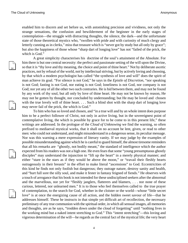enabled him to discern and set before us, with astonishing precision and vividness, not only the strange sensations, the confusion and bewilderment of the beginner in the early stages of contemplation—the struggle with distracting thoughts, the silence, the dark—and the unfortunate state of those theoretical mystics who, "swollen with pride and with curiosity of much clergy and letterly cunning as in clerks," miss that treasure which is "never got by study but all only by grace"; but also the happiness of those whose "sharp dart of longing love" has not "failed of the prick, the which is God."

14

15

16

17

A great simplicity characterises his doctrine of the soul's attainment of the Absolute. For him there is but one central necessity: the perfect and passionate setting of the will upon the Divine, so that it is "thy love and thy meaning, the choice and point of thine heart." Not by deliberate ascetic practices, not by refusal of the world, not by intellectual striving, but by actively loving and choosing, by that which a modern psychologist has called "the synthesis of love and will" does the spirit of man achieve its goal. "For silence is not God," he says in the *Epistle of Discretion,* "nor speaking is not God; fasting is not God, nor eating is not God; loneliness is not God, nor company is not God; nor yet any of all the other two such contraries. He is hid between them, and may not be found by any work of thy soul, but all only by love of thine heart. He may not be known by reason, He may not be gotten by thought, nor concluded by understanding; but He may be loved and chosen with the true lovely will of thine heart. . . . Such a blind shot with the sharp dart of longing love may never fail of the prick, the which is God."

To him who has so loved and chosen, and "in a true will and by an whole intent does purpose him to be a perfect follower of Christ, not only in active living, but in the sovereignest point of contemplative living, the which is possible by grace for to be come to in this present life," these writings are addressed. In the prologue of the *Cloud of Unknowing* we find the warning, so often prefixed to mediaeval mystical works, that it shall on no account be lent, given, or read to other men: who could not understand, and might misunderstand in a dangerous sense, its peculiar message. Nor was this warning a mere expression of literary vanity. If we may judge by the examples of possible misunderstanding against which he is careful to guard himself, the almost tiresome reminders that all his remarks are "ghostly, not bodily meant," the standard of intelligence which the author expected from his readers was not a high one. He even fears that some "young presumptuous ghostly disciples" may understand the injunction to "lift up the heart" in a merely physical manner; and either "stare in the stars as if they would be above the moon," or "travail their fleshly hearts outrageously in their breasts" in the effort to make literal "ascensions" to God. Eccentricities of this kind he finds not only foolish but dangerous; they outrage nature, destroy sanity and health, and "hurt full sore the silly soul, and make it fester in fantasy feigned of fiends." He observes with a touch of arrogance that his book is not intended for these undisciplined seekers after the abnormal and the marvellous, nor yet for "fleshly janglers, flatterers and blamers, . . . nor none of these curious, lettered, nor unlearned men." It is to those who feel themselves called to the true prayer of contemplation, to the search for God, whether in the cloister or the world—whose "little secret love" is at once the energizing cause of all action, and the hidden sweet savour of life—that he addresses himself. These he instructs in that simple yet difficult art of recollection, the necessary preliminary of any true communion with the spiritual order, in which all sensual images, all memories and thoughts, are as he says, "trodden down under the cloud of forgetting" until "nothing lives in the working mind but a naked intent stretching to God." This "intent stretching"—this loving and vigorous determination of the will—he regards as the central fact of the mystical life; the very heart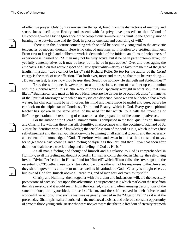of effective prayer. Only by its exercise can the spirit, freed from the distractions of memory and sense, focus itself upon Reality and ascend with "a privy love pressed" to that "Cloud of Unknowing"—the Divine Ignorance of the Neoplatonists—wherein is "knit up the ghostly knot of burning love betwixt thee and thy God, in ghostly onehead and according of will."

There is in this doctrine something which should be peculiarly congenial to the activistic tendencies of modern thought. Here is no taint of quietism, no invitation to a spiritual limpness. From first to last glad and deliberate work is demanded of the initiate: an all-round wholeness of experience is insisted on. "A man may not be fully active, but if he be in part contemplative; nor yet fully contemplative, as it may be here, but if he be in part active." Over and over again, the emphasis is laid on this active aspect of all true spirituality—always a favourite theme of the great English mystics. "Love cannot be lazy," said Richard Rolle. So too for the author of the *Cloud* energy is the mark of true affection. "Do forth ever, more and more, so that thou be ever doing... . Do on then fast; let see how thou bearest thee. Seest thou not how He standeth and abideth thee?"

True, the will alone, however ardent and industrious, cannot of itself set up communion with the supernal world: this is "the work of only God, specially wrought in what soul that Him liketh." But man can and must do his part. First, there are the virtues to be acquired: those "ornaments of the Spiritual Marriage" with which no mystic can dispense. Since we can but behold that which we are, his character must be set in order, his mind and heart made beautiful and pure, before he can look on the triple star of Goodness, Truth, and Beauty, which is God. Every great spiritual teacher has spoken in the same sense: of the need for that which Rolle calls the "mending of life"—regeneration, the rebuilding of character—as the preparation of the contemplative act.

For the author of the *Cloud* all human virtue is comprised in the twin qualities of Humility and Charity. He who has these, has all. Humility, in accordance with the doctrine of Richard of St. Victor, he identifies with self-knowledge; the terrible vision of the soul as it is, which induces first self-abasement and then self-purification—the beginning of all spiritual growth, and the necessary antecedent of all knowledge of God. "Therefore swink and sweat in all that thou canst and mayst, for to get thee a true knowing and a feeling of thyself as thou art; and then I trow that soon after that, thou shalt have a true knowing and a feeling of God as He is."

As all man's feeling and thought of himself and his relation to God is comprehended in Humility, so all his feeling and thought of God in Himself is comprehended in Charity; the self-giving love of Divine Perfection "in Himself and for Himself" which Hilton calls "the sovereign and the essential joy." Together these two virtues should embrace the sum of his responses to the Universe; they should govern his attitude to man as well as his attitude to God. "Charity is nought else . . . but love of God for Himself above all creatures, and of man for God even as thyself."

Charity and Humility, then, together with the ardent and industrious will, are the necessary possessions of each soul set upon this adventure. Their presence it is which marks out the true from the false mystic: and it would seem, from the detailed, vivid, and often amusing descriptions of the sanctimonious, the hypocritical, the self-sufficient, and the self-deceived in their "diverse and wonderful variations," that such a test was as greatly needed in the "Ages of Faith" as it is at the present day. Sham spirituality flourished in the mediaeval cloister, and offered a constant opportunity of error to those young enthusiasts who were not yet aware that the true freedom of eternity "cometh





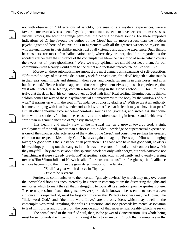

not with observation." Affectations of sanctity, pretense to rare mystical experiences, were a favourite means of advertisement. Psychic phenomena, too, seem to have been common: ecstasies, visions, voices, the scent of strange perfumes, the hearing of sweet sounds. For these supposed indications of Divine favour, the author of the *Cloud* has no more respect than the modern psychologist: and here, of course, he is in agreement with all the greatest writers on mysticism, who are unanimous in their dislike and distrust of all visionary and auditive experience. Such things, he considers, are most often hallucination: and, where they are not, should be regarded as the accidents rather than the substance of the contemplative life—the harsh rind of sense, which covers the sweet nut of "pure ghostliness." Were we truly spiritual, we should not need them; for our communion with Reality would then be the direct and ineffable intercourse of like with like.



 $24$ 

25

26

Moreover, these automatism are amongst the most dangerous instruments of self-deception. "Ofttimes," he says of those who deliberately seek for revelations, "the devil feigneth quaint sounds in their ears, quaint lights and shining in their eyes, and wonderful smells in their noses: and all is but falsehood." Hence it often happens to those who give themselves up to such experiences, that "fast after such a false feeling, cometh a false knowing in the Fiend's school: . . . for I tell thee truly, that the devil hath his contemplatives, as God hath His." Real spiritual illumination, he thinks, seldom comes by way of these psycho-sensual automatism "into the body by the windows of our wits." It springs up within the soul in "abundance of ghostly gladness." With so great an authority it comes, bringing with it such wonder and such love, that "he that feeleth it may not have it suspect." But all other abnormal experiences—"comforts, sounds and gladness, and sweetness, that come from without suddenly"—should be set aside, as more often resulting in frenzies and feebleness of spirit than in genuine increase of "ghostly strength."

This healthy and manly view of the mystical life, as a growth towards God, a right employment of the will, rather than a short cut to hidden knowledge or supersensual experience, is one of the strongest characteristics of the writer of the *Cloud;* and constitutes perhaps his greatest claim on our respect. "Mean only God," he says again and again; "Press upon Him with longing love"; "A good *will* is the substance of all perfection." To those who have this good will, he offers his teaching: pointing out the dangers in their way, the errors of mood and of conduct into which they may fall. They are to set about this spiritual work not only with energy, but with *courtesy:* not "snatching as it were a greedy greyhound" at spiritual satisfactions, but gently and joyously pressing towards Him Whom Julian of Norwich called "our most courteous Lord." A glad spirit of dalliance is more becoming to them than the grim determination of the fanatic.

"Shall I, a gnat which dances in Thy ray,

*Dare* to be reverent."

Further, he communicates to them certain "ghostly devices" by which they may overcome the inevitable difficulties encountered by beginners in contemplation: the distracting thoughts and memories which torment the self that is struggling to focus all its attention upon the spiritual sphere. The stern repression of such thoughts, however spiritual, he knows to be essential to success: even sin, once it is repented of, must be forgotten in order that Perfect Goodness may be known. The "little word God," and "the little word Love," are the only ideas which may dwell in the contemplative's mind. Anything else splits his attention, and soon proceeds by mental association to lead him further and further from the consideration of that supersensual Reality which he seeks.

The primal need of the purified soul, then, is the power of Concentration. His whole being must be set towards the Object of his craving if he is to attain to it: "Look that *nothing* live in thy

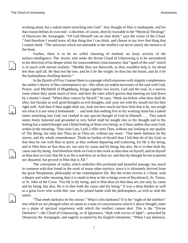working mind, but a naked intent stretching into God." Any thought of Him is inadequate, and for that reason defeats its own end—a doctrine, of course, directly traceable to the "Mystical Theology" of Dionysius the Areopagite. "Of God Himself can no man think," says the writer of the *Cloud, "*And therefore I would leave all that thing that I can think, and choose to my love that thing that I cannot think. "The universes which are amenable to the intellect can never satisfy the instincts of the heart.

Further, there is to be no wilful choosing of method: no fussy activity of the surface-intelligence. The mystic who seeks the divine Cloud of Unknowing is to be surrendered to the direction of his deeper mind, his transcendental consciousness: that "spark of the soul" which is in touch with eternal realities. "Meddle thou not therewith, as thou wouldest help it, for dread lest thou spill all. Be thou but the tree, and let it be the wright: be thou but the house, and let it be the husbandman dwelling therein."

In the *Epistle of Privy Counsel* there is a passage which expresses with singular completeness the author's theory of this contemplative art—this silent yet ardent encounter of the soul with God. Prayer, said Mechthild of Magdeburg, brings together two lovers, God and the soul, in a narrow room where they speak much of love: and here the rules which govern that meeting are laid down by a master's hand. "When thou comest by thyself," he says, "think not before what thou shalt do after, but forsake as well good thoughts as evil thoughts, and pray not with thy mouth but list thee right well. And then if thou aught shalt say, look not how much nor how little that it be, nor weigh not what it is nor what it bemeaneth . . . and look that nothing live in thy working mind but a naked intent stretching into God, not clothed in any special thought of God in Himself. . . . This naked intent freely fastened and grounded in very belief shall be nought else to thy thought and to thy feeling but a naked thought and a blind feeling of thine own being: as if thou saidest thus unto God, within in thy meaning, 'That what I am, Lord, I offer unto Thee, without any looking to any quality of Thy Being, but only that Thou art as Thou art, without any more.' That meek darkness be thy mirror, and thy whole remembrance. Think no further of thyself than I bid thee do of thy God, so that thou be one with Him in spirit, as thus without departing and scattering, for He is thy being, and in Him thou art that thou art; not only by cause and by being, but also, He is in thee both thy cause and thy being. And therefore think on God in this work as thou dost on thyself, and on thyself as thou dost on God: that He is as He is and thou art as thou art, and that thy thought be not scattered nor departed, but proved in Him that is All."

The conception of reality which underlies this profound and beautiful passage, has much in common with that found in the work of many other mystics; since it is ultimately derived from the great Neoplatonic philosophy of the contemplative life. But the writer invests it, I think, with a deeper and wider meaning than it is made to bear in the writings even of Ruysbroeck, St. Teresa, or St. John of the Cross. "For He is thy being, and in Him thou art that thou art; not only by cause and by being, but also, He is in thee both thy cause and thy being." It was a deep thinker as well as a great lover who wrote this: one who joined hands with the philosophers, as well as with the saints.

"That meek darkness be thy mirror." What is this darkness? It is the "night of the intellect" into which we are plunged when we attain to a state of consciousness which is above thought; enter on a plane of spiritual experience with which the intellect cannot deal. This is the "Divine Darkness"—the Cloud of Unknowing, or of Ignorance, "dark with excess of light"—preached by Dionysius the Areopagite, and eagerly accepted by his English interpreter. "When I say darkness,



29

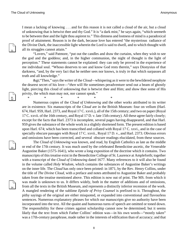32

33

34

I mean a lacking of knowing . . . and for this reason it is not called a cloud of the air, but a cloud of unknowing that is betwixt thee and thy God." It is "a dark mist," he says again, "which seemeth to be between thee and the light thou aspirest to." This dimness and lostness of mind is a paradoxical proof of attainment. Reason is in the dark, because love has entered "the mysterious radiance of the Divine Dark, the inaccessible light wherein the Lord is said to dwell, and to which thought with all its struggles cannot attain."

"Lovers," said Patmore, "put out the candles and draw the curtains, when they wish to see the god and the goddess; and, in the higher communion, the night of thought is the light of perception." These statements cannot be explained: they can only be proved in the experience of me individual soul. "Whoso deserves to see and know God rests therein," says Dionysius of that darkness, "and, by the very fact that he neither sees nor knows, is truly *in* that which surpasses all truth and all knowledge."

>"Then," says the writer of the *Cloud—*whispering as it were to the bewildered neophyte the dearest secret of his love—"*then* will He sometimes peradventure send out a beam of ghostly light, piercing this cloud of unknowing that is betwixt thee and Him; and show thee some of His privity, the which man may not, nor cannot speak."

\* \* \* \* \* \* \* Numerous copies of the *Cloud of Unknowing* and the other works attributed to its writer are in existence. Six manuscripts of the *Cloud* are in the British Museum: four on vellum (Harl. 674, Harl. 959, Harl. 2373, and Royal 17 C. xxvii.), all of the 15th century; and two on paper (Royal 17 C. xxvii. of the 16th century, and Royal 17 D. v. late 15th century). All these agree fairly closely; except for the facts that Harl. 2373 is incomplete, several pages having disappeared, and that Harl. 959 gives the substance of the whole work in a slightly shortened form. The present edition is based upon Harl. 674; which has been transcribed and collated with Royal 17 C. xxvi., and in the case of specially obscure passages with Royal 17 C. xxvii., Royal 17 D. v., and Harl. 2373. Obvious errors and omissions have been corrected, and several obscure readings elucidated, from these sources.

The *Cloud of Unknowing* was known, and read, by English Catholics as late as the middle or end of the 17th century. It was much used by the celebrated Benedictine ascetic, the Venerable Augustine Baker (1575-1641), who wrote a long exposition of the doctrine which it contains. Two manuscripts of this treatise exist in the Benedictine College of St. Laurence at Ampleforth; together with a transcript of the *Cloud of Unknowing* dated 1677. Many references to it will also be found in the volume called *Holy Wisdom,* which contains the substances of Augustine Baker's writings on the inner life. The *Cloud* has only once been printed: in 1871, by the Rev. Henry Collins, under the title of *The Divine Cloud,* with a preface and notes attributed to Augustine Baker and probably taken from the treatise mentioned above. This edition is now out of print. The MS. from which it was made is unknown to us. It differs widely, both in the matter of additions and of omissions, from all the texts in the British Museum, and represents a distinctly inferior recension of the work. A mangled rendering of the sublime *Epistle of Privy Counsel* is prefixed to it. Throughout, the pithy sayings of the original are either misquoted, or expanded into conventional and flavourless sentences. Numerous explanatory phrases for which our manuscripts give no authority have been incorporated into the text. All the quaint and humorous turns of speech are omitted or toned down. The responsibility for these crimes against scholarship cannot now be determined; but it seems likely that the text from which Father Collins' edition was—in his own words—"mostly taken" was a 17th-century paraphrase, made rather in the interests of edification than of accuracy; and that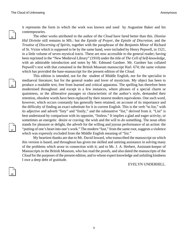it represents the form in which the work was known and used by Augustine Baker and his contemporaries.

The other works attributed to the author of the *Cloud* have fared better than this. *Dionise Hid Divinite* still remains in MS.: but the *Epistle of Prayer,* the *Epistle of Discretion,* and the *Treatise of Discerning of Spirits,* together with the paraphrase of the *Benjamin Minor* of Richard of St. Victor which is supposed to be by the same hand, were included by Henry Pepwell, in 1521, in a little volume of seven mystical tracts. These are now accessible to the general reader; having been reprinted in the "New Medieval Library" (1910) under the title of *The Cell of Self-knowledge,* with an admirable introduction and notes by Mr. Edmund Gardner. Mr. Gardner has collated Pepwell's text with that contained in the British Museum manuscript Harl. 674; the same volume which has provided the base-manuscript for the present edition of the *Cloud.*

This edition is intended, not for the student of Middle English, nor for the specialist in mediaeval literature; but for the general reader and lover of mysticism. My object has been to produce a readable text, free from learned and critical apparatus. The spelling has therefore been modernised throughout: and except in a few instances, where phrases of a special charm or quaintness, or the alliterative passages so characteristic of the author's style, demanded their retention, obsolete words have been replaced by their nearest modern equivalents. One such word, however, which occurs constantly has generally been retained, on account of its importance and the difficulty of finding an exact substitute for it in current English. This is the verb "to list," with its adjective and adverb "listy" and "listily," and the substantive "list," derived from it. "List" is best understood by comparison with its opposite, "listless." It implies a glad and eager activity, or sometimes an energetic desire or craving: the wish and the will to *do* something. The noun often stands for pleasure or delight, the adverb for the willing and joyous performance of an action: the "putting of one's heart into one's work." The modern "lust," from the same root, suggests a violence which was expressly excluded from the Middle English meaning of "list."

My heartiest thanks are due to Mr. David Inward, who transcribed the manuscript on which this version is based, and throughout has given me skilled and untiring assistance in solving many of the problems which arose in connection with it; and to Mr. J. A. Herbert, Assistant-keeper of Manuscripts in the British Museum, who has read the proofs, and also dated the manuscripts of the *Cloud* for the purposes of the present edition, and to whose expert knowledge and unfailing kindness I owe a deep debt of gratitude.

EVELYN UNDERHILL.



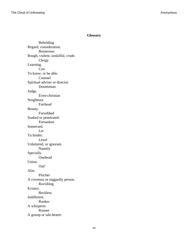#### **Glossary**

<span id="page-16-0"></span>Beholding Regard, consideration. Boisterous Rough, violent, unskilful, crude. Clergy Learning. Con To know, or be able. Counsel Spiritual adviser or director. Doomsman Judge. Even-christian Neighbour. Fairhead Beauty. Forsobbed Soaked or penetrated. Forsunken Immersed. Let To hinder. Lewd Unlettered, or ignorant. Namely Specially. Onehead Union. Out! Alas. Pincher A covetous or niggardly person. Ravishing Ecstasy. Reckless Indifferent. Ronker A whisperer. Ronner A gossip or tale-bearer.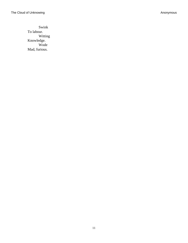Swink To labour. Witting Knowledge. Wode Mad, furious.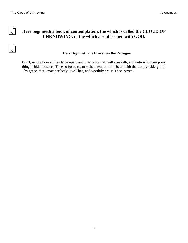

#### <span id="page-18-0"></span><sup>41</sup> **Here beginneth a book of contemplation, the which is called the CLOUD OF UNKNOWING, in the which a soul is oned with GOD.**

#### **Here Beginneth the Prayer on the Prologue**

GOD, unto whom all hearts be open, and unto whom all will speaketh, and unto whom no privy thing is hid. I beseech Thee so for to cleanse the intent of mine heart with the unspeakable gift of Thy grace, that I may perfectly love Thee, and worthily praise Thee. Amen.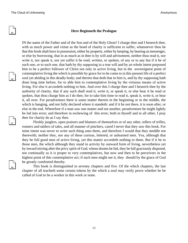46

47

48

#### **Here Beginneth the Prologue**

<span id="page-19-0"></span>IN the name of the Father and of the Son and of the Holy Ghost! I charge thee and I beseech thee, with as much power and virtue as the bond of charity is sufficient to suffer, whatsoever thou be that this book shalt have in possession, either by property, either by keeping, by bearing as messenger, or else by borrowing, that in as much as in thee is by will and advisement, neither thou read it, nor write it, nor speak it, nor yet suffer it be read, written, or spoken, of any or to any but if it be of such one, or to such one, that hath by thy supposing in a true will and by an whole intent purposed him to be a perfect follower of Christ not only in active living, but in the sovereignest point of contemplative living the which is possible by grace for to be come to in this present life of a perfect soul yet abiding in this deadly body; and thereto that doth that in him is, and by thy supposing hath done long time before, for to able him to contemplative living by the virtuous means of active living. For else it accordeth nothing to him. And over this I charge thee and I beseech thee by the authority of charity, that if any such shall read it, write it, or speak it, or else hear it be read or spoken, that thou charge him as I do thee, for to take him time to read it, speak it, write it, or hear it, all over. For peradventure there is some matter therein in the beginning or in the middle, the which is hanging, and not fully declared where it standeth: and if it be not there, it is soon after, or else in the end. Wherefore if a man saw one matter and not another, peradventure he might lightly be led into error; and therefore in eschewing of this error, both in thyself and in all other, I pray thee for charity do as I say thee.

Fleshly janglers, open praisers and blamers of themselves or of any other, tellers of trifles, ronners and tattlers of tales, and all manner of pinchers, cared I never that they saw this book. For mine intent was never to write such thing unto them, and therefore I would that they meddle not therewith; neither they, nor any of these curious, lettered, or unlearned men. Yea, although that they be full good men of active living, yet this matter accordeth nothing to them. But if it be to those men, the which although they stand in activity by outward form of living, nevertheless yet by inward stirring after the privy spirit of God, whose dooms be hid, they be full graciously disposed, not continually as it is proper to very contemplatives, but now and then to be perceivers in the highest point of this contemplative act; if such men might see it, they should by the grace of God be greatly comforted thereby.

This book is distinguished in seventy chapters and five. Of the which chapters, the last chapter of all teacheth some certain tokens by the which a soul may verily prove whether he be called of God to be a worker in this work or none.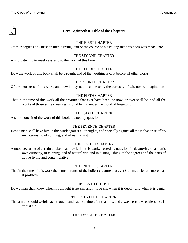<span id="page-20-0"></span>

#### **Here Beginneth a Table of the Chapters**

#### THE FIRST CHAPTER

Of four degrees of Christian men's living; and of the course of his calling that this book was made unto

#### THE SECOND CHAPTER

A short stirring to meekness, and to the work of this book

#### THE THIRD CHAPTER

How the work of this book shall be wrought and of the worthiness of it before all other works

#### THE FOURTH CHAPTER

Of the shortness of this work, and how it may not be come to by the curiosity of wit, nor by imagination

#### THE FIFTH CHAPTER

That in the time of this work all the creatures that ever have been, be now, or ever shall be, and all the works of those same creatures, should be hid under the cloud of forgetting

#### THE SIXTH CHAPTER

A short conceit of the work of this book, treated by question

#### THE SEVENTH CHAPTER

How a man shall have him in this work against all thoughts, and specially against all those that arise of his own curiosity, of cunning, and of natural wit

#### THE EIGHTH CHAPTER

A good declaring of certain doubts that may fall in this work, treated by question, in destroying of a man's own curiosity, of cunning, and of natural wit, and in distinguishing of the degrees and the parts of active living and contemplative

#### THE NINTH CHAPTER

That in the time of this work the remembrance of the holiest creature that ever God made letteth more than it profiteth

#### THE TENTH CHAPTER

How a man shall know when his thought is no sin; and if it be sin, when it is deadly and when it is venial

#### THE ELEVENTH CHAPTER

That a man should weigh each thought and each stirring after that it is, and always eschew recklessness in venial sin

#### THE TWELFTH CHAPTER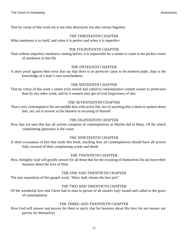That by virtue of this work sin is not only destroyed, but also virtues begotten

#### THE THIRTEENTH CHAPTER

What meekness is in itself, and when it is perfect and when it is imperfect

#### THE FOURTEENTH CHAPTER

That without imperfect meekness coming before, it is impossible for a sinner to come to the perfect virtue of meekness in this life

#### THE FIFTEENTH CHAPTER

A short proof against their error that say that there is no perfecter cause to be meeked under, than is the knowledge of a man's own wretchedness

#### THE SIXTEENTH CHAPTER

That by virtue of this work a sinner truly turned and called to contemplation cometh sooner to perfection than by any other work; and by it soonest may get of God forgiveness of sins

#### THE SEVENTEENTH CHAPTER

That a very contemplative list not meddle him with active life, nor of anything that is done or spoken about him, nor yet to answer to his blamers in excusing of himself

#### THE EIGHTEENTH CHAPTER

How that yet unto this day all actives complain of contemplatives as Martha did of Mary. Of the which complaining ignorance is the cause

#### THE NINETEENTH CHAPTER

A short excusation of him that made this book, teaching how all contemplatives should have all actives fully excused of their complaining words and deeds

#### THE TWENTIETH CHAPTER

How Almighty God will goodly answer for all those that for the excusing of themselves list not leave their business about the love of Him

#### THE ONE AND TWENTIETH CHAPTER

The true exposition of this gospel word, "Mary hath chosen the best part"

#### THE TWO AND TWENTIETH CHAPTER

Of the wonderful love that Christ had to man in person of all sinners truly turned and called to the grace of contemplation

#### THE THREE AND TWENTIETH CHAPTER

How God will answer and purvey for them in spirit, that for business about His love list not answer nor purvey for themselves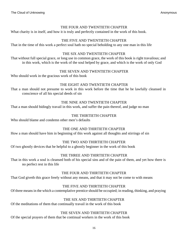#### THE FOUR AND TWENTIETH CHAPTER

What charity is in itself, and how it is truly and perfectly contained in the work of this book.

#### THE FIVE AND TWENTIETH CHAPTER

That in the time of this work a perfect soul hath no special beholding to any one man in this life

#### THE SIX AND TWENTIETH CHAPTER

That without full special grace, or long use in common grace, the work of this book is right travailous; and in this work, which is the work of the soul helped by grace, and which is the work of only God

#### THE SEVEN AND TWENTIETH CHAPTER

Who should work in the gracious work of this book

#### THE EIGHT AND TWENTIETH CHAPTER

That a man should not presume to work in this work before the time that he be lawfully cleansed in conscience of all his special deeds of sin

#### THE NINE AND TWENTIETH CHAPTER

That a man should bidingly travail in this work, and suffer the pain thereof, and judge no man

#### THE THIRTIETH CHAPTER

Who should blame and condemn other men's defaults

#### THE ONE AND THIRTIETH CHAPTER

How a man should have him in beginning of this work against all thoughts and stirrings of sin

#### THE TWO AND THIRTIETH CHAPTER

Of two ghostly devices that be helpful to a ghostly beginner in the work of this book

#### THE THREE AND THIRTIETH CHAPTER

That in this work a soul is cleansed both of his special sins and of the pain of them, and yet how there is no perfect rest in this life

#### THE FOUR AND THIRTIETH CHAPTER

That God giveth this grace freely without any means, and that it may not be come to with means

#### THE FIVE AND THIRTIETH CHAPTER

Of three means in the which a contemplative prentice should be occupied; in reading, thinking, and praying

#### THE SIX AND THIRTIETH CHAPTER

Of the meditations of them that continually travail in the work of this book

#### THE SEVEN AND THIRTIETH CHAPTER

Of the special prayers of them that be continual workers in the work of this book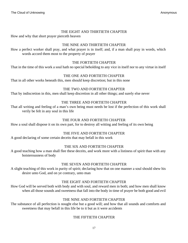#### THE EIGHT AND THIRTIETH CHAPTER

How and why that short prayer pierceth heaven

#### THE NINE AND THIRTIETH CHAPTER

How a perfect worker shall pray, and what prayer is in itself; and, if a man shall pray in words, which words accord them most to the property of prayer

#### THE FORTIETH CHAPTER

That in the time of this work a soul hath no special beholding to any vice in itself nor to any virtue in itself

#### THE ONE AND FORTIETH CHAPTER

That in all other works beneath this, men should keep discretion; but in this none

#### THE TWO AND FORTIETH CHAPTER

That by indiscretion in this, men shall keep discretion in all other things; and surely else never

#### THE THREE AND FORTIETH CHAPTER

That all writing and feeling of a man's own being must needs be lost if the perfection of this work shall verily be felt in any soul in this life

#### THE FOUR AND FORTIETH CHAPTER

How a soul shall dispose it on its own part, for to destroy all witting and feeling of its own being

#### THE FIVE AND FORTIETH CHAPTER

A good declaring of some certain deceits that may befall in this work

#### THE SIX AND FORTIETH CHAPTER

A good teaching how a man shall flee these deceits, and work more with a listiness of spirit than with any boisterousness of body

#### THE SEVEN AND FORTIETH CHAPTER

A slight teaching of this work in purity of spirit; declaring how that on one manner a soul should shew his desire unto God, and on ye contrary, unto man

#### THE EIGHT AND FORTIETH CHAPTER

How God will be served both with body and with soul, and reward men in both; and how men shall know when all those sounds and sweetness that fall into the body in time of prayer be both good and evil

#### THE NINE AND FORTIETH CHAPTER

The substance of all perfection is nought else but a good will; and how that all sounds and comforts and sweetness that may befall in this life be to it but as it were accidents

#### THE FIFTIETH CHAPTER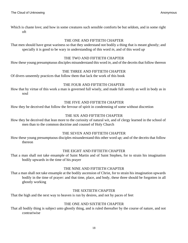Which is chaste love; and how in some creatures such sensible comforts be but seldom, and in some right oft

#### THE ONE AND FIFTIETH CHAPTER

That men should have great wariness so that they understand not bodily a thing that is meant ghostly; and specially it is good to be wary in understanding of this word *in,* and of this word *up*

#### THE TWO AND FIFTIETH CHAPTER

How these young presumptuous disciples misunderstand this word *in,* and of the deceits that follow thereon

#### THE THREE AND FIFTIETH CHAPTER

Of divers unseemly practices that follow them that lack the work of this book

#### THE FOUR AND FIFTIETH CHAPTER

How that by virtue of this work a man is governed full wisely, and made full seemly as well in body as in soul

#### THE FIVE AND FIFTIETH CHAPTER

How they be deceived that follow the fervour of spirit in condemning of some without discretion

#### THE SIX AND FIFTIETH CHAPTER

How they be deceived that lean more to the curiosity of natural wit, and of clergy learned in the school of men than to the common doctrine and counsel of Holy Church

#### THE SEVEN AND FIFTIETH CHAPTER

How these young presumptuous disciples misunderstand this other word *up;* and of the deceits that follow thereon

#### THE EIGHT AND FIFTIETH CHAPTER

That a man shall not take ensample of Saint Martin and of Saint Stephen, for to strain his imagination bodily upwards in the time of his prayer

#### THE NINE AND FIFTIETH CHAPTER

That a man shall not take ensample at the bodily ascension of Christ, for to strain his imagination upwards bodily in the time of prayer: and that time, place, and body, these three should be forgotten in all ghostly working

#### THE SIXTIETH CHAPTER

That the high and the next way to heaven is run by desires, and not by paces of feet

#### THE ONE AND SIXTIETH CHAPTER

That all bodily thing is subject unto ghostly thing, and is ruled thereafter by the course of nature, and not contrariwise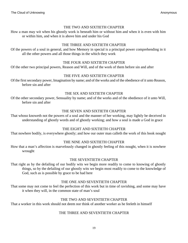#### THE TWO AND SIXTIETH CHAPTER

How a man may wit when his ghostly work is beneath him or without him and when it is even with him or within him, and when it is above him and under his God

#### THE THREE AND SIXTIETH CHAPTER

Of the powers of a soul in general, and how Memory in special is a principal power comprehending in it all the other powers and all those things in the which they work

#### THE FOUR AND SIXTIETH CHAPTER

Of the other two principal powers, Reason and Will, and of the work of them before sin and after

#### THE FIVE AND SIXTIETH CHAPTER

Of the first secondary power, Imagination by name; and of the works and of the obedience of it unto Reason, before sin and after

#### THE SIX AND SIXTIETH CHAPTER

Of the other secondary power, Sensuality by name; and of the works and of the obedience of it unto Will, before sin and after

#### THE SEVEN AND SIXTIETH CHAPTER

That whoso knoweth not the powers of a soul and the manner of her working, may lightly be deceived in understanding of ghostly words and of ghostly working; and how a soul is made a God in grace

#### THE EIGHT AND SIXTIETH CHAPTER

That nowhere bodily, is everywhere ghostly; and how our outer man calleth the work of this book nought

#### THE NINE AND SIXTIETH CHAPTER

How that a man's affection is marvelously changed in ghostly feeling of this nought, when it is nowhere wrought

#### THE SEVENTIETH CHAPTER

That right as by the defailing of our bodily wits we begin more readily to come to knowing of ghostly things, so by the defailing of our ghostly wits we begin most readily to come to the knowledge of God, such as is possible by grace to be had here

#### THE ONE AND SEVENTIETH CHAPTER

That some may not come to feel the perfection of this work but in time of ravishing, and some may have it when they will, in the common state of man's soul

#### THE TWO AND SEVENTIETH CHAPTER

That a worker in this work should not deem nor think of another worker as he feeleth in himself

#### THE THREE AND SEVENTIETH CHAPTER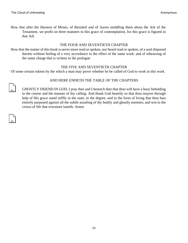How that after the likeness of Moses, of Bezaleel and of Aaron meddling them about the Ark of the Testament, we profit on three manners in this grace of contemplation, for this grace is figured in that Ark

#### THE FOUR AND SEVENTIETH CHAPTER

How that the matter of this book is never more read or spoken, nor heard read or spoken, of a soul disposed thereto without feeling of a very accordance to the effect of the same work: and of rehearsing of the same charge that is written in the prologue

#### THE FIVE AND SEVENTIETH CHAPTER

Of some certain tokens by the which a man may prove whether he be called of God to work in this work

#### AND HERE ENDETH THE TABLE OF THE CHAPTERS

 $_{64}$  GHOSTLY FRIEND IN GOD, I pray thee and I beseech thee that thou wilt have a busy beholding to the course and the manner of thy calling. And thank God heartily so that thou mayest through help of His grace stand stiffly in the state, in the degree, and in the form of living that thou hast entirely purposed against all the subtle assailing of thy bodily and ghostly enemies, and win to the crown of life that evermore lasteth. Amen.

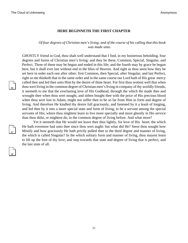#### **HERE BEGINNETH THE FIRST CHAPTER**

#### <span id="page-27-0"></span>*Of four degrees of Christian men's living; and of the course of his calling that this book was made unto.*

GHOSTLY friend in God, thou shalt well understand that I find, in my boisterous beholding, four degrees and forms of Christian men's living: and they be these, Common, Special, Singular, and Perfect. Three of these may be begun and ended in this life; and the fourth may by grace be begun here, but it shall ever last without end in the bliss of Heaven. And right as thou seest how they be set here in order each one after other; first Common, then Special, after Singular, and last Perfect, right so me thinketh that in the same order and in the same course our Lord hath of His great mercy called thee and led thee unto Him by the desire of thine heart. For first thou wottest well that when thou wert living in the common degree of Christian men's living in company of thy worldly friends, it seemeth to me that the everlasting love of His Godhead, through the which He made thee and wrought thee when thou wert nought, and sithen bought thee with the price of His precious blood when thou wert lost in Adam, might not suffer thee to be so far from Him in form and degree of living. And therefore He kindled thy desire full graciously, and fastened by it a leash of longing, and led thee by it into a more special state and form of living, to be a servant among the special servants of His; where thou mightest learn to live more specially and more ghostly in His service than thou didst, or mightest do, in the common degree of living before. And what more?

Yet it seemeth that He would not leave thee thus lightly, for love of His heart, the which He hath evermore had unto thee since thou wert aught: but what did He? Seest thou nought how Mistily and how graciously He hath privily pulled thee to the third degree and manner of living, the which is called Singular? In the which solitary form and manner of living, thou mayest learn to lift up the foot of thy love; and step towards that state and degree of living that is perfect, and the last state of all.



67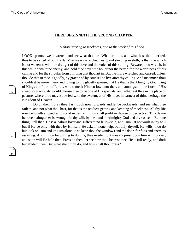#### **HERE BEGINNETH THE SECOND CHAPTER**

#### *A short stirring to meekness, and to the work of this book.*

<span id="page-28-0"></span>LOOK up now, weak wretch, and see what thou art. What art thou, and what hast thou merited, thus to be called of our Lord? What weary wretched heart, and sleeping in sloth, is that, the which is not wakened with the draught of this love and the voice of this calling! Beware, thou wretch, in this while with thine enemy; and hold thee never the holier nor the better, for the worthiness of this calling and for the singular form of living that thou art in. But the more wretched and cursed, unless thou do that in thee is goodly, by grace and by counsel, to live after thy calling. And insomuch thou shouldest be more meek and loving to thy ghostly spouse, that He that is the Almighty God, King of Kings and Lord of Lords, would meek Him so low unto thee, and amongst all the flock of His sheep so graciously would choose thee to be one of His specials, and sithen set thee in the place of pasture, where thou mayest be fed with the sweetness of His love, in earnest of thine heritage the Kingdom of Heaven.

Do on then, I pray thee, fast. Look now forwards and let be backwards; and see what thee faileth, and not what thou hast, for that is the readiest getting and keeping of meekness. All thy life now behoveth altogether to stand in desire, if thou shalt profit in degree of perfection. This desire behoveth altogether be wrought in thy will, by the hand of Almighty God and thy consent. But one thing I tell thee. He is a jealous lover and suffereth no fellowship, and Him list not work in thy will but if He be only with thee by Himself. He asketh none help, but only thyself. He wills, thou do but look on Him and let Him alone. And keep thou the windows and the door, for flies and enemies assailing. And if thou be willing to do this, thee needeth but meekly press upon him with prayer, and soon will He help thee. Press on then, let see how thou bearest thee. He is full ready, and doth but abideth thee. But what shalt thou do, and how shalt thou press?



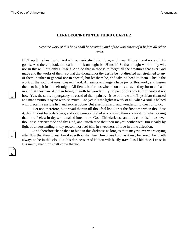#### **HERE BEGINNETH THE THIRD CHAPTER**

#### <span id="page-29-0"></span>*How the work of this book shall be wrought, and of the worthiness of it before all other works.*

LIFT up thine heart unto God with a meek stirring of love; and mean Himself, and none of His goods. And thereto, look the loath to think on aught but Himself. So that nought work in thy wit, nor in thy will, but only Himself. And do that in thee is to forget all the creatures that ever God made and the works of them; so that thy thought nor thy desire be not directed nor stretched to any of them, neither in general nor in special, but let them be, and take no heed to them. This is the work of the soul that most pleaseth God. All saints and angels have joy of this work, and hasten them to help it in all their might. All fiends be furious when thou thus dost, and try for to defeat it in all that they can. All men living in earth be wonderfully holpen of this work, thou wottest not how. Yea, the souls in purgatory be eased of their pain by virtue of this work. Thyself art cleansed and made virtuous by no work so much. And yet it is the lightest work of all, when a soul is helped with grace in sensible list, and soonest done. But else it is hard, and wonderful to thee for to do.

Let not, therefore, but travail therein till thou feel list. For at the first time when thou dost it, thou findest but a darkness; and as it were a cloud of unknowing, thou knowest not what, saving that thou feelest in thy will a naked intent unto God. This darkness and this cloud is, howsoever thou dost, betwixt thee and thy God, and letteth thee that thou mayest neither see Him clearly by light of understanding in thy reason, nor feel Him in sweetness of love in thine affection.



72

And therefore shape thee to bide in this darkness as long as thou mayest, evermore crying after Him that thou lovest. For if ever thou shalt feel Him or see Him, as it may be here, it behoveth always to be in this cloud in this darkness. And if thou wilt busily travail as I bid thee, I trust in His mercy that thou shalt come thereto.

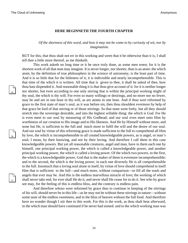76

77

#### **HERE BEGINNETH THE FOURTH CHAPTER**

<span id="page-30-0"></span>*Of the shortness of this word, and how it may not be come to by curiosity of wit, nor by imagination.*

BUT for this, that thou shalt not err in this working and ween that it be otherwise than it is, I shall tell thee a little more thereof, as me thinketh.

This work asketh no long time or it be once truly done, as some men ween; for it is the shortest work of all that man may imagine. It is never longer, nor shorter, than is an atom: the which atom, by the definition of true philosophers in the science of astronomy, is the least part of time. And it is so little that for the littleness of it, it is indivisible and nearly incomprehensible. This is that time of the which it is written: All time that is given to thee, it shall be asked of thee, how thou hast dispended it. And reasonable thing it is that thou give account of it: for it is neither longer nor shorter, but even according to one only stirring that is within the principal working might of thy soul, the which is thy will. For even so many willings or desirings, and no more nor no fewer, may be and are in one hour in thy will, as are atoms in one hour. And if thou wert reformed by grace to the first state of man's soul, as it was before sin, then thou shouldest evermore by help of that grace be lord of that stirring or of those stirrings. So that none went forby, but all they should stretch into the sovereign desirable, and into the highest willable thing: the which is God. For He is even meet to our soul by measuring of His Godhead; and our soul even meet unto Him by worthiness of our creation to His image and to His likeness. And He by Himself without more, and none but He, is sufficient to the full and much more to fulfil the will and the desire of our soul. And our soul by virtue of this reforming grace is made sufficient to the full to comprehend all Him by love, the which is incomprehensible to all created knowledgeable powers, as is angel, or man's soul; I mean, by their knowing, and not by their loving. And therefore I call them in this case knowledgeable powers. But yet all reasonable creatures, angel and man, have in them each one by himself, one principal working power, the which is called a knowledgeable power, and another principal working power, the which is called a loving power. Of the which two powers, to the first, the which is a knowledgeable power, God that is the maker of them is evermore incomprehensible; and to the second, the which is the loving power, in each one diversely He is all comprehensible to the full. Insomuch that a loving soul alone in itself, by virtue of love should comprehend in itself Him that is sufficient to the full—and much more, without comparison—to fill all the souls and angels that ever may be. And this is the endless marvellous miracle of love; the working of which shall never take end, for ever shall He do it, and never shall He cease for to do it. See who by grace see may, for the feeling of this is endless bliss, and the contrary is endless pain.

And therefore whoso were reformed by grace thus to continue in keeping of the stirrings of his will, should never be in this life—as he may not be without these stirrings in nature—without some taste of the endless sweetness, and in the bliss of heaven without the full food. And therefore have no wonder though I stir thee to this work. For this is the work, as thou shalt hear afterward, in the which man should have continued if he never had sinned: and to the which working man was

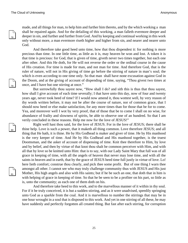79

80

81

made, and all things for man, to help him and further him thereto, and by the which working a man shall be repaired again. And for the defailing of this working, a man falleth evermore deeper and deeper in sin, and further and further from God. And by keeping and continual working in this work only without more, a man evermore riseth higher and higher from sin, and nearer and nearer unto God.

And therefore take good heed unto time, how that thou dispendest it: for nothing is more precious than time. In one little time, as little as it is, may heaven be won and lost. A token it is that time is precious: for God, that is given of time, giveth never two times together, but each one after other. And this He doth, for He will not reverse the order or the ordinal course in the cause of His creation. For time is made for man, and not man for time. And therefore God, that is the ruler of nature, will not in His giving of time go before the stirring of nature in man's soul; the which is even according to one time only. So that man shall have none excusation against God in the Doom, and at the giving of account of dispending of time, saying, "Thou givest two times at once, and I have but one stirring at once."

But sorrowfully thou sayest now, "How shall I do? and sith this is thus that thou sayest, how shall I give account of each time severally; I that have unto this day, now of four and twenty years age, never took heed of time? If I would now amend it, thou wottest well, by very reason of thy words written before, it may not be after the course of nature, nor of common grace, that I should now heed or else make satisfaction, for any more times than for those that be for to come. Yea, and moreover well I wot by very proof, that of those that be to come I shall on no wise, for abundance of frailty and slowness of spirits, be able to observe one of an hundred. So that I am verily concluded in these reasons. Help me now for the love of JESUS!"

Right well hast thou said, for the love of JESUS. For in the love of JESUS; there shall be thine help. Love is such a power, that it maketh all thing common. Love therefore JESUS; and all thing that He hath, it is thine. He by His Godhead is maker and giver of time. He by His manhood is the very keeper of time. And He by His Godhead and His manhood together, is the truest Doomsman, and the asker of account of dispensing of time. Knit thee therefore to Him, by love and by belief, and then by virtue of that knot thou shalt be common perceiver with Him, and with all that by love so be knitted unto Him: that is to say, with our Lady Saint Mary that full was of all grace in keeping of time, with all the angels of heaven that never may lose time, and with all the saints in heaven and in earth, that by the grace of JESUS heed time full justly in virtue of love. Lo! here lieth comfort; construe thou clearly, and pick thee some profit. But of one thing I warn thee amongst all other. I cannot see who may truly challenge community thus with JESUS and His just Mother, His high angels and also with His saints; but if he be such an one, that doth that in him is with helping of grace in keeping of time. So that he be seen to be a profiter on his part, so little as is, unto the community; as each one of them doth on his.

And therefore take heed to this work, and to the marvellous manner of it within in thy soul. For if it be truly conceived, it is but a sudden stirring, and as it were unadvised, speedily springing unto God as a sparkle from the coal. And it is marvellous to number the stirrings that may be in one hour wrought in a soul that is disposed to this work. And yet in one stirring of all these, he may have suddenly and perfectly forgotten all created thing. But fast after each stirring, for corruption

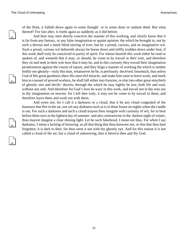83

84

85

of the flesh, it falleth down again to some thought or to some done or undone deed. But what thereof? For fast after, it riseth again as suddenly as it did before.

And here may men shortly conceive the manner of this working, and clearly know that it is far from any fantasy, or any false imagination or quaint opinion: the which be brought in, not by such a devout and a meek blind stirring of love, but by a proud, curious, and an imaginative wit. Such a proud, curious wit behoveth always be borne down and stiffly trodden down under foot, if this work shall truly be conceived in purity of spirit. For whoso heareth this work either be read or spoken of, and weeneth that it may, or should, be come to by travail in their wits, and therefore they sit and seek in their wits how that it may be, and in this curiosity they travail their imagination peradventure against the course of nature, and they feign a manner of working the which is neither bodily nor ghostly—truly this man, whatsoever he be, is perilously deceived. Insomuch, that unless God of His great goodness shew His merciful miracle, and make him soon to leave work, and meek him to counsel of proved workers, he shall fall either into frenzies, or else into other great mischiefs of ghostly sins and devils' deceits; through the which he may lightly be lost, both life and soul, without any end. And therefore for God's love be wary in this work, and travail not in thy wits nor in thy imagination on nowise: for I tell thee truly, it may not be come to by travail in them, and therefore leave them and work not with them.

And ween not, for I call it a darkness or a cloud, that it be any cloud congealed of the humours that flee in the air, nor yet any darkness such as is in thine house on nights when the candle is out. For such a darkness and such a cloud mayest thou imagine with curiosity of wit, for to bear before thine eyes in the lightest day of summer: and also contrariwise in the darkest night of winter, thou mayest imagine a clear shining light. Let be such falsehood. I mean not thus. For when I say darkness, I mean a lacking of knowing: as all that thing that thou knowest not, or else that thou hast forgotten, it is dark to thee; for thou seest it not with thy ghostly eye. And for this reason it is not called a cloud of the air, but a cloud of unknowing, that is betwixt thee and thy God.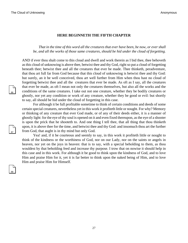#### **HERE BEGINNETH THE FIFTH CHAPTER**

#### <span id="page-33-0"></span>*That in the time of this word all the creatures that ever have been, be now, or ever shall be, and all the works of those same creatures, should be hid under the cloud of forgetting.*

AND if ever thou shalt come to this cloud and dwell and work therein as I bid thee, thee behoveth as this cloud of unknowing is above thee, betwixt thee and thy God, right so put a cloud of forgetting beneath thee; betwixt thee and all the creatures that ever be made. Thee thinketh, peradventure, that thou art full far from God because that this cloud of unknowing is betwixt thee and thy God: but surely, an it be well conceived, thou art well further from Him when thou hast no cloud of forgetting betwixt thee and all the creatures that ever be made. As oft as I say, all the creatures that ever be made, as oft I mean not only the creatures themselves, but also all the works and the conditions of the same creatures. I take out not one creature, whether they be bodily creatures or ghostly, nor yet any condition or work of any creature, whether they be good or evil: but shortly to say, all should be hid under the cloud of forgetting in this case.

For although it be full profitable sometime to think of certain conditions and deeds of some certain special creatures, nevertheless yet in this work it profiteth little or nought. For why? Memory or thinking of any creature that ever God made, or of any of their deeds either, it is a manner of ghostly light: for the eye of thy soul is opened on it and even fixed thereupon, as the eye of a shooter is upon the prick that he shooteth to. And one thing I tell thee, that all thing that thou thinketh upon, it is above thee for the time, and betwixt thee and thy God: and insomuch thou art the further from God, that aught is in thy mind but only God.

Yea! and, if it be courteous and seemly to say, in this work it profiteth little or nought to think of the kindness or the worthiness of God, nor on our Lady, nor on the saints or angels in heaven, nor yet on the joys in heaven: that is to say, with a special beholding to them, as thou wouldest by that beholding feed and increase thy purpose. I trow that on nowise it should help in this case and in this work. For although it be good to think upon the kindness of God, and to love Him and praise Him for it, yet it is far better to think upon the naked being of Him, and to love Him and praise Him for Himself.



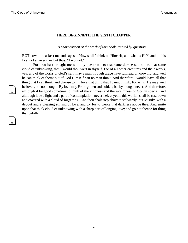#### **HERE BEGINNETH THE SIXTH CHAPTER**

*A short conceit of the work of this book, treated by question.*

<span id="page-34-0"></span>BUT now thou askest me and sayest, "How shall I think on Himself, and what is He?" and to this I cannot answer thee but thus: "I wot not."

For thou hast brought me with thy question into that same darkness, and into that same cloud of unknowing, that I would thou wert in thyself. For of all other creatures and their works, yea, and of the works of God's self, may a man through grace have fullhead of knowing, and well he can think of them: but of God Himself can no man think. And therefore I would leave all that thing that I can think, and choose to my love that thing that I cannot think. For why; He may well be loved, but not thought. By love may He be gotten and holden; but by thought never. And therefore, although it be good sometime to think of the kindness and the worthiness of God in special, and although it be a light and a part of contemplation: nevertheless yet in this work it shall be cast down and covered with a cloud of forgetting. And thou shalt step above it stalwartly, but Mistily, with a devout and a pleasing stirring of love, and try for to pierce that darkness above thee. And smite upon that thick cloud of unknowing with a sharp dart of longing love; and go not thence for thing that befalleth.

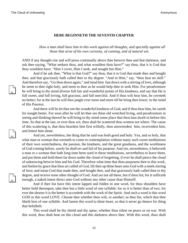#### **HERE BEGINNETH THE SEVENTH CHAPTER**

#### <span id="page-35-0"></span>*How a man shall have him in this work against all thoughts, and specially against all those that arise of his own curiosity, of cunning, and of natural wit.*

AND if any thought rise and will press continually above thee betwixt thee and that darkness, and ask thee saying, "What seekest thou, and what wouldest thou have?" say thou, that it is God that thou wouldest have. "Him I covet, Him I seek, and nought but Him."

And if he ask thee, "What is that God?" say thou, that it is God that made thee and bought thee, and that graciously hath called thee to thy degree. "And in Him," say, "thou hast no skill." And therefore say, "Go thou down again," and tread him fast down with a stirring of love, although he seem to thee right holy, and seem to thee as he would help thee to seek Him. For peradventure he will bring to thy mind diverse full fair and wonderful points of His kindness, and say that He is full sweet, and full loving, full gracious, and full merciful. And if thou wilt hear him, he coveteth no better; for at the last he will thus jangle ever more and more till he bring thee lower, to the mind of His Passion.

And there will he let thee see the wonderful kindness of God, and if thou hear him, he careth for nought better. For soon after he will let thee see thine old wretched living, and peradventure in seeing and thinking thereof he will bring to thy mind some place that thou hast dwelt in before this time. So that at the last, or ever thou wit, thou shalt be scattered thou wottest not where. The cause of this scattering is, that thou heardest him first wilfully, then answeredest him, receivedest him, and lettest him alone.

And yet, nevertheless, the thing that he said was both good and holy. Yea, and so holy, that what man or woman that weeneth to come to contemplation without many such sweet meditations of their own wretchedness, the passion, the kindness, and the great goodness, and the worthiness of God coming before, surely he shall err and fail of his purpose. And yet, nevertheless, it behoveth a man or a woman that hath long time been used in these meditations, nevertheless to leave them, and put them and hold them far down under the cloud of forgetting, if ever he shall pierce the cloud of unknowing betwixt him and his God. Therefore what time that thou purposest thee to this work, and feelest by grace that thou art called of God, lift then up thine heart unto God with a meek stirring of love; and mean God that made thee, and bought thee, and that graciously hath called thee to thy degree, and receive none other thought of God. And yet not all these, but if thou list; for it sufficeth enough, a naked intent direct unto God without any other cause than Himself.

And if thee list have this intent lapped and folden in one word, for thou shouldest have better hold thereupon, take thee but a little word of one syllable: for so it is better than of two, for ever the shorter it is the better it accordeth with the work of the Spirit. And such a word is this word GOD or this word LOVE. Choose thee whether thou wilt, or another; as thee list, which that thee liketh best of one syllable. And fasten this word to thine heart, so that it never go thence for thing that befalleth.

This word shall be thy shield and thy spear, whether thou ridest on peace or on war. With this word, thou shalt beat on this cloud and this darkness above thee. With this word, thou shall

92

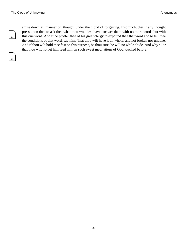

smite down all manner of thought under the cloud of forgetting. Insomuch, that if any thought press upon thee to ask thee what thou wouldest have, answer them with no more words but with this one word. And if he proffer thee of his great clergy to expound thee that word and to tell thee the conditions of that word, say him: That thou wilt have it all whole, and not broken nor undone. And if thou wilt hold thee fast on this purpose, be thou sure, he will no while abide. And why? For that thou wilt not let him feed him on such sweet meditations of God touched before.

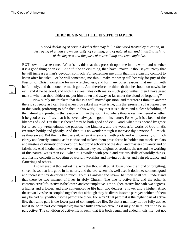96

97

98

#### **HERE BEGINNETH THE EIGHTH CHAPTER**

*A good declaring of certain doubts that may fall in this word treated by question, in destroying of a man's own curiosity, of cunning, and of natural wit, and in distinguishing of the degrees and the parts of active living and contemplative.*

BUT now thou askest me, "What is he, this that thus presseth upon me in this work; and whether it is a good thing or an evil? And if it be an evil thing, then have I marvel," thou sayest, "why that he will increase a man's devotion so much. For sometimes me think that it is a passing comfort to listen after his tales. For he will sometime, me think, make me weep full heartily for pity of the Passion of Christ, sometime for my wretchedness, and for many other reasons, that me thinketh be full holy, and that done me much good. And therefore me thinketh that he should on nowise be evil; and if he be good, and with his sweet tales doth me so much good withal, then I have great marvel why that thou biddest me put him down and away so far under the cloud of forgetting?"

Now surely me thinketh that this is a well moved question, and therefore I think to answer thereto so feebly as I can. First when thou askest me what is he, this that presseth so fast upon thee in this work, proffering to help thee in this work; I say that it is a sharp and a clear beholding of thy natural wit, printed in thy reason within in thy soul. And where thou askest me thereof whether it be good or evil, I say that it behoveth always be good in its nature. For why, it is a beam of the likeness of God. But the use thereof may be both good and evil. Good, when it is opened by grace for to see thy wretchedness, the passion, the kindness, and the wonderful works of God in His creatures bodily and ghostly. And then it is no wonder though it increase thy devotion full much, as thou sayest. But then is the use evil, when it is swollen with pride and with curiosity of much clergy and letterly cunning as in clerks; and maketh them press for to be holden not meek scholars and masters of divinity or of devotion, but proud scholars of the devil and masters of vanity and of falsehood. And in other men or women whatso they be, religious or seculars, the use and the working of this natural wit is then evil, when it is swollen with proud and curious skills of worldly things, and fleshly conceits in coveting of worldly worships and having of riches and vain plesaunce and flatterings of others.

And where that thou askest me, why that thou shalt put it down under the cloud of forgetting, since it is so, that it is good in its nature, and thereto when it is well used it doth thee so much good and increaseth thy devotion so much. To this I answer and say—That thou shalt well understand that there be two manner of lives in Holy Church. The one is active life, and the other is contemplative life. Active is the lower, and contemplative is the higher. Active life hath two degrees, a higher and a lower: and also contemplative life hath two degrees, a lower and a higher. Also, these two lives be so coupled together that although they be divers in some part, yet neither of them may be had fully without some part of the other. For why? That part that is the higher part of active life, that same part is the lower part of contemplative life. So that a man may not be fully active, but if he be in part contemplative; nor yet fully contemplative, as it may be here, but if he be in part active. The condition of active life is such, that it is both begun and ended in this life; but not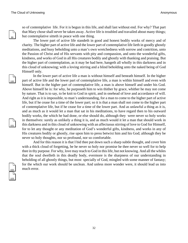99

100

101

so of contemplative life. For it is begun in this life, and shall last without end. For why? That part that Mary chose shall never be taken away. Active life is troubled and travailed about many things; but contemplative sitteth in peace with one thing.

The lower part of active life standeth in good and honest bodily works of mercy and of charity. The higher part of active life and the lower part of contemplative life lieth in goodly ghostly meditations, and busy beholding unto a man's own wretchedness with sorrow and contrition, unto the Passion of Christ and of His servants with pity and compassion, and unto the wonderful gifts, kindness, and works of God in all His creatures bodily and ghostly with thanking and praising. But the higher part of contemplation, as it may be had here, hangeth all wholly in this darkness and in this cloud of unknowing; with a loving stirring and a blind beholding unto the naked being of God Himself only.

In the lower part of active life a man is without himself and beneath himself. In the higher part of active life and the lower part of contemplative life, a man is within himself and even with himself. But in the higher part of contemplative life, a man is above himself and under his God. Above himself he is: for why, he purposeth him to win thither by grace, whither he may not come by nature. That is to say, to be knit to God in spirit, and in onehead of love and accordance of will. And right as it is impossible, to man's understanding, for a man to come to the higher part of active life, but if he cease for a time of the lower part; so it is that a man shall not come to the higher part of contemplative life, but if he cease for a time of the lower part. And as unlawful a thing as it is, and as much as it would let a man that sat in his meditations, to have regard then to his outward bodily works, the which he had done, or else should do, although they were never so holy works in themselves: surely as unlikely a thing it is, and as much would it let a man that should work in this darkness and in this cloud of unknowing with an affectuous stirring of love to God for Himself, for to let any thought or any meditation of God's wonderful gifts, kindness, and works in any of His creatures bodily or ghostly, rise upon him to press betwixt him and his God; although they be never so holy thoughts, nor so profound, nor so comfortable.

And for this reason it is that I bid thee put down such a sharp subtle thought, and cover him with a thick cloud of forgetting, be he never so holy nor promise he thee never so well for to help thee in thy purpose. For why, love may reach to God in this life, but not knowing. And all the whiles that the soul dwelleth in this deadly body, evermore is the sharpness of our understanding in beholding of all ghostly things, but most specially of God, mingled with some manner of fantasy; for the which our work should be unclean. And unless more wonder were, it should lead us into much error.

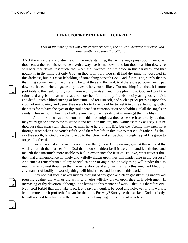#### **HERE BEGINNETH THE NINTH CHAPTER**

#### *That in the time of this work the remembrance of the holiest Creature that ever God made letteth more than it profiteth.*

AND therefore the sharp stirring of thine understanding, that will always press upon thee when thou settest thee to this work, behoveth always be borne down; and but thou bear him down, he will bear thee down. Insomuch, that when thou weenest best to abide in this darkness, and that nought is in thy mind but only God; an thou look truly thou shalt find thy mind not occupied in this darkness, but in a clear beholding of some thing beneath God. And if it thus be, surely then is that thing above thee for the time, and betwixt thee and thy God. And therefore purpose thee to put down such clear beholdings, be they never so holy nor so likely. For one thing I tell thee, it is more profitable to the health of thy soul, more worthy in itself, and more pleasing to God and to all the saints and angels in heaven—yea, and more helpful to all thy friends, bodily and ghostly, quick and dead—such a blind stirring of love unto God for Himself, and such a privy pressing upon this cloud of unknowing, and better thee were for to have it and for to feel it in thine affection ghostly, than it is for to have the eyes of thy soul opened in contemplation or beholding of all the angels or saints in heaven, or in hearing of all the mirth and the melody that is amongst them in bliss.

And look thou have no wonder of this: for mightest thou once see it as clearly, as thou mayest by grace come to for to grope it and feel it in this life, thou wouldest think as I say. But be thou sure that clear sight shall never man have here in this life: but the feeling may men have through grace when God vouchsafeth. And therefore lift up thy love to that cloud: rather, if I shall say thee sooth, let God draw thy love up to that cloud and strive thou through help of His grace to forget all other thing.

For since a naked remembrance of any thing under God pressing against thy will and thy witting putteth thee farther from God than thou shouldest be if it were not, and letteth thee, and maketh thee inasmuch more unable to feel in experience the fruit of His love, what trowest thou then that a remembrance wittingly and wilfully drawn upon thee will hinder thee in thy purpose? And since a remembrance of any special saint or of any clean ghostly thing will hinder thee so much, what trowest thou then that the remembrance of any man living in this wretched life, or of any manner of bodily or worldly thing, will hinder thee and let thee in this work?

I say not that such a naked sudden thought of any good and clean ghostly thing under God pressing against thy will or thy witting, or else wilfully drawn upon thee with advisement in increasing of thy devotion, although it be letting to this manner of work—that it is therefore evil. Nay! God forbid that thou take it so. But I say, although it be good and holy, yet in this work it letteth more than it profiteth. I mean for the time. For why? Surely he that seeketh God perfectly, he will not rest him finally in the remembrance of any angel or saint that is in heaven.





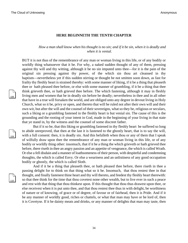#### **HERE BEGINNETH THE TENTH CHAPTER**

#### *How a man shall know when his thought is no sin; and if it be sin, when it is deadly and when it is venial.*

BUT it is not thus of the remembrance of any man or woman living in this life, or of any bodily or worldly thing whatsoever that it be. For why, a naked sudden thought of any of them, pressing against thy will and thy witting, although it be no sin imputed unto thee—for it is the pain of the original sin pressing against thy power, of the which sin thou art cleansed in thy baptism—nevertheless yet if this sudden stirring or thought be not smitten soon down, as fast for frailty thy fleshly heart is strained thereby: with some manner of liking, if it be a thing that pleaseth thee or hath pleased thee before, or else with some manner of grumbling, if it be a thing that thee think grieveth thee, or hath grieved thee before. The which fastening, although it may in fleshly living men and women that be in deadly sin before be deadly; nevertheless in thee and in all other that have in a true will forsaken the world, and are obliged unto any degree in devout living in Holy Church, what so it be, privy or open, and thereto that will be ruled not after their own will and their own wit, but after the will and the counsel of their sovereigns, what so they be, religious or seculars, such a liking or a grumbling fastened in the fleshly heart is but venial sin. The cause of this is the grounding and the rooting of your intent in God, made in the beginning of your living in that state that ye stand in, by the witness and the counsel of some discreet father.

But if it so be, that this liking or grumbling fastened in thy fleshly heart be suffered so long to abide unreproved, that then at the last it is fastened to the ghostly heart, that is to say the will, with a full consent: then, it is deadly sin. And this befalleth when thou or any of them that I speak of wilfully draw upon thee the remembrance of any man or woman living in this life, or of any bodily or worldly thing other: insomuch, that if it be a thing the which grieveth or hath grieved thee before, there riseth in thee an angry passion and an appetite of vengeance, the which is called Wrath. Or else a fell disdain and a manner of loathsomeness of their person, with despiteful and condemning thoughts, the which is called Envy. Or else a weariness and an unlistiness of any good occupation bodily or ghostly, the which is called Sloth.

And if it be a thing that pleaseth thee, or hath pleased thee before, there riseth in thee a passing delight for to think on that thing what so it be. Insomuch, that thou restest thee in that thought, and finally fastenest thine heart and thy will thereto, and feedest thy fleshly heart therewith: so that thee think for the time that thou covetest none other wealth, but to live ever in such a peace and rest with that thing that thou thinkest upon. If this thought that thou thus drawest upon thee, or else receivest when it is put unto thee, and that thou restest thee thus in with delight, be worthiness of nature or of knowing, of grace or of degree, of favour or of fairhead, then it is Pride. And if it be any manner of worldly good, riches or chattels, or what that man may have or be lord of, then it is Covetyse. If it be dainty meats and drinks, or any manner of delights that man may taste, then





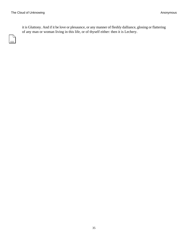it is Gluttony. And if it be love or plesaunce, or any manner of fleshly dalliance, glosing or flattering of any man or woman living in this life, or of thyself either: then it is Lechery.

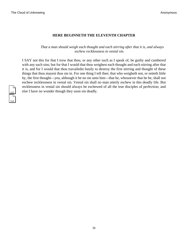# **HERE BEGINNETH THE ELEVENTH CHAPTER**

## *That a man should weigh each thought and each stirring after that it is, and always eschew recklessness in venial sin.*

I SAY not this for that I trow that thou, or any other such as I speak of, be guilty and cumbered with any such sins; but for that I would that thou weighest each thought and each stirring after that it is, and for I would that thou travailedst busily to destroy the first stirring and thought of these things that thou mayest thus sin in. For one thing I tell thee; that who weigheth not, or setteth little by, the first thought—yea, although it be no sin unto him—that he, whosoever that he be, shall not eschew recklessness in venial sin. Venial sin shall no man utterly eschew in this deadly life. But recklessness in venial sin should always be eschewed of all the true disciples of perfection; and else I have no wonder though they soon sin deadly.

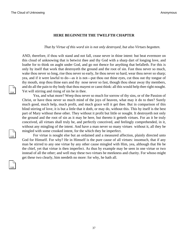# **HERE BEGINNETH THE TWELFTH CHAPTER**

#### *That by Virtue of this word sin is not only destroyed, but also Virtues begotten.*

AND, therefore, if thou wilt stand and not fall, cease never in thine intent: but beat evermore on this cloud of unknowing that is betwixt thee and thy God with a sharp dart of longing love, and loathe for to think on aught under God, and go not thence for anything that befalleth. For this is only by itself that work that destroyeth the ground and the root of sin. Fast thou never so much, wake thou never so long, rise thou never so early, lie thou never so hard, wear thou never so sharp; yea, and if it were lawful to do—as it is not—put thou out thine eyes, cut thou out thy tongue of thy mouth, stop thou thine ears and thy nose never so fast, though thou shear away thy members, and do all the pain to thy body that thou mayest or canst think: all this would help thee right nought. Yet will stirring and rising of sin be in thee.

Yea, and what more? Weep thou never so much for sorrow of thy sins, or of the Passion of Christ, or have thou never so much mind of the joys of heaven, what may it do to thee? Surely much good, much help, much profit, and much grace will it get thee. But in comparison of this blind stirring of love, it is but a little that it doth, or may do, without this. This by itself is the best part of Mary without these other. They without it profit but little or nought. It destroyeth not only the ground and the root of sin as it may be here, but thereto it getteth virtues. For an it be truly conceived, all virtues shall truly be, and perfectly conceived, and feelingly comprehended, in it, without any mingling of the intent. And have a man never so many virtues without it, all they be mingled with some crooked intent, for the which they be imperfect.

For virtue is nought else but an ordained and a measured affection, plainly directed unto God for Himself. For why? He in Himself is the pure cause of all virtues: insomuch, that if any man be stirred to any one virtue by any other cause mingled with Him, yea, although that He be the chief, yet that virtue is then imperfect. As thus by example may be seen in one virtue or two instead of all the other; and well may these two virtues be meekness and charity. For whoso might get these two clearly, him needeth no more: for why, he hath all.





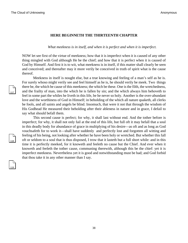# **HERE BEGINNETH THE THIRTEENTH CHAPTER**

#### *What meekness is in itself, and when it is perfect and when it is imperfect.*

NOW let see first of the virtue of meekness; how that it is imperfect when it is caused of any other thing mingled with God although He be the chief; and how that it is perfect when it is caused of God by Himself. And first it is to wit, what meekness is in itself, if this matter shall clearly be seen and conceived; and thereafter may it more verily be conceived in truth of spirit what is the cause thereof.

Meekness in itself is nought else, but a true knowing and feeling of a man's self as he is. For surely whoso might verily see and feel himself as he is, he should verily be meek. Two things there be, the which be cause of this meekness; the which be these. One is the filth, the wretchedness, and the frailty of man, into the which he is fallen by sin; and the which always him behoveth to feel in some part the whiles he liveth in this life, be he never so holy. Another is the over-abundant love and the worthiness of God in Himself; in beholding of the which all nature quaketh, all clerks be fools, and all saints and angels be blind. Insomuch, that were it not that through the wisdom of His Godhead He measured their beholding after their ableness in nature and in grace, I defail to say what should befall them.

This second cause is perfect; for why, it shall last without end. And the tother before is imperfect; for why, it shall not only fail at the end of this life, but full oft it may befall that a soul in this deadly body for abundance of grace in multiplying of his desire—as oft and as long as God vouchsafeth for to work it—shall have suddenly and perfectly lost and forgotten all witting and feeling of his being, not looking after whether he have been holy or wretched. But whether this fall oft or seldom to a soul that is thus disposed, I trow that it lasteth but a full short while: and in this time it is perfectly meeked, for it knoweth and feeleth no cause but the Chief. And ever when it knoweth and feeleth the tother cause, communing therewith, although this be the chief: yet it is imperfect meekness. Nevertheless yet it is good and notwithstanding must be had; and God forbid that thou take it in any other manner than I say.

38

118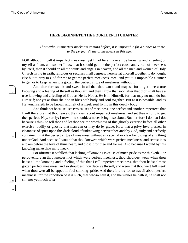# **HERE BEGINNETH THE FOURTEENTH CHAPTER**

# *That without imperfect meekness coming before, it is impossible for a sinner to come to the perfect Virtue of meekness in this life.*

FOR although I call it imperfect meekness, yet I had liefer have a true knowing and a feeling of myself as I am, and sooner I trow that it should get me the perfect cause and virtue of meekness by itself, than it should an all the saints and angels in heaven, and all the men and women of Holy Church living in earth, religious or seculars in all degrees, were set at once all together to do nought else but to pray to God for me to get me perfect meekness. Yea, and yet it is impossible a sinner to get, or to keep when it is gotten, the perfect virtue of meekness without it.

And therefore swink and sweat in all that thou canst and mayest, for to get thee a true knowing and a feeling of thyself as thou art; and then I trow that soon after that thou shalt have a true knowing and a feeling of God as He is. Not as He is in Himself, for that may no man do but Himself; nor yet as thou shalt do in bliss both body and soul together. But as it is possible, and as He vouchsafeth to be known and felt of a meek soul living in this deadly body.

And think not because I set two causes of meekness, one perfect and another imperfect, that I will therefore that thou leavest the travail about imperfect meekness, and set thee wholly to get thee perfect. Nay, surely; I trow thou shouldest never bring it so about. But herefore I do that I do: because I think to tell thee and let thee see the worthiness of this ghostly exercise before all other exercise bodily or ghostly that man can or may do by grace. How that a privy love pressed in cleanness of spirit upon this dark cloud of unknowing betwixt thee and thy God, truly and perfectly containeth in it the perfect virtue of meekness without any special or clear beholding of any thing under God. And because I would that thou knewest which were perfect meekness, and settest it as a token before the love of thine heart, and didst it for thee and for me. And because I would by this knowing make thee more meek.

For ofttimes it befalleth that lacking of knowing is cause of much pride as me thinketh. For peradventure an thou knewest not which were perfect meekness, thou shouldest ween when thou hadst a little knowing and a feeling of this that I call imperfect meekness, that thou hadst almost gotten perfect meekness: and so shouldest thou deceive thyself, and ween that thou wert full meek when thou wert all belapped in foul stinking pride. And therefore try for to travail about perfect meekness; for the condition of it is such, that whoso hath it, and the whiles he hath it, he shall not sin, nor yet much after.





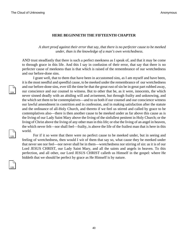#### **HERE BEGINNETH THE FIFTEENTH CHAPTER**

#### *A short proof against their error that say, that there is no perfecter cause to be meeked under, than is the knowledge of a man's own wretchedness.*

AND trust steadfastly that there is such a perfect meekness as I speak of, and that it may be come to through grace in this life. And this I say in confusion of their error, that say that there is no perfecter cause of meekness than is that which is raised of the remembrance of our wretchedness and our before-done sins.

I grant well, that to them that have been in accustomed sins, as I am myself and have been, it is the most needful and speedful cause, to be meeked under the remembrance of our wretchedness and our before-done sins, ever till the time be that the great rust of sin be in great part rubbed away, our conscience and our counsel to witness. But to other that be, as it were, innocents, the which never sinned deadly with an abiding will and avisement, but through frailty and unknowing, and the which set them to be contemplatives—and to us both if our counsel and our conscience witness our lawful amendment in contrition and in confession, and in making satisfaction after the statute and the ordinance of all-Holy Church, and thereto if we feel us stirred and called by grace to be contemplatives also—there is then another cause to be meeked under as far above this cause as is the living of our Lady Saint Mary above the living of the sinfullest penitent in Holy Church; or the living of Christ above the living of any other man in this life; or else the living of an angel in heaven, the which never felt—nor shall feel—frailty, is above the life of the frailest man that is here in this world.

125

124

For if it so were that there were no perfect cause to be meeked under, but in seeing and feeling of wretchedness, then would I wit of them that say so, what cause they be meeked under that never see nor feel—nor never shall be in them—wretchedness nor stirring of sin: as it is of our Lord JESUS CHRIST, our Lady Saint Mary, and all the saints and angels in heaven. To this perfection, and all other, our Lord JESUS CHRIST calleth us Himself in the gospel: where He biddeth that we should be perfect by grace as He Himself is by nature.

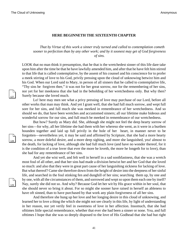#### **HERE BEGINNETH THE SIXTEENTH CHAPTER**

*That by Virtue of this work a sinner truly turned and called to contemplation cometh sooner to perfection than by any other work; and by it soonest may get of God forgiveness of sins.*

LOOK that no man think it presumption, that he that is the wretchedest sinner of this life dare take upon him after the time be that he have lawfully amended him, and after that he have felt him stirred to that life that is called contemplative, by the assent of his counsel and his conscience for to profer a meek stirring of love to his God, privily pressing upon the cloud of unknowing betwixt him and his God. When our Lord said to Mary, in person of all sinners that be called to contemplative life, "Thy sins be forgiven thee," it was not for her great sorrow, nor for the remembering of her sins, nor yet for her meekness that she had in the beholding of her wretchedness only. But why then? Surely because she loved much.

Lo! here may men see what a privy pressing of love may purchase of our Lord, before all other works that man may think. And yet I grant well, that she had full much sorrow, and wept full sore for her sins, and full much she was meeked in remembrance of her wretchedness. And so should we do, that have been wretches and accustomed sinners; all our lifetime make hideous and wonderful sorrow for our sins, and full much be meeked in remembrance of our wretchedness.

But how? Surely as Mary did. She, although she might not feel the deep hearty sorrow of her sins—for why, all her lifetime she had them with her whereso she went, as it were in a burthen bounden together and laid up full privily in the hole of her heart, in manner never to be forgotten—nevertheless yet, it may be said and affirmed by Scripture, that she had a more hearty sorrow, a more doleful desire, and a more deep sighing, and more she languished, yea! almost to the death, for lacking of love, although she had full much love (and have no wonder thereof, for it is the condition of a true lover that ever the more he loveth, the more he longeth for to love), than she had for any remembrance of her sins.

And yet she wist well, and felt well in herself in a sad soothfastness, that she was a wretch most foul of all other, and that her sins had made a division betwixt her and her God that she loved so much: and also that they were in great part cause of her languishing sickness for lacking of love. But what thereof? Came she therefore down from the height of desire into the deepness of her sinful life, and searched in the foul stinking fen and dunghill of her sins; searching them up, by one and by one, with all the circumstances of them, and sorrowed and wept so upon them each one by itself? Nay, surely she did not so. And why? Because God let her wit by His grace within in her soul, that she should never so bring it about. For so might she sooner have raised in herself an ableness to have oft sinned, than to have purchased by that work any plain forgiveness of all her sins.

And therefore she hung up her love and her longing desire in this cloud of unknowing, and learned her to love a thing the which she might not see clearly in this life, by light of understanding in her reason, nor yet verily feel in sweetness of love in her affection. Insomuch, that she had ofttimes little special remembrance, whether that ever she had been a sinner or none. Yea, and full ofttimes I hope that she was so deeply disposed to the love of His Godhead that she had but right



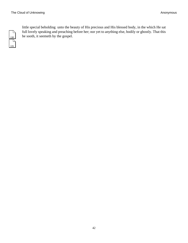

little special beholding unto the beauty of His precious and His blessed body, in the which He sat full lovely speaking and preaching before her; nor yet to anything else, bodily or ghostly. That this be sooth, it seemeth by the gospel.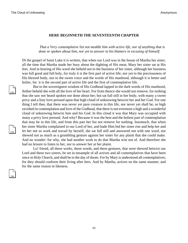#### **HERE BEGINNETH THE SEVENTEENTH CHAPTER**

*That a Very contemplative list not meddle him with active life, nor of anything that is done or spoken about him, nor yet to answer to his blamers in excusing of himself.*

IN the gospel of Saint Luke it is written, that when our Lord was in the house of Martha her sister, all the time that Martha made her busy about the dighting of His meat, Mary her sister sat at His feet. And in hearing of His word she beheld not to the business of her sister, although her business was full good and full holy, for truly it is the first part of active life; nor yet to the preciousness of His blessed body, nor to the sweet voice and the words of His manhood, although it is better and holier, for it is the second part of active life and the first of contemplative life.

But to the sovereignest wisdom of His Godhead lapped in the dark words of His manhood, thither beheld she with all the love of her heart. For from thence she would not remove, for nothing that she saw nor heard spoken nor done about her; but sat full still in her body, with many a sweet privy and a listy love pressed upon that high cloud of unknowing betwixt her and her God. For one thing I tell thee, that there was never yet pure creature in this life, nor never yet shall be, so high ravished in contemplation and love of the Godhead, that there is not evermore a high and a wonderful cloud of unknowing betwixt him and his God. In this cloud it was that Mary was occupied with many a privy love pressed. And why? Because it was the best and the holiest part of contemplation that may be in this life, and from this part her list not remove for nothing. Insomuch, that when her sister Martha complained to our Lord of her, and bade Him bid her sister rise and help her and let her not so work and travail by herself, she sat full still and answered not with one word, nor shewed not as much as a grumbling gesture against her sister for any plaint that she could make. And no wonder: for why, she had another work to do that Martha wist not of. And therefore she had no leisure to listen to her, nor to answer her at her plaint.

Lo! friend, all these works, these words, and these gestures, that were shewed betwixt our Lord and these two sisters, be set in ensample of all actives and all contemplatives that have been since in Holy Church, and shall be to the day of doom. For by Mary is understood all contemplatives; for they should conform their living after hers. And by Martha, actives on the same manner; and for the same reason in likeness.





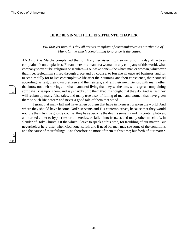# **HERE BEGINNETH THE EIGHTEENTH CHAPTER**

*How that yet unto this day all actives complain of contemplatives as Martha did of Mary. Of the which complaining ignorance is the cause.*

AND right as Martha complained then on Mary her sister, right so yet unto this day all actives complain of contemplatives. For an there be a man or a woman in any company of this world, what company soever it be, religious or seculars—I out-take none—the which man or woman, whichever that it be, feeleth him stirred through grace and by counsel to forsake all outward business, and for to set him fully for to live contemplative life after their cunning and their conscience, their counsel according; as fast, their own brethren and their sisters, and all their next friends, with many other that know not their stirrings nor that manner of living that they set them to, with a great complaining spirit shall rise upon them, and say sharply unto them that it is nought that they do. And as fast they will reckon up many false tales, and many true also, of falling of men and women that have given them to such life before: and never a good tale of them that stood.

I grant that many fall and have fallen of them that have in likeness forsaken the world. And where they should have become God's servants and His contemplatives, because that they would not rule them by true ghostly counsel they have become the devil's servants and his contemplatives; and turned either to hypocrites or to heretics, or fallen into frenzies and many other mischiefs, in slander of Holy Church. Of the which I leave to speak at this time, for troubling of our matter. But nevertheless here after when God vouchsafeth and if need be, men may see some of the conditions and the cause of their failings. And therefore no more of them at this time; but forth of our matter.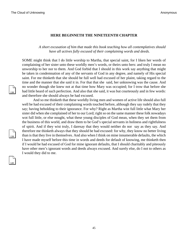# **HERE BEGINNETH THE NINETEENTH CHAPTER**

# *A short excusation of him that made this book teaching how all contemplatives should have all actives fully excused of their complaining words and deeds.*

SOME might think that I do little worship to Martha, that special saint, for I liken her words of complaining of her sister unto these worldly men's words, or theirs unto hers: and truly I mean no unworship to her nor to them. And God forbid that I should in this work say anything that might be taken in condemnation of any of the servants of God in any degree, and namely of His special saint. For me thinketh that she should be full well had excused of her plaint, taking regard to the time and the manner that she said it in. For that that she said, her unknowing was the cause. And no wonder though she knew not at that time how Mary was occupied; for I trow that before she had little heard of such perfection. And also that she said, it was but courteously and in few words: and therefore she should always be had excused.

And so me thinketh that these worldly living men and women of active life should also full well be had excused of their complaining words touched before, although they say rudely that they say; having beholding to their ignorance. For why? Right as Martha wist full little what Mary her sister did when she complained of her to our Lord; right so on the same manner these folk nowadays wot full little, or else nought, what these young disciples of God mean, when they set them from the business of this world, and draw them to be God's special servants in holiness and rightfulness of spirit. And if they wist truly, I daresay that they would neither do nor say as they say. And therefore me thinketh always that they should be had excused: for why, they know no better living than is that they live in themselves. And also when I think on mine innumerable defaults, the which I have made myself before this time in words and deeds for default of knowing, me thinketh then if I would be had excused of God for mine ignorant defaults, that I should charitably and piteously have other men's ignorant words and deeds always excused. And surely else, do I not to others as I would they did to me.



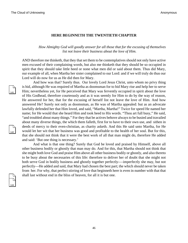#### **HERE BEGINNETH THE TWENTIETH CHAPTER**

#### *How Almighty God will goodly answer for all those that for the excusing of themselves list not leave their business about the love of Him.*

AND therefore me thinketh, that they that set them to be contemplatives should not only have active men excused of their complaining words, but also me thinketh that they should be so occupied in spirit that they should take little heed or none what men did or said about them. Thus did Mary, our example of all, when Martha her sister complained to our Lord: and if we will truly do thus our Lord will do now for us as He did then for Mary.

And how was that? Surely thus. Our lovely Lord Jesus Christ, unto whom no privy thing is hid, although He was required of Martha as doomsman for to bid Mary rise and help her to serve Him; nevertheless yet, for He perceived that Mary was fervently occupied in spirit about the love of His Godhead, therefore courteously and as it was seemly for Him to do by the way of reason, He answered for her, that for the excusing of herself list not leave the love of Him. And how answered He? Surely not only as doomsman, as He was of Martha appealed: but as an advocate lawfully defended her that Him loved, and said, "Martha, Martha!" Twice for speed He named her name; for He would that she heard Him and took heed to His words. "Thou art full busy," He said, "and troubled about many things." For they that be actives behove always to be busied and travailed about many diverse things, the which them falleth, first for to have to their own use, and sithen in deeds of mercy to their even-christian, as charity asketh. And this He said unto Martha, for He would let her wit that her business was good and profitable to the health of her soul. But for this, that she should not think that it were the best work of all that man might do, therefore He added and said: 'But one thing is necessary.'

And what is that one thing? Surely that God be loved and praised by Himself, above all other business bodily or ghostly that man may do. And for this, that Martha should not think that she might both love God and praise Him above all other business bodily or ghostly, and also thereto to be busy about the necessaries of this life: therefore to deliver her of doubt that she might not both serve God in bodily business and ghostly together perfectly-—imperfectly she may, but not perfectly—He added and said, that Mary had chosen the best part; the which should never be taken from her. For why, that perfect stirring of love that beginneth here is even in number with that that shall last without end in the bliss of heaven, for all it is but one.



141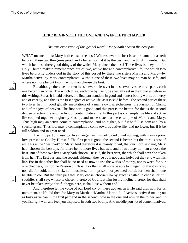#### **HERE BEGINNETH THE ONE AND TWENTIETH CHAPTER**

#### *The true exposition of this gospel word, "Mary hath chosen the best part."*

WHAT meaneth this; Mary hath chosen the best? Wheresoever the best is set or named, it asketh before it these two things—a good, and a better; so that it be the best, and the third in number. But which be these three good things, of the which Mary chose the best? Three lives be they not, for Holy Church maketh remembrance but of two, active life and contemplative life; the which two lives be privily understood in the story of this gospel by these two sisters Martha and Mary—by Martha active, by Mary contemplative. Without one of these two lives may no man be safe, and where no more be but two, may no man choose the best.

But although there be but two lives, nevertheless yet in these two lives be three parts, each one better than other. The which three, each one by itself, be specially set in their places before in this writing. For as it is said before, the first part standeth in good and honest bodily works of mercy and of charity; and this is the first degree of active life, as it is said before. The second part of these two lives lieth in good ghostly meditations of a man's own wretchedness, the Passion of Christ, and of the joys of heaven. The first part is good, and this part is the better; for this is the second degree of active life and the first of contemplative life. In this part is contemplative life and active life coupled together in ghostly kinship, and made sisters at the ensample of Martha and Mary. Thus high may an active come to contemplation; and no higher, but if it be full seldom and by a special grace. Thus low may a contemplative come towards active life; and no lower, but if it be full seldom and in great need.

The third part of these two lives hangeth in this dark cloud of unknowing, with many a privy love pressed to God by Himself. The first part is good, the second is better, but the third is best of all. This is the "best part" of Mary. And therefore it is plainly to wit, that our Lord said not, Mary hath chosen the best *life;* for there be no more lives but two, and of two may no man choose the best. But of these two lives Mary hath chosen, He said, the best *part;* the which shall never be taken from her. The first part and the second, although they be both good and holy, yet they end with this life. For in the tother life shall be no need as now to use the works of mercy, nor to weep for our wretchedness, nor for the Passion of Christ. For then shall none be able to hunger nor thirst as now, nor die for cold, nor be sick, nor houseless, nor in prison; nor yet need burial, for then shall none be able to die. But the third part that Mary chose, choose who by grace is called to choose: or, if I soothlier shall say, whoso is chosen thereto of God. Let him lustily incline thereto, for that shall never be taken away: for if it begin here, it shall last without end.

And therefore let the voice of our Lord cry on these actives, as if He said thus now for us unto them, as He did then for Mary to Martha, "Martha, Martha!"—"Actives, actives! make you as busy as ye can in the first part and in the second, now in the one and now in the tother: and, if you list right well and feel you disposed, in both two bodily. And meddle you not of contemplatives.





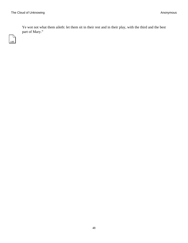Ye wot not what them aileth: let them sit in their rest and in their play, with the third and the best part of Mary."

| ą<br>Λ |  |
|--------|--|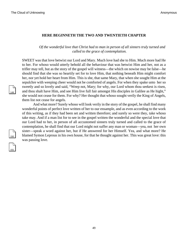# **HERE BEGINNETH THE TWO AND TWENTIETH CHAPTER**

## *Of the wonderful love that Christ had to man in person of all sinners truly turned and called to the grace of contemplation.*

SWEET was that love betwixt our Lord and Mary. Much love had she to Him. Much more had He to her. For whoso would utterly behold all the behaviour that was betwixt Him and her, not as a trifler may tell, but as the story of the gospel will witness—the which on nowise may be false—he should find that she was so heartily set for to love Him, that nothing beneath Him might comfort her, nor yet hold her heart from Him. This is she, that same Mary, that when she sought Him at the sepulchre with weeping cheer would not be comforted of angels. For when they spake unto her so sweetly and so lovely and said, "Weep not, Mary; for why, our Lord whom thou seekest is risen, and thou shalt have Him, and see Him live full fair amongst His disciples in Galilee as He hight," she would not cease for them. For why? Her thought that whoso sought verily the King of Angels, them list not cease for angels.

And what more? Surely whoso will look verily in the story of the gospel, he shall find many wonderful points of perfect love written of her to our ensample, and as even according to the work of this writing, as if they had been set and written therefore; and surely so were they, take whoso take may. And if a man list for to see in the gospel written the wonderful and the special love that our Lord had to her, in person of all accustomed sinners truly turned and called to the grace of contemplation, he shall find that our Lord might not suffer any man or woman—yea, not her own sister—speak a word against her, but if He answered for her Himself. Yea, and what more? He blamed Symon Leprous in his own house, for that he thought against her. This was great love: this was passing love.





| é<br>5 |  |
|--------|--|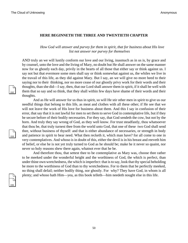# **HERE BEGINNETH THE THREE AND TWENTIETH CHAPTER**

## *How God will answer and purvey for them in spirit, that for business about His love list not answer nor purvey for themselves*

AND truly an we will lustily conform our love and our living, inasmuch as in us is, by grace and by counsel, unto the love and the living of Mary, no doubt but He shall answer on the same manner now for us ghostly each day, privily in the hearts of all those that either say or think against us. I say not but that evermore some men shall say or think somewhat against us, the whiles we live in the travail of this life, as they did against Mary. But I say, an we will give no more heed to their saying nor to their thinking, nor no more cease of our ghostly privy work for their words and their thoughts, than she did—I say, then, that our Lord shall answer them in spirit, if it shall be well with them that so say and so think, that they shall within few days have shame of their words and their thoughts.

And as He will answer for us thus in spirit, so will He stir other men in spirit to give us our needful things that belong to this life, as meat and clothes with all these other; if He see that we will not leave the work of His love for business about them. And this I say in confusion of their error, that say that it is not lawful for men to set them to serve God in contemplative life, but if they be secure before of their bodily necessaries. For they say, that God sendeth the cow, but not by the horn. And truly they say wrong of God, as they well know. For trust steadfastly, thou whatsoever that thou be, that truly turnest thee from the world unto God, that one of these two God shall send thee, without business of thyself: and that is either abundance of necessaries, or strength in body and patience in spirit to bear need. What then recketh it, which man have? for all come to one in very contemplatives. And whoso is in doubt of this, either the devil is in his breast and reeveth him of belief, or else he is not yet truly turned to God as he should be; make he it never so quaint, nor never so holy reasons shew there again, whatnot ever that he be.

And therefore thou, that settest thee to be contemplative as Mary was, choose thee rather to be meeked under the wonderful height and the worthiness of God, the which is perfect, than under thine own wretchedness, the which is imperfect: that is to say, look that thy special beholding be more to the worthiness of God than to thy wretchedness. For to them that be perfectly meeked, no thing shall defail; neither bodily thing, nor ghostly. For why? They have God, in whom is all plenty; and whoso hath Him—yea, as this book telleth—him needeth nought else in this life.





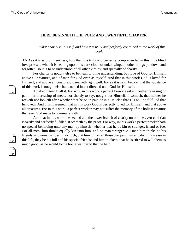## **HERE BEGINNETH THE FOUR AND TWENTIETH CHAPTER**

## *What charity is in itself, and how it is truly and perfectly contained in the work of this book.*

AND as it is said of meekness, how that it is truly and perfectly comprehended in this little blind love pressed, when it is beating upon this dark cloud of unknowing, all other things put down and forgotten: so it is to be understood of all other virtues, and specially of charity.

For charity is nought else to bemean to thine understanding, but love of God for Himself above all creatures, and of man for God even as thyself. And that in this work God is loved for Himself, and above all creatures, it seemeth right well. For as it is said before, that the substance of this work is nought else but a naked intent directed unto God for Himself.

A naked intent I call it. For why, in this work a perfect Prentice asketh neither releasing of pain, nor increasing of meed, nor shortly to say, nought but Himself. Insomuch, that neither he recketh nor looketh after whether that he be in pain or in bliss, else that His will be fulfilled that he loveth. And thus it seemeth that in this work God is perfectly loved for Himself, and that above all creatures. For in this work, a perfect worker may not suffer the memory of the holiest creature that ever God made to commune with him.

And that in this work the second and the lower branch of charity unto thine even-christian is verily and perfectly fulfilled, it seemeth by the proof. For why, in this work a perfect worker hath no special beholding unto any man by himself, whether that he be kin or stranger, friend or foe. For all men him thinks equally kin unto him, and no man stranger. All men him thinks be his friends, and none his foes. Insomuch, that him thinks all those that pain him and do him disease in this life, they be his full and his special friends: and him thinketh, that he is stirred to will them as much good, as he would to the homeliest friend that he hath.



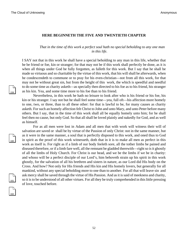# **HERE BEGINNETH THE FIVE AND TWENTIETH CHAPTER**

## *That in the time of this work a perfect soul hath no special beholding to any one man in this life.*

I SAY not that in this work he shall have a special beholding to any man in this life, whether that he be friend or foe, kin or stranger; for that may not be if this work shall perfectly be done, as it is when all things under God be fully forgotten, as falleth for this work. But I say that he shall be made so virtuous and so charitable by the virtue of this work, that his will shall be afterwards, when he condescendeth to commune or to pray for his even-christian—not from all this work, for that may not be without great sin, but from the height of this work, the which is speedful and needful to do some time as charity asketh—as specially then directed to his foe as to his friend, his stranger as his kin. Yea, and some time more to his foe than to his friend.

Nevertheless, in this work he hath no leisure to look after who is his friend or his foe, his kin or his stranger. I say not but he shall feel some time—yea, full oft—his affection more homely to one, two, or three, than to all these other: for that is lawful to be, for many causes as charity asketh. For such an homely affection felt Christ to John and unto Mary, and unto Peter before many others. But I say, that in the time of this work shall all be equally homely unto him; for he shall feel then no cause, but only God. So that all shall be loved plainly and nakedly for God, and as well as himself.

For as all men were lost in Adam and all men that with work will witness their will of salvation are saved or shall be by virtue of the Passion of only Christ: not in the same manner, but as it were in the same manner, a soul that is perfectly disposed to this work, and oned thus to God in spirit as the proof of this work witnesseth, doth that in it is to make all men as perfect in this work as itself is. For right as if a limb of our body feeleth sore, all the tother limbs be pained and diseased therefore, or if a limb fare well, all the remnant be gladded therewith—right so is it ghostly of all the limbs of Holy Church. For Christ is our head, and we be the limbs if we be in charity: and whoso will be a perfect disciple of our Lord's, him behoveth strain up his spirit in this work ghostly, for the salvation of all his brethren and sisters in nature, as our Lord did His body on the Cross. And how? Not only for His friends and His kin and His homely lovers, but generally for all mankind, without any special beholding more to one than to another. For all that will leave sin and ask mercy shall be saved through the virtue of His Passion. And as it is said of meekness and charity, so it is to be understood of all other virtues. For all they be truly comprehended in this little pressing of love, touched before.







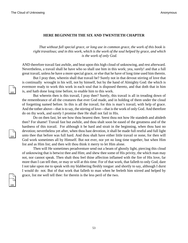# **HERE BEGINNETH THE SIX AND TWENTIETH CHAPTER**

*That without full special grace, or long use in common grace, the work of this book is right travailous; and in this work, which is the work of the soul helped by grace, and which is the work of only God.*

AND therefore travail fast awhile, and beat upon this high cloud of unknowing, and rest afterward. Nevertheless, a travail shall he have who so shall use him in this work; yea, surely! and that a full great travail, unless he have a more special grace, or else that he have of long time used him therein.

But I pray thee, wherein shall that travail be? Surely not in that devout stirring of love that is continually wrought in his will, not by himself, but by the hand of Almighty God: the which is evermore ready to work this work in each soul that is disposed thereto, and that doth that in him is, and hath done long time before, to enable him to this work.

But wherein then is this travail, I pray thee? Surely, this travail is all in treading down of the remembrance of all the creatures that ever God made, and in holding of them under the cloud of forgetting named before. In this is all the travail, for this is man's travail, with help of grace. And the tother above—that is to say, the stirring of love—that is the work of only God. And therefore do on thy work, and surely I promise thee He shall not fail in His.

Do on then fast; let see how thou bearest thee. Seest thou not how He standeth and abideth thee? For shame! Travail fast but awhile, and thou shalt soon be eased of the greatness and of the hardness of this travail. For although it be hard and strait in the beginning, when thou hast no devotion; nevertheless yet after, when thou hast devotion, it shall be made full restful and full light unto thee that before was full hard. And thou shalt have either little travail or none, for then will God work sometimes all by Himself. But not ever, nor yet no long time together, but when Him list and as Him list; and then wilt thou think it merry to let Him alone.

Then will He sometimes peradventure send out a beam of ghostly light, piercing this cloud of unknowing that is betwixt thee and Him; and shew thee some of His privity, the which man may not, nor cannot speak. Then shalt thou feel thine affection inflamed with the fire of His love, far more than I can tell thee, or may or will at this time. For of that work, that falleth to only God, dare I not take upon me to speak with my blabbering fleshly tongue: and shortly to say, although I durst I would do not. But of that work that falleth to man when he feeleth him stirred and helped by grace, list me well tell thee: for therein is the less peril of the two.





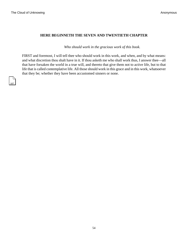167

# **HERE BEGINNETH THE SEVEN AND TWENTIETH CHAPTER**

*Who should work in the gracious work of this book.*

FIRST and foremost, I will tell thee who should work in this work, and when, and by what means: and what discretion thou shalt have in it. If thou asketh me who shall work thus, I answer thee—all that have forsaken the world in a true will, and thereto that give them not to active life, but to that life that is called contemplative life. All those should work in this grace and in this work, whatsoever that they be; whether they have been accustomed sinners or none.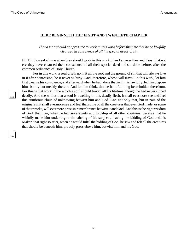#### **HERE BEGINNETH THE EIGHT AND TWENTIETH CHAPTER**

## *That a man should not presume to work in this work before the time that he be lawfully cleansed in conscience of all his special deeds of sin.*

BUT if thou asketh me when they should work in this work, then I answer thee and I say: that not ere they have cleansed their conscience of all their special deeds of sin done before, after the common ordinance of Holy Church.

For in this work, a soul drieth up in it all the root and the ground of sin that will always live in it after confession, be it never so busy. And, therefore, whoso will travail in this work, let him first cleanse his conscience; and afterward when he hath done that in him is lawfully, let him dispose him boldly but meekly thereto. And let him think, that he hath full long been holden therefrom. For this is that work in the which a soul should travail all his lifetime, though he had never sinned deadly. And the whiles that a soul is dwelling in this deadly flesh, it shall evermore see and feel this cumbrous cloud of unknowing betwixt him and God. And not only that, but in pain of the original sin it shall evermore see and feel that some of all the creatures that ever God made, or some of their works, will evermore press in remembrance betwixt it and God. And this is the right wisdom of God, that man, when he had sovereignty and lordship of all other creatures, because that he wilfully made him underling to the stirring of his subjects, leaving the bidding of God and his Maker; that right so after, when he would fulfil the bidding of God, he saw and felt all the creatures that should be beneath him, proudly press above him, betwixt him and his God.



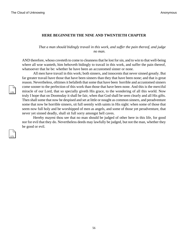## **HERE BEGINNETH THE NINE AND TWENTIETH CHAPTER**

## *That a man should bidingly travail in this work, and suffer the pain thereof, and judge no man.*

AND therefore, whoso coveteth to come to cleanness that he lost for sin, and to win to that well-being where all woe wanteth, him behoveth bidingly to travail in this work, and suffer the pain thereof, whatsoever that he be: whether he have been an accustomed sinner or none.

All men have travail in this work; both sinners, and innocents that never sinned greatly. But far greater travail have those that have been sinners than they that have been none; and that is great reason. Nevertheless, ofttimes it befalleth that some that have been horrible and accustomed sinners come sooner to the perfection of this work than those that have been none. And this is the merciful miracle of our Lord, that so specially giveth His grace, to the wondering of all this world. Now truly I hope that on Doomsday it shall be fair, when that God shall be seen clearly and all His gifts. Then shall some that now be despised and set at little or nought as common sinners, and peradventure some that now be horrible sinners, sit full seemly with saints in His sight: when some of those that seem now full holy and be worshipped of men as angels, and some of those yet peradventure, that never yet sinned deadly, shall sit full sorry amongst hell caves.

Hereby mayest thou see that no man should be judged of other here in this life, for good nor for evil that they do. Nevertheless deeds may lawfully be judged, but not the man, whether they be good or evil.



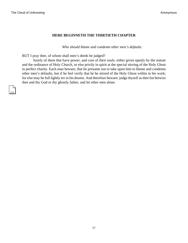# **HERE BEGINNETH THE THIRTIETH CHAPTER**

*Who should blame and condemn other men's defaults.*

BUT I pray thee, of whom shall men's deeds be judged?

Surely of them that have power, and cure of their souls: either given openly by the statute and the ordinance of Holy Church, or else privily in spirit at the special stirring of the Holy Ghost in perfect charity. Each man beware, that he presume not to take upon him to blame and condemn other men's defaults, but if he feel verily that he be stirred of the Holy Ghost within in his work; for else may he full lightly err in his dooms. And therefore beware: judge thyself as thee list betwixt thee and thy God or thy ghostly father, and let other men alone.

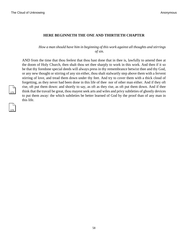# **HERE BEGINNETH THE ONE AND THIRTIETH CHAPTER**

# *How a man should have him in beginning of this work against all thoughts and stirrings of sin.*

AND from the time that thou feelest that thou hast done that in thee is, lawfully to amend thee at the doom of Holy Church, then shalt thou set thee sharply to work in this work. And then if it so be that thy foredone special deeds will always press in thy remembrance betwixt thee and thy God, or any new thought or stirring of any sin either, thou shalt stalwartly step above them with a fervent stirring of love, and tread them down under thy feet. And try to cover them with a thick cloud of forgetting, as they never had been done in this life of thee nor of other man either. And if they oft rise, oft put them down: and shortly to say, as oft as they rise, as oft put them down. And if thee think that the travail be great, thou mayest seek arts and wiles and privy subtleties of ghostly devices to put them away: the which subtleties be better learned of God by the proof than of any man in this life.

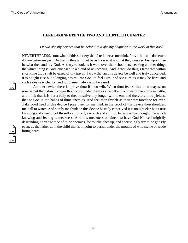# **HERE BEGINNETH THE TWO AND THIRTIETH CHAPTER**

#### *Of two ghostly devices that be helpful to a ghostly beginner in the work of this book.*

NEVERTHELESS, somewhat of this subtlety shall I tell thee as me think. Prove thou and do better, if thou better mayest. Do that in thee is, to let be as thou wist not that they press so fast upon thee betwixt thee and thy God. And try to look as it were over their shoulders, seeking another thing: the which thing is God, enclosed in a cloud of unknowing. And if thou do thus, I trow that within short time thou shalt be eased of thy travail. I trow that an this device be well and truly conceived, it is nought else but a longing desire unto God, to feel Him and see Him as it may be here: and such a desire is charity, and it obtaineth always to be eased.

Another device there is: prove thou if thou wilt. When thou feelest that thou mayest on nowise put them down, cower thou down under them as a caitiff and a coward overcome in battle, and think that it is but a folly to thee to strive any longer with them, and therefore thou yieldest thee to God in the hands of thine enemies. And feel then thyself as thou wert foredone for ever. Take good heed of this device I pray thee, for me think in the proof of this device thou shouldest melt all to water. And surely me think an this device be truly conceived it is nought else but a true knowing and a feeling of thyself as thou art, a wretch and a filthy, far worse than nought: the which knowing and feeling is meekness. And this meekness obtaineth to have God Himself mightily descending, to venge thee of thine enemies, for to take thee up, and cherishingly dry thine ghostly eyen; as the father doth the child that is in point to perish under the mouths of wild swine or wode biting bears.

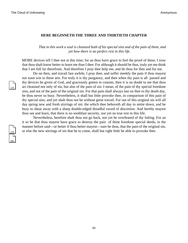## **HERE BEGINNETH THE THREE AND THIRTIETH CHAPTER**

#### *That in this work a soul is cleansed both of his special sins and of the pain of them, and yet how there is no perfect rest in this life.*

MORE devices tell I thee not at this time; for an thou have grace to feel the proof of these, I trow that thou shalt know better to learn me than I thee. For although it should be thus, truly yet me think that I am full far therefrom. And therefore I pray thee help me, and do thou for thee and for me.

Do on then, and travail fast awhile, I pray thee, and suffer meekly the pain if thou mayest not soon win to these arts. For truly it is thy purgatory, and then when thy pain is all passed and thy devices be given of God, and graciously gotten in custom; then it is no doubt to me that thou art cleansed not only of sin, but also of the pain of sin. I mean, of the pain of thy special foredone sins, and not of the pain of the original sin. For that pain shall always last on thee to thy death day, be thou never so busy. Nevertheless, it shall but little provoke thee, in comparison of this pain of thy special sins; and yet shalt thou not be without great travail. For out of this original sin will all day spring new and fresh stirrings of sin: the which thee behoveth all day to smite down, and be busy to shear away with a sharp double-edged dreadful sword of discretion. And hereby mayest thou see and learn, that there is no soothfast security, nor yet no true rest in this life.

Nevertheless, herefore shalt thou not go back, nor yet be overfeared of thy failing. For an it so be that thou mayest have grace to destroy the pain of thine foredone special deeds, in the manner before said—or better if thou better mayest—sure be thou, that the pain of the original sin, or else the new stirrings of sin that be to come, shall but right little be able to provoke thee.

| 8<br>IJ |
|---------|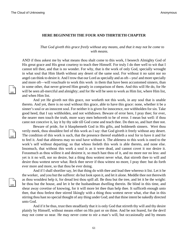181

182

183

#### **HERE BEGINNETH THE FOUR AND THIRTIETH CHAPTER**

#### *That God giveth this grace freely without any means, and that it may not be come to with means.*

AND if thou askest me by what means thou shalt come to this work, I beseech Almighty God of His great grace and His great courtesy to teach thee Himself. For truly I do thee well to wit that I cannot tell thee, and that is no wonder. For why, that is the work of only God, specially wrought in what soul that Him liketh without any desert of the same soul. For without it no saint nor no angel can think to desire it. And I trow that our Lord as specially and as oft—yea! and more specially and more oft—will vouchsafe to work this work in them that have been accustomed sinners, than in some other, that never grieved Him greatly in comparison of them. And this will He do, for He will be seen all-merciful and almighty; and for He will be seen to work as Him list, where Him list, and when Him list.

And yet He giveth not this grace, nor worketh not this work, in any soul that is unable thereto. And yet, there is no soul without this grace, able to have this grace: none, whether it be a sinner's soul or an innocent soul. For neither it is given for innocence, nor withholden for sin. Take good heed, that I say withholden, and not withdrawn. Beware of error here, I pray thee; for ever, the nearer men touch the truth, more wary men behoveth to be of error. I mean but well: if thou canst not conceive it, lay it by thy side till God come and teach thee. Do then so, and hurt thee not.

Beware of pride, for it blasphemeth God in His gifts, and boldeneth sinners. Wert thou verily meek, thou shouldest feel of this work as I say: that God giveth it freely without any desert. The condition of this work is such, that the presence thereof enableth a soul for to have it and for to feel it. And that ableness may no soul have without it. The ableness to this work is oned to the work's self without departing; so that whoso feeleth this work is able thereto, and none else. Insomuch, that without this work a soul is as it were dead, and cannot covet it nor desire it. Forasmuch as thou willest it and desirest it, so much hast thou of it, and no more nor no less: and yet is it no will, nor no desire, but a thing thou wottest never what, that stirreth thee to will and desire thou wottest never what. Reck thee never if thou wittest no more, I pray thee: but do forth ever more and more, so that thou be ever doing.

And if I shall shortlier say, let that thing do with thee and lead thee whereso it list. Let it be the worker, and you but the sufferer: do but look upon it, and let it alone. Meddle thee not therewith as thou wouldest help it, for dread lest thou spill all. Be thou but the tree, and let it be the wright: be thou but the house, and let it be the husbandman dwelling therein. Be blind in this time, and shear away covetise of knowing, for it will more let thee than help thee. It sufficeth enough unto thee, that thou feelest thee stirred likingly with a thing thou wottest never what, else that in this stirring thou hast no special thought of any thing under God; and that thine intent be nakedly directed unto God.

And if it be thus, trust then steadfastly that it is only God that stirreth thy will and thy desire plainly by Himself, without means either on His part or on thine. And be not feared, for the devil may not come so near. He may never come to stir a man's will, but occasionally and by means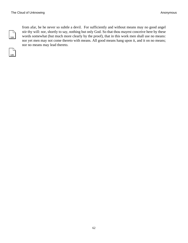

from afar, be he never so subtle a devil. For sufficiently and without means may no good angel stir thy will: nor, shortly to say, nothing but only God. So that thou mayest conceive here by these words somewhat (but much more clearly by the proof), that in this work men shall use no means: nor yet men may not come thereto with means. All good means hang upon it, and it on no means; nor no means may lead thereto.

| c<br>۰<br>٧ |  |
|-------------|--|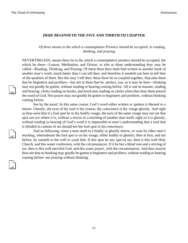#### **HERE BEGINNETH THE FIVE AND THIRTIETH CHAPTER**

#### *Of three means in the which a contemplative Prentice should be occupied, in reading, thinking, and praying.*

NEVERTHELESS, means there be in the which a contemplative prentice should be occupied, the which be these—Lesson, Meditation, and Orison: or else to thine understanding they may be called—Reading, Thinking, and Praying. Of these three thou shalt find written in another book of another man's work, much better than I can tell thee; and therefore it needeth not here to tell thee of the qualities of them. But this may I tell thee: these three be so coupled together, that unto them that be beginners and profiters—but not to them that be perfect, yea, as it may be here—thinking may not goodly be gotten, without reading or hearing coming before. All is one in manner, reading and hearing: clerks reading on books, and lewd men reading on clerks when they hear them preach the word of God. Nor prayer may not goodly be gotten in beginners and profiters, without thinking coming before.

See by the proof. In this same course, God's word either written or spoken is likened to a mirror. Ghostly, the eyes of thy soul is thy reason; thy conscience is thy visage ghostly. And right as thou seest that if a foul spot be in thy bodily visage, the eyes of the same visage may not see that spot nor wit where it is, without a mirror or a teaching of another than itself; right so it is ghostly, without reading or hearing of God's word it is impossible to man's understanding that a soul that is blinded in custom of sin should see the foul spot in his conscience.



188

186

And so following, when a man seeth in a bodily or ghostly mirror, or wots by other men's teaching, whereabouts the foul spot is on his visage, either bodily or ghostly; then at first, and not before, he runneth to the well to wash him. If this spot be any special sin, then is this well Holy Church, and this water confession, with the circumstances. If it be but a blind root and a stirring of sin, then is this well merciful God, and this water prayer, with the circumstances. And thus mayest thou see that no thinking may goodly be gotten in beginners and profiters, without reading or hearing coming before: nor praying without thinking.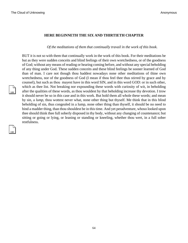## **HERE BEGINNETH THE SIX AND THIRTIETH CHAPTER**

#### *Of the meditations of them that continually travail in the work of this book.*

BUT it is not so with them that continually work in the work of this book. For their meditations be but as they were sudden conceits and blind feelings of their own wretchedness, or of the goodness of God; without any means of reading or hearing coming before, and without any special beholding of any thing under God. These sudden conceits and these blind feelings be sooner learned of God than of man. I care not though thou haddest nowadays none other meditations of thine own wretchedness, nor of the goodness of God (I mean if thou feel thee thus stirred by grace and by counsel), but such as thou mayest have in this word SIN, and in this word GOD: or in such other, which as thee list. Not breaking nor expounding these words with curiosity of wit, in beholding after the qualities of these words, as thou wouldest by that beholding increase thy devotion. I trow it should never be so in this case and in this work. But hold them all whole these words; and mean by sin, a *lump,* thou wottest never what, none other thing but thyself. Me think that in this blind beholding of sin, thus congealed in a lump, none other thing than thyself, it should be no need to bind a madder thing, than thou shouldest be in this time. And yet peradventure, whoso looked upon thee should think thee full soberly disposed in thy body, without any changing of countenance; but sitting or going or lying, or leaning or standing or kneeling, whether thou wert, in a full sober restfulness.



189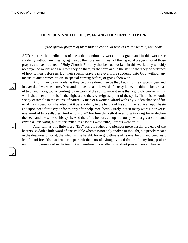## **HERE BEGINNETH THE SEVEN AND THIRTIETH CHAPTER**

#### *Of the special prayers of them that be continual workers in the word of this book*

AND right as the meditations of them that continually work in this grace and in this work rise suddenly without any means, right so do their prayers. I mean of their special prayers, not of those prayers that be ordained of Holy Church. For they that be true workers in this work, they worship no prayer so much: and therefore they do them, in the form and in the statute that they be ordained of holy fathers before us. But their special prayers rise evermore suddenly unto God, without any means or any premeditation in special coming before, or going therewith.

And if they be in words, as they be but seldom, then be they but in full few words: yea, and in ever the fewer the better. Yea, and if it be but a little word of one syllable, me think it better than of two: and more, too, according to the work of the spirit, since it so is that a ghostly worker in this work should evermore be in the highest and the sovereignest point of the spirit. That this be sooth, see by ensample in the course of nature. A man or a woman, afraid with any sudden chance of fire or of man's death or what else that it be, suddenly in the height of his spirit, he is driven upon haste and upon need for to cry or for to pray after help. Yea, how? Surely, not in many words, nor yet in one word of two syllables. And why is that? For him thinketh it over long tarrying for to declare the need and the work of his spirit. And therefore he bursteth up hideously with a great spirit, and cryeth a little word, but of one syllable: as is this word "fire," or this word "out!"

And right as this little word "fire" stirreth rather and pierceth more hastily the ears of the hearers, so doth a little word of one syllable when it is not only spoken or thought, but privily meant in the deepness of spirit; the which is the height, for in ghostliness all is one, height and deepness, length and breadth. And rather it pierceth the ears of Almighty God than doth any long psalter unmindfully mumbled in the teeth. And herefore it is written, that short prayer pierceth heaven.



192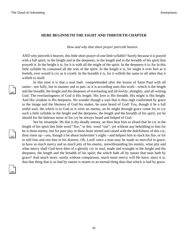194

195

196

# **HERE BEGINNETH THE EIGHT AND THIRTIETH CHAPTER**

#### *How and why that short prayer pierceth heaven*

AND why pierceth it heaven, this little short prayer of one little syllable? Surely because it is prayed with a full spirit, in the height and in the deepness, in the length and in the breadth of his spirit that prayeth it. In the height it is, for it is with all the might of the spirit. In the deepness it is, for in this little syllable be contained all the wits of the spirit. In the length it is, for might it ever feel as it feeleth, ever would it cry as it cryeth. In the breadth it is, for it willeth the same to all other that it willeth to itself.

In this time it is that a soul hath comprehended after the lesson of Saint Paul with all saints—not fully, but in manner and in part, as it is according unto this work—which is the length and the breadth, the height and the deepness of everlasting and all-lovely, almighty, and all-witting God. The everlastingness of God is His length. His love is His breadth. His might is His height. And His wisdom is His deepness. No wonder though a soul that is thus nigh conformed by grace to the image and the likeness of God his maker, be soon heard of God! Yea, though it be a full sinful soul, the which is to God as it were an enemy; an he might through grace come for to cry such a little syllable in the height and the deepness, the length and the breadth of his spirit, yet he should for the hideous noise of his cry be always heard and helped of God.

See by ensample. He that is thy deadly enemy, an thou hear him so afraid that he cry in the height of his spirit this little word "fire," or this word "out"; yet without any beholding to him for he is thine enemy, but for pure pity in thine heart stirred and raised with the dolefulness of this cry, thou risest up—yea, though it be about midwinter's night—and helpest him to slack his fire, or for to still him and rest him in his distress. Oh, Lord! since a man may be made so merciful in grace, to have so much mercy and so much pity of his enemy, notwithstanding his enmity, what pity and what mercy shall God have then of a ghostly cry in soul, made and wrought in the height and the deepness, the length and the breadth of his spirit; the which hath all by nature that man hath by grace? And much more, surely without comparison, much more mercy will He have; since it is, that that thing that is so had by nature is nearer to an eternal thing than that which is had by grace.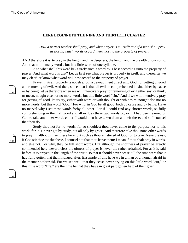#### **HERE BEGINNETH THE NINE AND THIRTIETH CHAPTER**

## *How a perfect worker shall pray, and what prayer is in itself; and if a man shall pray in words, which words accord them most to the property of prayer.*

AND therefore it is, to pray in the height and the deepness, the length and the breadth of our spirit. And that not in many words, but in a little word of one syllable.

And what shall this word be? Surely such a word as is best according unto the property of prayer. And what word is that? Let us first see what prayer is properly in itself, and thereafter we may clearlier know what word will best accord to the property of prayer.

Prayer in itself properly is not else, but a devout intent direct unto God, for getting of good and removing of evil. And then, since it so is that all evil be comprehended in sin, either by cause or by being, let us therefore when we will intentively pray for removing of evil either say, or think, or mean, nought else nor no more words, but this little word "sin." And if we will intentively pray for getting of good, let us cry, either with word or with thought or with desire, nought else nor no more words, but this word "God." For why, in God be all good, both by cause and by being. Have no marvel why I set these words forby all other. For if I could find any shorter words, so fully comprehending in them all good and all evil, as these two words do, or if I had been learned of God to take any other words either, I would then have taken them and left these; and so I counsel that thou do.

Study thou not for no words, for so shouldest thou never come to thy purpose nor to this work, for it is never got by study, but all only by grace. And therefore take thou none other words to pray in, although I set these here, but such as thou art stirred of God for to take. Nevertheless, if God stir thee to take these, I counsel not that thou leave them; I mean if thou shalt pray in words, and else not. For why, they be full short words. But although the shortness of prayer be greatly commended here, nevertheless the oftness of prayer is never the rather refrained. For as it is said before, it is prayed in the length of the spirit; so that it should never cease, till the time were that it had fully gotten that that it longed after. Ensample of this have we in a man or a woman afraid in the manner beforesaid. For we see well, that they cease never crying on this little word "out," or this little word "fire," ere the time be that they have in great part gotten help of their grief.





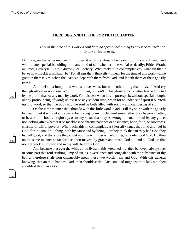# **HERE BEGINNETH THE FORTIETH CHAPTER**

## *That in the time of this work a soul hath no special beholding to any vice in itself nor to any virtue in itself.*

DO thou, on the same manner, fill thy spirit with the ghostly bemeaning of this word "sin," and without any special beholding unto any kind of sin, whether it be venial or deadly: Pride, Wrath, or Envy, Covetyse, Sloth, Gluttony, or Lechery. What recks it in contemplatives, what sin that it be, or how muckle a sin that it be? For all sins them thinketh—I mean for the time of this work—alike great in themselves, when the least sin departeth them from God, and letteth them of their ghostly peace.

And feel sin a lump, thou wottest never what, but none other thing than thyself. And cry then ghostly ever upon one: a *Sin, sin, sin! Out, out, out!"* This ghostly cry is better learned of God by the proof, than of any man by word. For it is best when it is in pure spirit, without special thought or any pronouncing of word; unless it be any seldom time, when for abundance of spirit it bursteth up into word, so that the body and the soul be both filled with sorrow and cumbering of sin.

On the same manner shalt thou do with this little word "God." Fill thy spirit with the ghostly bemeaning of it without any special beholding to any of His works—whether they be good, better, or best of all—bodily or ghostly, or to any virtue that may be wrought in man's soul by any grace; not looking after whether it be meekness or charity, patience or abstinence, hope, faith, or soberness, chastity or wilful poverty. What recks this in contemplatives? For all virtues they find and feel in God; for in Him is all thing, both by cause and by being. For they think that an they had God they had all good, and therefore they covet nothing with special beholding, but only good God. Do thou on the same manner as far forth as thou mayest by grace: and mean God all, and all God, so that nought work in thy wit and in thy will, but only God.

And because that ever the whiles thou livest in this wretched life, thee behoveth always feel in some part this foul stinking lump of sin, as it were oned and congealed with the substance of thy being, therefore shalt thou changeably mean these two words—sin and God. With this general knowing, that an thou haddest God, then shouldest thou lack sin: and mightest thou lack sin, then shouldest thou have God.



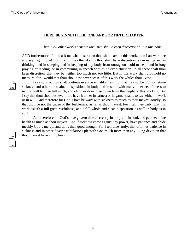# **HERE BEGINNETH THE ONE AND FORTIETH CHAPTER**

#### *That in all other works beneath this, men should keep discretion; but in this none.*

AND furthermore, if thou ask me what discretion thou shalt have in this work, then I answer thee and say, right none! For in all thine other doings thou shalt have discretion, as in eating and in drinking, and in sleeping and in keeping of thy body from outrageous cold or heat, and in long praying or reading, or in communing in speech with thine even-christian. In all these shalt thou keep discretion, that they be neither too much nor too little. But in this work shalt thou hold no measure: for I would that thou shouldest never cease of this work the whiles thou livest.

I say not that thou shalt continue ever therein alike fresh, for that may not be. For sometime sickness and other unordained dispositions in body and in soul, with many other needfulness to nature, will let thee full much, and ofttimes draw thee down from the height of this working. But I say that thou shouldest evermore have it either in earnest or in game; that is to say, either in work or in will. And therefore for God's love be wary with sickness as much as thou mayest goodly, so that thou be not the cause of thy feebleness, as far as thou mayest. For I tell thee truly, that this work asketh a full great restfulness, and a full whole and clean disposition, as well in body as in soul.

And therefore for God's love govern thee discreetly in body and in soul, and get thee thine health as much as thou mayest. And if sickness come against thy power, have patience and abide meekly God's mercy: and all is then good enough. For I tell thee truly, that ofttimes patience in sickness and in other diverse tribulations pleaseth God much more than any liking devotion that thou mayest have in thy health.



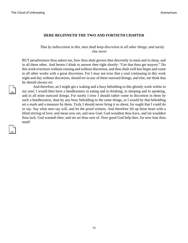# **HERE BEGINNETH THE TWO AND FORTIETH CHAPTER**

# *That by indiscretion in this, men shall keep discretion in all other things; and surely else never*

BUT peradventure thou askest me, how thou shalt govern thee discreetly in meat and in sleep, and in all these other. And hereto I think to answer thee right shortly: "Get that thou get mayest." Do this work evermore without ceasing and without discretion, and thou shalt well ken begin and cease in all other works with a great discretion. For I may not trow that a soul continuing in this work night and day without discretion, should err in any of these outward doings; and else, me think that he should always err.



And therefore, an I might get a waking and a busy beholding to this ghostly work within in my soul, I would then have a heedlessness in eating and in drinking, in sleeping and in speaking, and in all mine outward doings. For surely I trow I should rather come to discretion in them by such a heedlessness, than by any busy beholding to the same things, as I would by that beholding set a mark and a measure by them. Truly I should never bring it so about, for ought that I could do or say. Say what men say will, and let the proof witness. And therefore lift up thine heart with a blind stirring of love; and mean now sin, and now God. God wouldest thou have, and sin wouldest thou lack. God wanteth thee; and sin art thou sure of. Now good God help thee, for now hast thou need!

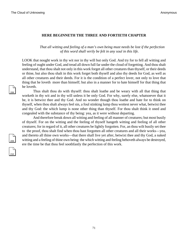# **HERE BEGINNETH THE THREE AND FORTIETH CHAPTER**

*That all witting and feeling of a man's own being must needs be lost if the perfection of this word shall verily be felt in any soul in this life.*

LOOK that nought work in thy wit nor in thy will but only God. And try for to fell all witting and feeling of ought under God, and tread all down full far under the cloud of forgetting. And thou shalt understand, that thou shalt not only in this work forget all other creatures than thyself, or their deeds or thine, but also thou shalt in this work forget both thyself and also thy deeds for God, as well as all other creatures and their deeds. For it is the condition of a perfect lover, not only to love that thing that he loveth more than himself; but also in a manner for to hate himself for that thing that he loveth.

Thus shalt thou do with thyself: thou shalt loathe and be weary with all that thing that worketh in thy wit and in thy will unless it be only God. For why, surely else, whatsoever that it be, it is betwixt thee and thy God. And no wonder though thou loathe and hate for to think on thyself, when thou shalt always feel sin, a foul stinking lump thou wottest never what, betwixt thee and thy God: the which lump is none other thing than thyself. For thou shalt think it oned and congealed with the substance of thy being: yea, as it were without departing.

And therefore break down all witting and feeling of all manner of creatures; but most busily of thyself. For on the witting and the feeling of thyself hangeth witting and feeling of all other creatures; for in regard of it, all other creatures be lightly forgotten. For, an thou wilt busily set thee to the proof, thou shalt find when thou hast forgotten all other creatures and all their works—yea, and thereto all thine own works—that there shall live yet after, betwixt thee and thy God, a naked witting and a feeling of thine own being: the which witting and feeling behoveth always be destroyed, ere the time be that thou feel soothfastly the perfection of this work.



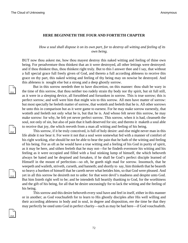#### **HERE BEGINNETH THE FOUR AND FORTIETH CHAPTER**

#### *How a soul shall dispose it on its own part, for to destroy all witting and feeling of its own being.*

BUT now thou askest me, how thou mayest destroy this naked witting and feeling of thine own being. For peradventure thou thinkest that an it were destroyed, all other lettings were destroyed: and if thou thinkest thus, thou thinkest right truly. But to this I answer thee and I say, that without a full special grace full freely given of God, and thereto a full according ableness to receive this grace on thy part, this naked witting and feeling of thy being may on nowise be destroyed. And this ableness is nought else but a strong and a deep ghostly sorrow.

But in this sorrow needeth thee to have discretion, on this manner: thou shalt be wary in the time of this sorrow, that thou neither too rudely strain thy body nor thy spirit, but sit full still, as it were in a sleeping device, all forsobbed and forsunken in sorrow. This is true sorrow; this is perfect sorrow; and well were him that might win to this sorrow. All men have matter of sorrow: but most specially he feeleth matter of sorrow, that wotteth and feeleth that he is. All other sorrows be unto this in comparison but as it were game to earnest. For he may make sorrow earnestly, that wotteth and feeleth not only what he is, but that he is. And whoso felt never this sorrow, he may make sorrow: for why, he felt yet never perfect sorrow. This sorrow, when it is had, cleanseth the soul, not only of sin, but also of pain that it hath deserved for sin; and thereto it maketh a soul able to receive that joy, the which reeveth from a man all witting and feeling of his being.

This sorrow, if it be truly conceived, is full of holy desire: and else might never man in this life abide it nor bear it. For were it not that a soul were somewhat fed with a manner of comfort of his right working, else should he not be able to bear the pain that he hath of the witting and feeling of his being. For as oft as he would have a true witting and a feeling of his God in purity of spirit, as it may be here, and sithen feeleth that he may not—for he findeth evermore his witting and his feeling as it were occupied and filled with a foul stinking lump of himself, the which behoveth always be hated and be despised and forsaken, if he shall be God's perfect disciple learned of Himself in the mount of perfection—so oft, he goeth nigh mad for sorrow. Insomuch, that he weepeth and waileth, striveth, curseth, and banneth; and shortly to say, him thinketh that he beareth so heavy a burthen of himself that he careth never what betides him, so that God were pleased. And yet in all this sorrow he desireth not to unbe: for that were devil's madness and despite unto God. But him listeth right well to be; and he intendeth full heartily thanking to God, for the worthiness and the gift of his being, for all that he desire unceasingly for to lack the witting and the feeling of his being.

This sorrow and this desire behoveth every soul have and feel in itself, either in this manner or in another; as God vouchsafeth for to learn to His ghostly disciples after His well willing and their according ableness in body and in soul, in degree and disposition, ere the time be that they may perfectly be oned unto God in perfect charity—such as may be had here—if God vouchsafeth.







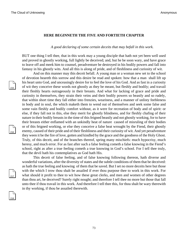#### **HERE BEGINNETH THE FIVE AND FORTIETH CHAPTER**

#### *A good declaring of some certain deceits that may befall in this work.*

BUT one thing I tell thee, that in this work may a young disciple that hath not yet been well used and proved in ghostly working, full lightly be deceived; and, but he be soon wary, and have grace to leave off and meek him to counsel, peradventure be destroyed in his bodily powers and fall into fantasy in his ghostly wits. And all this is along of pride, and of fleshliness and curiosity of wit.

And on this manner may this deceit befall. A young man or a woman new set to the school of devotion heareth this sorrow and this desire be read and spoken: how that a man shall lift up his heart unto God, and unceasingly desire for to feel the love of his God. And as fast in a curiosity of wit they conceive these words not ghostly as they be meant, but fleshly and bodily; and travail their fleshly hearts outrageously in their breasts. And what for lacking of grace and pride and curiosity in themselves, they strain their veins and their bodily powers so beastly and so rudely, that within short time they fall either into frenzies, weariness, and a manner of unlisty feebleness in body and in soul, the which maketh them to wend out of themselves and seek some false and some vain fleshly and bodily comfort without, as it were for recreation of body and of spirit: or else, if they fall not in this, else they merit for ghostly blindness, and for fleshly chafing of their nature in their bodily breasts in the time of this feigned beastly and not ghostly working, for to have their breasts either enflamed with an unkindly heat of nature caused of misruling of their bodies or of this feigned working, or else they conceive a false heat wrought by the Fiend, their ghostly enemy, caused of their pride and of their fleshliness and their curiosity of wit. And yet peradventure they ween it be the fire of love, gotten and kindled by the grace and the goodness of the Holy Ghost. Truly, of this deceit, and of the branches thereof, spring many mischiefs: much hypocrisy, much heresy, and much error. For as fast after such a false feeling cometh a false knowing in the Fiend's school, right as after a true feeling cometh a true knowing in God's school. For I tell thee truly, that the devil hath his contemplatives as God hath His.





217

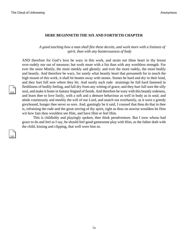#### **HERE BEGINNETH THE SIX AND FORTIETH CHAPTER**

#### *A good teaching how a man shall flee these deceits, and work more with a listiness of spirit, than with any boisterousness of body*

AND therefore for God's love be wary in this work, and strain not thine heart in thy breast over-rudely nor out of measure; but work more with a list than with any worthless strength. For ever the more Mistily, the more meekly and ghostly: and ever the more rudely, the more bodily and beastly. And therefore be wary, for surely what beastly heart that presumeth for to touch the high mount of this work, it shall be beaten away with stones. Stones be hard and dry in their kind, and they hurt full sore where they hit. And surely such rude strainings be full hard fastened in fleshliness of bodily feeling, and full dry from any witting of grace; and they hurt full sore the silly soul, and make it fester in fantasy feigned of fiends. And therefore be wary with this beastly rudeness, and learn thee to love listily, with a soft and a demure behaviour as well in body as in soul; and abide courteously and meekly the will of our Lord, and snatch not overhastily, as it were a greedy greyhound, hunger thee never so sore. And, gamingly be it said, I counsel that thou do that in thee is, refraining the rude and the great stirring of thy spirit, right as thou on nowise wouldest let Him wit how fain thou wouldest see Him, and have Him or feel Him.

This is childishly and playingly spoken, thee think peradventure. But I trow whoso had grace to do and feel as I say, he should feel good gamesome play with Him, as the father doth with the child, kissing and clipping, that well were him so.

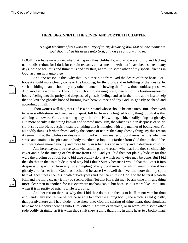#### **HERE BEGINNETH THE SEVEN AND FORTIETH CHAPTER**

#### *A slight teaching of this work in purity of spirit; declaring how that on one manner a soul should shed his desire unto God, and on ye contrary unto man.*

LOOK thou have no wonder why that I speak thus childishly, and as it were follily and lacking natural discretion; for I do it for certain reasons, and as me thinketh that I have been stirred many days, both to feel thus and think thus and say thus, as well to some other of my special friends in God, as I am now unto thee.

And one reason is this, why that I bid thee hide from God the desire of thine heart. For I hope it should more clearly come to His knowing, for thy profit and in fulfilling of thy desire, by such an hiding, than it should by any other manner of shewing that I trow thou couldest yet shew. And another reason is, for I would by such a hid shewing bring thee out of the boisterousness of bodily feeling into the purity and deepness of ghostly feeling; and so furthermore at the last to help thee to knit the ghostly knot of burning love betwixt thee and thy God, in ghostly onehead and according of will.

Thou wottest well this, that God is a Spirit; and whoso should be oned unto Him, it behoveth to be in soothfastness and deepness of spirit, full far from any feigned bodily thing. Sooth it is that all thing is known of God, and nothing may be hid from His witting, neither bodily thing nor ghostly. But more openly is that thing known and shewed unto Him, the which is hid in deepness of spirit, sith it so is that He is a Spirit, than is anything that is mingled with any manner of bodilyness. For all bodily thing is farther from God by the course of nature than any ghostly thing. By this reason it seemeth, that the whiles our desire is mingled with any matter of bodilyness, as it is when we stress and strain us in spirit and in body together, so long it is farther from God than it should be, an it were done more devoutly and more listily in soberness and in purity and in deepness of spirit.

And here mayest thou see somewhat and in part the reason why that I bid thee so childishly cover and hide the stirring of thy desire from God. And yet I bid thee not plainly hide it; for that were the bidding of a fool, for to bid thee plainly do that which on nowise may be done. But I bid thee do that in thee is to hide it. And why bid I thus? Surely because I would that thou cast it into deepness of spirit, far from any rude mingling of any bodilyness, the which would make it less ghostly and farther from God inasmuch: and because I wot well that ever the more that thy spirit hath of ghostliness, the less it hath of bodilyness and the nearer it is to God, and the better it pleaseth Him and the more clearly it may be seen of Him. Not that His sight may be any time or in any thing more clear than in another, for it is evermore unchangeable: but because it is more like unto Him, when it is in purity of spirit, for He is a Spirit.

Another reason there is, why that I bid thee do that in thee is to let Him not wit: for thou and I and many such as we be, we be so able to conceive a thing bodily the which is said ghostly, that peradventure an I had bidden thee shew unto God the stirring of thine heart, thou shouldest have made a bodily shewing unto Him, either in gesture or in voice, or in word, or in some other rude bodily straining, as it is when thou shalt shew a thing that is hid in thine heart to a bodily man: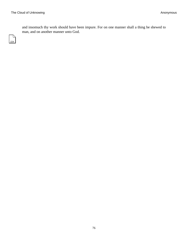and insomuch thy work should have been impure. For on one manner shall a thing be shewed to man, and on another manner unto God.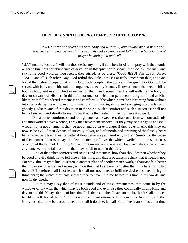#### **HERE BEGINNETH THE EIGHT AND FORTIETH CHAPTER**

*How God will be served both with body and with soul, and reward men in both; and how men shall know when all those sounds and sweetness that fall into the body in time of prayer be both good and evil*

I SAY not this because I will that thou desist any time, if thou be stirred for to pray with thy mouth, or for to burst out for abundance of devotion in thy spirit for to speak unto God as unto man, and say some good word as thou feelest thee stirred: as be these, "Good JESU! Fair JESU! Sweet JESU!" and all such other. Nay, God forbid thou take it thus! For truly I mean not thus, and God forbid that I should depart that which God hath coupled, the body and the spirit. For God will be served with body and with soul both together, as seemly is, and will reward man his meed in bliss, both in body and in soul. And in earnest of that meed, sometimes He will enflame the body of devout servants of His here in this life: not once or twice, but peradventure right oft and as Him liketh, with full wonderful sweetness and comforts. Of the which, some be not coming from without into the body by the windows of our wits, but from within; rising and springing of abundance of ghostly gladness, and of true devotion in the spirit. Such a comfort and such a sweetness shall not be had suspect: and shortly to say, I trow that he that feeleth it may not have it suspect.

But all other comforts, sounds and gladness and sweetness, that come from without suddenly and thou wottest never whence, I pray thee have them suspect. For they may be both good and evil; wrought by a good angel if they be good, and by an evil angel if they be evil. And this may on nowise be evil, if their deceits of curiosity of wit, and of unordained straining of the fleshly heart be removed as I learn thee, or better if thou better mayest. And why is that? Surely for the cause of this comfort; that is to say, the devout stirring of love, the which dwelleth in pure spirit. It is wrought of the hand of Almighty God without means, and therefore it behoveth always be far from any fantasy, or any false opinion that may befall to man in this life.

And of the tother comforts and sounds and sweetness, how thou shouldest wit whether they be good or evil I think not to tell thee at this time: and that is because me think that it needeth not. For why, thou mayest find it written in another place of another man's work, a thousandfold better than I can say or write: and so mayest thou this that I set here, far better than it is here. But what thereof? Therefore shall I not let, nor it shall not noye me, to fulfil the desire and the stirring of thine heart; the which thou hast shewed thee to have unto me before this time in thy words, and now in thy deeds.

But this may I say thee of those sounds and of those sweetnesses, that come in by the windows of thy wits, the which may be both good and evil. Use thee continually in this blind and devout and this Misty stirring of love that I tell thee: and then I have no doubt, that it shall not well be able to tell thee of them. And if thou yet be in part astonished of them at the first time, and that is because that they be uncouth, yet this shall it do thee: it shall bind thine heart so fast, that thou





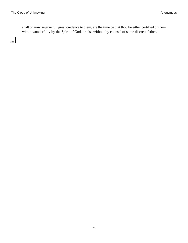shalt on nowise give full great credence to them, ere the time be that thou be either certified of them within wonderfully by the Spirit of God, or else without by counsel of some discreet father.

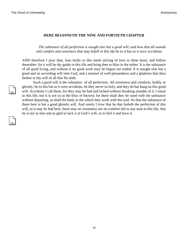## **HERE BEGINNETH THE NINE AND FORTIETH CHAPTER**

*The substance of all perfection is nought else but a good will; and how that all sounds and comfort and sweetness that may befall in this life be to it but as it were accidents.*

AND therefore I pray thee, lean listily to this meek stirring of love in thine heart, and follow thereafter: for it will be thy guide in this life and bring thee to bliss in the tother. It is the substance of all good living, and without it no good work may be begun nor ended. It is nought else but a good and an according will unto God, and a manner of well-pleasedness and a gladness that thou feelest in thy will of all that He doth.



Such a good will is the substance of all perfection. All sweetness and comforts, bodily or ghostly, be to this but as it were accidents, be they never so holy; and they do but hang on this good will. Accidents I call them, for they may be had and lacked without breaking asunder of it. I mean in this life, but it is not so in the bliss of heaven; for there shall they be oned with the substance without departing, as shall the body in the which they work with the soul. So that the substance of them here is but a good ghostly will. And surely I trow that he that feeleth the perfection of this will, as it may be had here, there may no sweetness nor no comfort fall to any man in this life, that he is not as fain and as glad to lack it at God's will, as to feel it and have it.

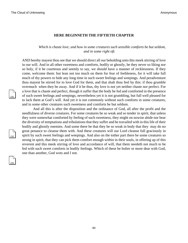# **HERE BEGINNETH THE FIFTIETH CHAPTER**

## *Which is chaste love; and how in some creatures such sensible comforts be but seldom, and in some right oft.*

AND hereby mayest thou see that we should direct all our beholding unto this meek stirring of love in our will. And in all other sweetness and comforts, bodily or ghostly, be they never so liking nor so holy, if it be courteous and seemly to say, we should have a manner of recklessness. If they come, welcome them: but lean not too much on them for fear of feebleness, for it will take full much of thy powers to bide any long time in such sweet feelings and weepings. And peradventure thou mayest be stirred for to love God for them, and that shalt thou feel by this: if thou grumble overmuch when they be away. And if it be thus, thy love is not yet neither chaste nor perfect. For a love that is chaste and perfect, though it suffer that the body be fed and comforted in the presence of such sweet feelings and weepings, nevertheless yet it is not grumbling, but full well pleased for to lack them at God's will. And yet it is not commonly without such comforts in some creatures, and in some other creatures such sweetness and comforts be but seldom.

And all this is after the disposition and the ordinance of God, all after the profit and the needfulness of diverse creatures. For some creatures be so weak and so tender in spirit, that unless they were somewhat comforted by feeling of such sweetness, they might on nowise abide nor bear the diversity of temptations and tribulations that they suffer and be travailed with in this life of their bodily and ghostly enemies. And some there be that they be so weak in body that they may do no great penance to cleanse them with. And these creatures will our Lord cleanse full graciously in spirit by such sweet feelings and weepings. And also on the tother part there be some creatures so strong in spirit, that they can pick them comfort enough within in their souls, in offering up of this reverent and this meek stirring of love and accordance of will, that them needeth not much to be fed with such sweet comforts in bodily feelings. Which of these be holier or more dear with God, one than another, God wots and I not.

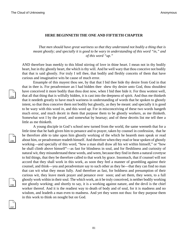#### **HERE BEGINNETH THE ONE AND FIFTIETH CHAPTER**

*That men should have great wariness so that they understand not bodily a thing that is meant ghostly; and specially it is good to be wary in understanding of this word "in," and of this word "up."*

AND therefore lean meekly to this blind stirring of love in thine heart. I mean not in thy bodily heart, but in thy ghostly heart, the which is thy will. And be well wary that thou conceive not bodily that that is said ghostly. For truly I tell thee, that bodily and fleshly conceits of them that have curious and imaginative wits be cause of much error.

Ensample of this mayest thou see, by that that I bid thee hide thy desire from God in that that in thee is. For peradventure an I had bidden thee shew thy desire unto God, thou shouldest have conceived it more bodily than thou dost now, when I bid thee hide it. For thou wottest well, that all that thing that is wilfully hidden, it is cast into the deepness of spirit. And thus me thinketh that it needeth greatly to have much wariness in understanding of words that be spoken to ghostly intent, so that thou conceive them not bodily but ghostly, as they be meant: and specially it is good to be wary with this word *in,* and this word *up.* For in misconceiving of these two words hangeth much error, and much deceit in them that purpose them to be ghostly workers, as me thinketh. Somewhat wot I by the proof, and somewhat by hearsay; and of these deceits list me tell thee a little as me thinketh.

A young disciple in God's school new turned from the world, the same weeneth that for a little time that he hath given him to penance and to prayer, taken by counsel in confession, that he be therefore able to take upon him ghostly working of the which he heareth men speak or read about him, or peradventure readeth himself. And therefore when they read or hear spoken of ghostly working—and specially of this word, "how a man shall draw all his wit within himself," or "how he shall climb above himself"—as fast for blindness in soul, and for fleshliness and curiosity of natural wit, they misunderstand these words, and ween, because they find in them a natural covetyse to hid things, that they be therefore called to that work by grace. Insomuch, that if counsel will not accord that they shall work in this work, as soon they feel a manner of grumbling against their counsel, and think—yea and peradventure say to such other as they be—that they can find no man that can wit what they mean fully. And therefore as fast, for boldness and presumption of their curious wit, they leave meek prayer and penance over soon; and set them, they ween, to a full ghostly work within in their soul. The which work, an it be truly conceived, is neither bodily working nor ghostly working; and shortly to say, it is a working against nature, and the devil is the chief worker thereof. And it is the readiest way to death of body and of soul, for it is madness and no wisdom, and leadeth a man even to madness. And yet they ween not thus: for they purpose them in this work to think on nought but on God.





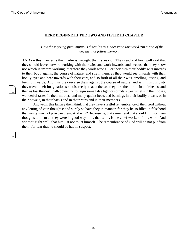# **HERE BEGINNETH THE TWO AND FIFTIETH CHAPTER**

# *How these young presumptuous disciples misunderstand this word "in," and of the deceits that follow thereon.*

AND on this manner is this madness wrought that I speak of. They read and hear well said that they should leave outward working with their wits, and work inwards: and because that they know not which is inward working, therefore they work wrong. For they turn their bodily wits inwards to their body against the course of nature; and strain them, as they would see inwards with their bodily eyes and hear inwards with their ears, and so forth of all their wits, smelling, tasting, and feeling inwards. And thus they reverse them against the course of nature, and with this curiosity they travail their imagination so indiscreetly, that at the last they turn their brain in their heads, and then as fast the devil hath power for to feign some false light or sounds, sweet smells in their noses, wonderful tastes in their mouths; and many quaint heats and burnings in their bodily breasts or in their bowels, in their backs and in their reins and in their members.

And yet in this fantasy them think that they have a restful remembrance of their God without any letting of vain thoughts; and surely so have they in manner, for they be so filled in falsehood that vanity may not provoke them. And why? Because he, that same fiend that should minister vain thoughts to them an they were in good way—he, that same, is the chief worker of this work. And wit thou right well, that him list not to let himself. The remembrance of God will he not put from them, for fear that he should be had in suspect.

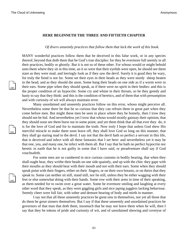240

241

242

#### **HERE BEGINNETH THE THREE AND FIFTIETH CHAPTER**

#### *Of divers unseemly practices that follow them that lack the work of this book.*

MANY wonderful practices follow them that be deceived in this false work, or in any species thereof, beyond that doth them that be God's true disciples: for they be evermore full seemly in all their practices, bodily or ghostly. But it is not so of these other. For whoso would or might behold unto them where they sit in this time, an it so were that their eyelids were open, he should see them stare as they were mad, and leeringly look as if they saw the devil. Surely it is good they be wary, for truly the fiend is not far. Some set their eyes in their heads as they were sturdy sheep beaten in the head, and as they should die anon. Some hang their heads on one side as if a worm were in their ears. Some pipe when they should speak, as if there were no spirit in their bodies: and this is the proper condition of an hypocrite. Some cry and whine in their throats, so be they greedy and hasty to say that they think: and this is the condition of heretics, and of them that with presumption and with curiosity of wit will always maintain error.

Many unordained and unseemly practices follow on this error, whoso might perceive all. Nevertheless some there be that be so curious that they can refrain them in great part when they come before men. But might these men be seen in place where they be homely, then I trow they should not be hid. And nevertheless yet I trow that whoso would straitly gainsay their opinion, that they should soon see them burst out in some point; and yet them think that all that ever they do, it is for the love of God and for to maintain the truth. Now truly I hope that unless God shew His merciful miracle to make them soon leave off, they shall love God so long on this manner, that they shall go staring mad to the devil. I say not that the devil hath so perfect a servant in this life, that is deceived and infect with all these fantasies that I set here: and nevertheless yet it may be that one, yea, and many one, be infect with them all. But I say that he hath no perfect hypocrite nor heretic in earth that he is not guilty in some that I have said, or peradventure shall say if God vouchsafeth.

For some men are so cumbered in nice curious customs in bodily bearing, that when they shall ought hear, they writhe their heads on one side quaintly, and up with the chin: they gape with their mouths as they should hear with their mouth and not with their ears. Some when they should speak point with their fingers, either on their fingers, or on their own breasts, or on theirs that they speak to. Some can neither sit still, stand still, nor lie still, unless they be either wagging with their feet or else somewhat doing with their hands. Some row with their arms in time of their speaking, as them needed for to swim over a great water. Some be evermore smiling and laughing at every other word that they speak, as they were giggling girls and nice japing jugglers lacking behaviour. Seemly cheer were full fair, with sober and demure bearing of body and mirth in manner.

I say not that all these unseemly practices be great sins in themselves, nor yet all those that do them be great sinners themselves. But I say if that these unseemly and unordained practices be governors of that man that doth them, insomuch that he may not leave them when he will, then I say that they be tokens of pride and curiosity of wit, and of unordained shewing and covetyse of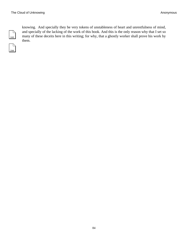

knowing. And specially they be very tokens of unstableness of heart and unrestfulness of mind, and specially of the lacking of the work of this book. And this is the only reason why that I set so many of these deceits here in this writing; for why, that a ghostly worker shall prove his work by them.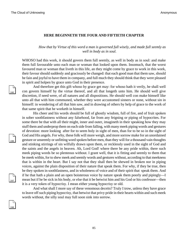# **HERE BEGINNETH THE FOUR AND FIFTIETH CHAPTER**

## *How that by Virtue of this word a man is governed full wisely, and made full seemly as well in body as in soul.*

WHOSO had this work, it should govern them full seemly, as well in body as in soul: and make them full favourable unto each man or woman that looked upon them. Insomuch, that the worst favoured man or woman that liveth in this life, an they might come by grace to work in this work, their favour should suddenly and graciously be changed: that each good man that them saw, should be fain and joyful to have them in company, and full much they should think that they were pleased in spirit and holpen by grace unto God in their presence.

And therefore get this gift whoso by grace get may: for whoso hath it verily, he shall well con govern himself by the virtue thereof, and all that longeth unto him. He should well give discretion, if need were, of all natures and all dispositions. He should well con make himself like unto all that with him communed, whether they were accustomed sinners or none, without sin in himself: in wondering of all that him saw, and in drawing of others by help of grace to the work of that same spirit that he worketh in himself.

His cheer and his words should be full of ghostly wisdom, full of fire, and of fruit spoken in sober soothfastness without any falsehood, far from any feigning or piping of hypocrites. For some there be that with all their might, inner and outer, imagineth in their speaking how they may stuff them and underprop them on each side from falling, with many meek piping words and gestures of devotion: more looking after for to seem holy in sight of men, than for to be so in the sight of God and His angels. For why, these folk will more weigh, and more sorrow make for an unordained gesture or unseemly or unfitting word spoken before men, than they will for a thousand vain thoughts and stinking stirrings of sin wilfully drawn upon them, or recklessly used in the sight of God and the saints and the angels in heaven. Ah, Lord God! where there be any pride within, there such meek piping words be so plenteous without. I grant well, that it is fitting and seemly to them that be meek within, for to shew meek and seemly words and gestures without, according to that meekness that is within in the heart. But I say not that they shall then be shewed in broken nor in piping voices, against the plain disposition of their nature that speak them. For why, if they be true, then be they spoken in soothfastness, and in wholeness of voice and of their spirit that speak them. And if he that hath a plain and an open boisterous voice by nature speak them poorly and pipingly—I mean but if he be sick in his body, or else that it be betwixt him and his God or his confessor—then it is a very token of hypocrisy. I mean either young hypocrisy or old.

And what shall I more say of these venomous deceits? Truly I trow, unless they have grace to leave off such piping hypocrisy, that betwixt that privy pride in their hearts within and such meek words without, the silly soul may full soon sink into sorrow.





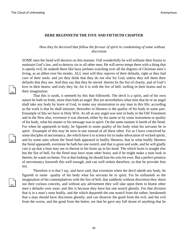#### **HERE BEGINNETH THE FIVE AND FIFTIETH CHAPTER**

#### *How they be deceived that follow the fervour of spirit in condemning of some without discretion.*

SOME men the fiend will deceive on this manner. Full wonderfully he will enflame their brains to maintain God's law, and to destroy sin in all other men. He will never tempt them with a thing that is openly evil; he maketh them like busy prelates watching over all the degrees of Christian men's living, as an abbot over his monks. ALL men will they reprove of their defaults, right as they had cure of their souls: and yet they think that they do not else for God, unless they tell them their defaults that they see. And they say that they be stirred thereto by the fire of charity, and of God's love in their hearts: and truly they lie, for it is with the fire of hell, welling in their brains and in their imagination.

That this is sooth, it seemeth by this that followeth. The devil is a spirit, and of his own nature he hath no body, more than hath an angel. But yet nevertheless what time that he or an angel shall take any body by leave of God, to make any ministration to any man in this life; according as the work is that he shall minister, thereafter in likeness is the quality of his body in some part. Ensample of this we have in Holy Writ. As oft as any angel was sent in body in the Old Testament and in the New also, evermore it was shewed, either by his name or by some instrument or quality of his body, what his matter or his message was in spirit. On the same manner it fareth of the fiend. For when he appeareth in body, he figureth in some quality of his body what his servants be in spirit. Ensample of this may be seen in one instead of all these other. For as I have conceived by some disciples of necromancy, the which have it in science for to make advocation of wicked spirits, and by some unto whom the fiend hath appeared in bodily likeness; that in what bodily likeness the fiend appeareth, evermore he hath but one nostril, and that is great and wide, and he will gladly cast it up that a man may see in thereat to his brain up in his head. The which brain is nought else but the fire of hell, for the fiend may have none other brain; and if he might make a man look in thereto, he wants no better. For at that looking, he should lose his wits for ever. But a perfect prentice of necromancy knoweth this well enough, and can well ordain therefore, so that he provoke him not.

251

250

249

Therefore it is that I say, and have said, that evermore when the devil taketh any body, he figureth in some quality of his body what his servants be in spirit. For he enflameth so the imagination of his contemplatives with the fire of hell, that suddenly without discretion they shoot out their curious conceits, and without any advisement they will take upon them to blame other men's defaults over soon: and this is because they have but one nostril ghostly. For that division that is in a man's nose bodily, and the which departeth the one nostril from the tother, betokeneth that a man should have discretion ghostly; and can dissever the good from the evil, and the evil from the worse, and the good from the better, ere that he gave any full doom of anything that he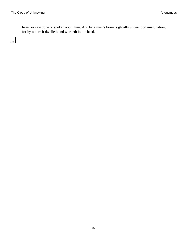heard or saw done or spoken about him. And by a man's brain is ghostly understood imagination; for by nature it dwelleth and worketh in the head.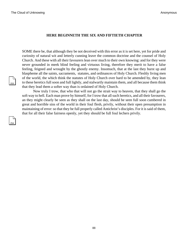#### **HERE BEGINNETH THE SIX AND FIFTIETH CHAPTER**

SOME there be, that although they be not deceived with this error as it is set here, yet for pride and curiosity of natural wit and letterly cunning leave the common doctrine and the counsel of Holy Church. And these with all their favourers lean over much to their own knowing: and for they were never grounded in meek blind feeling and virtuous living, therefore they merit to have a false feeling, feigned and wrought by the ghostly enemy. Insomuch, that at the last they burst up and blaspheme all the saints, sacraments, statutes, and ordinances of Holy Church. Fleshly living men of the world, the which think the statutes of Holy Church over hard to be amended by, they lean to these heretics full soon and full lightly, and stalwartly maintain them, and all because them think that they lead them a softer way than is ordained of Holy Church.

Now truly I trow, that who that will not go the strait way to heaven, that they shall go the soft way to hell. Each man prove by himself, for I trow that all such heretics, and all their favourers, an they might clearly be seen as they shall on the last day, should be seen full soon cumbered in great and horrible sins of the world in their foul flesh, privily, without their open presumption in maintaining of error: so that they be full properly called Antichrist's disciples. For it is said of them, that for all their false fairness openly, yet they should be full foul lechers privily.

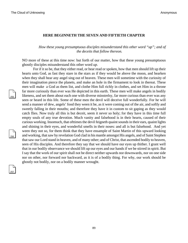#### **HERE BEGINNETH THE SEVEN AND FIFTIETH CHAPTER**

#### *How these young presumptuous disciples misunderstand this other word "up"; and of the deceits that follow thereon.*

NO more of these at this time now: but forth of our matter, how that these young presumptuous ghostly disciples misunderstand this other word *up.*

For if it so be, that they either read, or hear read or spoken, how that men should lift up their hearts unto God, as fast they stare in the stars as if they would be above the moon, and hearken when they shall hear any angel sing out of heaven. These men will sometime with the curiosity of their imagination pierce the planets, and make an hole in the firmament to look in thereat. These men will make a God as them list, and clothe Him full richly in clothes, and set Him in a throne far more curiously than ever was He depicted in this earth. These men will make angels in bodily likeness, and set them about each one with diverse minstrelsy, far more curious than ever was any seen or heard in this life. Some of these men the devil will deceive full wonderfully. For he will send a manner of dew, angels' food they ween it be, as it were coming out of the air, and softly and sweetly falling in their mouths; and therefore they have it in custom to sit gaping as they would catch flies. Now truly all this is but deceit, seem it never so holy; for they have in this time full empty souls of any true devotion. Much vanity and falsehood is in their hearts, caused of their curious working. Insomuch, that ofttimes the devil feigneth quaint sounds in their ears, quaint lights and shining in their eyes, and wonderful smells in their noses: and all is but falsehood. And yet ween they not so, for them think that they have ensample of Saint Martin of this upward looking and working, that saw by revelation God clad in his mantle amongst His angels, and of Saint Stephen that saw our Lord stand in heaven, and of many other; and of Christ, that ascended bodily to heaven, seen of His disciples. And therefore they say that we should have our eyes up thither. I grant well that in our bodily observance we should lift up our eyes and our hands if we be stirred in spirit. But I say that the work of our spirit shall not be direct neither upwards nor downwards, nor on one side nor on other, nor forward nor backward, as it is of a bodily thing. For why, our work should be ghostly not bodily, nor on a bodily manner wrought.





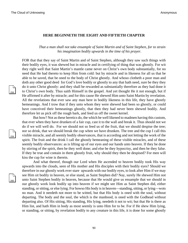#### **HERE BEGINNETH THE EIGHT AND FIFTIETH CHAPTER**

#### *That a man shall not take ensample of Saint Martin and of Saint Stephen, for to strain his imagination bodily upwards in the time of his prayer.*

FOR that that they say of Saint Martin and of Saint Stephen, although they saw such things with their bodily eyes, it was shewed but in miracle and in certifying of thing that was ghostly. For wit they right well that Saint Martin's mantle came never on Christ's own body substantially, for no need that He had thereto to keep Him from cold: but by miracle and in likeness for all us that be able to be saved, that be oned to the body of Christ ghostly. And whoso clotheth a poor man and doth any other good deed for God's love bodily or ghostly to any that hath need, sure be they they do it unto Christ ghostly: and they shall be rewarded as substantially therefore as they had done it to Christ's own body. Thus saith Himself in the gospel. And yet thought He it not enough, but if He affirmed it after by miracle; and for this cause He shewed Him unto Saint Martin by revelation. All the revelations that ever saw any man here in bodily likeness in this life, they have ghostly bemeanings. And I trow that if they unto whom they were shewed had been so ghostly, or could have conceived their bemeanings ghostly, that then they had never been shewed bodily. And therefore let us pick off the rough bark, and feed us off the sweet kernel.

But how? Not as these heretics do, the which be well likened to madmen having this custom, that ever when they have drunken of a fair cup, cast it to the wall and break it. Thus should not we do if we will well do. For we should not so feed us of the fruit, that we should despise the tree; nor so drink, that we should break the cup when we have drunken. The tree and the cup I call this visible miracle, and all seemly bodily observances, that is according and not letting the work of the spirit. The fruit and the drink I call the ghostly bemeaning of these visible miracles, and of these seemly bodily observances: as is lifting up of our eyes and our hands unto heaven. If they be done by stirring of the spirit, then be they well done; and else be they hypocrisy, and then be they false. If they be true and contain in them ghostly fruit, why should they then be despised? For men will kiss the cup for wine is therein.

And what thereof, though our Lord when He ascended to heaven bodily took His way upwards into the clouds, seen of His mother and His disciples with their bodily eyes? Should we therefore in our ghostly work ever stare upwards with our bodily eyes, to look after Him if we may see Him sit bodily in heaven, or else stand, as Saint Stephen did? Nay, surely He shewed Him not unto Saint Stephen bodily in heaven, because that He would give us ensample that we should in our ghostly work look bodily up into heaven if we might see Him as Saint Stephen did, either standing, or sitting, or else lying. For howso His body is in heaven—standing, sitting, or lying—wots no man. And it needeth not more to be witted, but that His body is oned with the soul, without departing. The body and the soul, the which is the manhood, is oned with the Godhead without departing also. Of His sitting, His standing, His lying, needeth it not to wit; but that He is there as Him list, and hath Him in body as most seemly is unto Him for to be. For if He shew Him lying, or standing, or sitting, by revelation bodily to any creature in this life, it is done for some ghostly





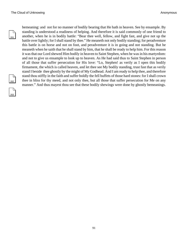

bemeaning: and not for no manner of bodily bearing that He hath in heaven. See by ensample. By standing is understood a readiness of helping. And therefore it is said commonly of one friend to another, when he is in bodily battle: "Bear thee well, fellow, and fight fast, and give not up the battle over lightly; for I shall stand by thee." He meaneth not only bodily standing; for peradventure this battle is on horse and not on foot, and peradventure it is in going and not standing. But he meaneth when he saith that he shall stand by him, that he shall be ready to help him. For this reason it was that our Lord shewed Him bodily in heaven to Saint Stephen, when he was in his martyrdom: and not to give us ensample to look up to heaven. As He had said thus to Saint Stephen in person of all those that suffer persecution for His love: "Lo, Stephen! as verily as I open this bodily firmament, the which is called heaven, and let thee see My bodily standing, trust fast that as verily stand I beside thee ghostly by the might of My Godhead. And I am ready to help thee, and therefore stand thou stiffly in the faith and suffer boldly the fell buffets of those hard stones: for I shall crown thee in bliss for thy meed, and not only thee, but all those that suffer persecution for Me on any manner." And thus mayest thou see that these bodily shewings were done by ghostly bemeanings.

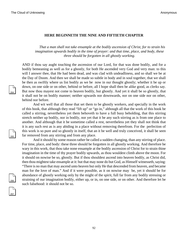# **HERE BEGINNETH THE NINE AND FIFTIETH CHAPTER**

*That a man shall not take ensample at the bodily ascension of Christ, for to strain his imagination upwards bodily in the time of prayer: and that time, place, and body, these three should be forgotten in all ghostly working.*

AND if thou say aught touching the ascension of our Lord, for that was done bodily, and for a bodily bemeaning as well as for a ghostly, for both He ascended very God and very man: to this will I answer thee, that He had been dead, and was clad with undeadliness, and so shall we be at the Day of Doom. And then we shall be made so subtle in body and in soul together, that we shall be then as swiftly where us list bodily as we be now in our thought ghostly; whether it be up or down, on one side or on other, behind or before, all I hope shall then be alike good, as clerks say. But now thou mayest not come to heaven bodily, but ghostly. And yet it shall be so ghostly, that it shall not be on bodily manner; neither upwards nor downwards, nor on one side nor on other, behind nor before.

And wit well that all those that set them to be ghostly workers, and specially in the work of this book, that although they read "lift up" or "go in," although all that the work of this book be called a stirring, nevertheless yet them behoveth to have a full busy beholding, that this stirring stretch neither up bodily, nor in bodily, nor yet that it be any such stirring as is from one place to another. And although that it be sometime called a rest, nevertheless yet they shall not think that it is any such rest as is any abiding in a place without removing therefrom. For the perfection of this work is so pure and so ghostly in itself, that an it be well and truly conceived, it shall be seen far removed from any stirring and from any place.

And it should by some reason rather be called a sudden changing, than any stirring of place. For time, place, and body: these three should be forgotten in all ghostly working. And therefore be wary in this work, that thou take none ensample at the bodily ascension of Christ for to strain thine imagination in the time of thy prayer bodily upwards, as thou wouldest climb above the moon. For it should on nowise be so, ghostly. But if thou shouldest ascend into heaven bodily, as Christ did, then thou mightest take ensample at it: but that may none do but God, as Himself witnesseth, saying: "There is no man that may ascend unto heaven but only He that descended from heaven, and became man for the love of man." And if it were possible, as it on nowise may be, yet it should be for abundance of ghostly working only by the might of the spirit, full far from any bodily stressing or straining of our imagination bodily, either up, or in, on one side, or on other. And therefore let be such falsehood: it should not be so.

92





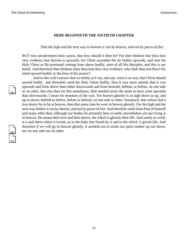# **HERE BEGINNETH THE SIXTIETH CHAPTER**

#### *That the high and the next way to heaven is run by desires, and not by paces of feet.*

BUT now peradventure thou sayest, that how should it then be? For thee thinkest that thou hast very evidence that heaven is upwards; for Christ ascended the air bodily upwards, and sent the Holy Ghost as He promised coming from above bodily, seen of all His disciples; and this is our belief. And therefore thee thinkest since thou hast thus very evidence, why shalt thou not direct thy mind upward bodily in the time of thy prayer?

And to this will I answer thee so feebly as I can, and say: since it so was, that Christ should ascend bodily and thereafter send the Holy Ghost bodily, then it was more seemly that it was upwards and from above than either downwards and from beneath, behind, or before, on one side or on other. But else than for this seemliness, Him needed never the more to have went upwards than downwards; I mean for nearness of the way. For heaven ghostly is as nigh down as up, and up as down: behind as before, before as behind, on one side as other. Insomuch, that whoso had a true desire for to be at heaven, then that same time he were in heaven ghostly. For the high and the next way thither is run by desires, and not by paces of feet. And therefore saith Saint Paul of himself and many other thus; although our bodies be presently here in earth, nevertheless yet our living is in heaven. He meant their love and their desire, the which is ghostly their life. And surely as verily is a soul there where it loveth, as in the body that Doeth by it and to the which it giveth life. And therefore if we will go to heaven ghostly, it needeth not to strain our spirit neither up nor down, nor on one side nor on other.



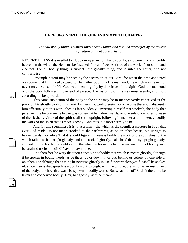## **HERE BEGINNETH THE ONE AND SIXTIETH CHAPTER**

#### *That all bodily thing is subject unto ghostly thing, and is ruled thereafter by the course of nature and not contrariwise.*

NEVERTHELESS it is needful to lift up our eyes and our hands bodily, as it were unto yon bodily heaven, in the which the elements be fastened. I mean if we be stirred of the work of our spirit, and else not. For all bodily thing is subject unto ghostly thing, and is ruled thereafter, and not contrariwise.

Ensample hereof may be seen by the ascension of our Lord: for when the time appointed was come, that Him liked to wend to His Father bodily in His manhood, the which was never nor never may be absent in His Godhead, then mightily by the virtue of the Spirit God, the manhood with the body followed in onehead of person. The visibility of this was most seemly, and most according, to be upward.

This same subjection of the body to the spirit may be in manner verily conceived in the proof of this ghostly work of this book, by them that work therein. For what time that a soul disposeth him effectually to this work, then as fast suddenly, unwitting himself that worketh, the body that peradventure before ere he began was somewhat bent downwards, on one side or on other for ease of the flesh, by virtue of the spirit shall set it upright: following in manner and in likeness bodily the work of the spirit that is made ghostly. And thus it is most seemly to be.

And for this seemliness it is, that a man—the which is the seemliest creature in body that ever God made—is not made crooked to the earthwards, as be an other beasts, but upright to heavenwards. For why? That it should figure in likeness bodily the work of the soul ghostly; the which falleth to be upright ghostly, and not crooked ghostly. Take heed that I say upright ghostly, and not bodily. For how should a soul, the which in his nature hath no manner thing of bodilyness, be strained upright bodily? Nay, it may not be.

And therefore be wary that thou conceive not bodily that which is meant ghostly, although it be spoken in bodily words, as be these, up or down, in or out, behind or before, on one side or on other. For although that a thing be never so ghostly in itself, nevertheless yet if it shall be spoken of, since it so is that speech is a bodily work wrought with the tongue, the which is an instrument of the body, it behoveth always be spoken in bodily words. But what thereof? Shall it therefore be taken and conceived bodily? Nay, but ghostly, as it be meant.

# 271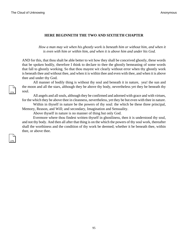# **HERE BEGINNETH THE TWO AND SIXTIETH CHAPTER**

*How a man may wit when his ghostly work is beneath him or without him, and when it is even with him or within him, and when it is above him and under his God.*

AND for this, that thou shalt be able better to wit how they shall be conceived ghostly, these words that be spoken bodily, therefore I think to declare to thee the ghostly bemeaning of some words that fall to ghostly working. So that thou mayest wit clearly without error when thy ghostly work is beneath thee and without thee, and when it is within thee and even with thee, and when it is above thee and under thy God.

All manner of bodily thing is without thy soul and beneath it in nature, yea! the sun and the moon and all the stars, although they be above thy body, nevertheless yet they be beneath thy soul.

All angels and all souls, although they be confirmed and adorned with grace and with virtues, for the which they be above thee in cleanness, nevertheless, yet they be but even with thee in nature.

Within in thyself in nature be the powers of thy soul: the which be these three principal, Memory, Reason, and Will; and secondary, Imagination and Sensuality.

Above thyself in nature is no manner of thing but only God.

Evermore where thou findest written thyself in ghostliness, then it is understood thy soul, and not thy body. And then all after that thing is on the which the powers of thy soul work, thereafter shall the worthiness and the condition of thy work be deemed; whether it be beneath thee, within thee, or above thee.

275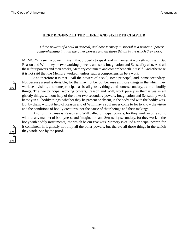# **HERE BEGINNETH THE THREE AND SIXTIETH CHAPTER**

*Of the powers of a soul in general, and how Memory in special is a principal power, comprehending in it all the other powers and all those things in the which they work.*

MEMORY is such a power in itself, that properly to speak and in manner, it worketh not itself. But Reason and Will, they be two working powers, and so is Imagination and Sensuality also. And all these four powers and their works, Memory containeth and comprehendeth in itself. And otherwise it is not said that the Memory worketh, unless such a comprehension be a work.

And therefore it is that I call the powers of a soul, some principal, and some secondary. Not because a soul is divisible, for that may not be: but because all those things in the which they work be divisible, and some principal, as be all ghostly things, and some secondary, as be all bodily things. The two principal working powers, Reason and Will, work purely in themselves in all ghostly things, without help of the other two secondary powers. Imagination and Sensuality work beastly in all bodily things, whether they be present or absent, in the body and with the bodily wits. But by them, without help of Reason and of Will, may a soul never come to for to know the virtue and the conditions of bodily creatures, nor the cause of their beings and their makings.

And for this cause is Reason and Will called principal powers, for they work in pure spirit without any manner of bodilyness: and Imagination and Sensuality secondary, for they work in the body with bodily instruments, the which be our five wits. Memory is called a principal power, for it containeth in it ghostly not only all the other powers, but thereto all those things in the which they work. See by the proof.

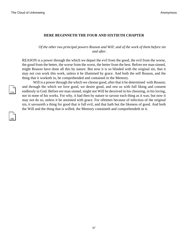# **HERE BEGINNETH THE FOUR AND SIXTIETH CHAPTER**

# *Of the other two principal powers Reason and Will; and of the work of them before sin and after.*

REASON is a power through the which we depart the evil from the good, the evil from the worse, the good from the better, the worse from the worst, the better from the best. Before ere man sinned, might Reason have done all this by nature. But now it is so blinded with the original sin, that it may not con work this work, unless it be illumined by grace. And both the self Reason, and the thing that it worketh in, be comprehended and contained in the Memory.



Will is a power through the which we choose good, after that it be determined with Reason; and through the which we love good, we desire good, and rest us with full liking and consent endlessly in God. Before ere man sinned, might not Will be deceived in his choosing, in his loving, nor in none of his works. For why, it had then by nature to savour each thing as it was; but now it may not do so, unless it be anointed with grace. For ofttimes because of infection of the original sin, it savoureth a thing for good that is full evil, and that hath but the likeness of good. And both the Will and the thing that is willed, the Memory containeth and comprehendeth in it.

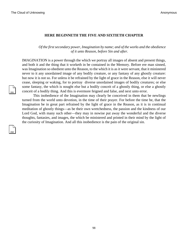# **HERE BEGINNETH THE FIVE AND SIXTIETH CHAPTER**

# *Of the first secondary power, Imagination by name; and of the works and the obedience of it unto Reason, before Sin and after.*

IMAGINATION is a power through the which we portray all images of absent and present things, and both it and the thing that it worketh in be contained in the Memory. Before ere man sinned, was Imagination so obedient unto the Reason, to the which it is as it were servant, that it ministered never to it any unordained image of any bodily creature, or any fantasy of any ghostly creature: but now it is not so. For unless it be refrained by the light of grace in the Reason, else it will never cease, sleeping or waking, for to portray diverse unordained images of bodily creatures; or else some fantasy, the which is nought else but a bodily conceit of a ghostly thing, or else a ghostly conceit of a bodily thing. And this is evermore feigned and false, and next unto error.

This inobedience of the Imagination may clearly be conceived in them that be newlings turned from the world unto devotion, in the time of their prayer. For before the time be, that the Imagination be in great part refrained by the light of grace in the Reason, as it is in continual meditation of ghostly things—as be their own wretchedness, the passion and the kindness of our Lord God, with many such other—they may in nowise put away the wonderful and the diverse thoughts, fantasies, and images, the which be ministered and printed in their mind by the light of the curiosity of Imagination. And all this inobedience is the pain of the original sin.



281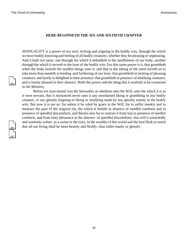The Cloud of Unknowing Anonymous and the Cloud of Unknowing Anonymous Anonymous Anonymous Anonymous Anonymous

# **HERE BEGINNETH THE SIX AND SIXTIETH CHAPTER**

SENSUALITY is a power of our soul, recking and reigning in the bodily wits, through the which we have bodily knowing and feeling of all bodily creatures, whether they be pleasing or unpleasing. And it hath two parts: one through the which it beholdeth to the needfulness of our body, another through the which it serveth to the lusts of the bodily wits. For this same power is it, that grumbleth when the body lacketh the needful things unto it, and that in the taking of the need stirreth us to take more than needeth in feeding and furthering of our lusts: that grumbleth in lacking of pleasing creatures, and lustily is delighted in their presence: that grumbleth in presence of misliking creatures, and is lustily pleased in their absence. Both this power and the thing that it worketh in be contained in the Memory.

Before ere man sinned was the Sensuality so obedient unto the Will, unto the which it is as it were servant, that it ministered never unto it any unordained liking or grumbling in any bodily creature, or any ghostly feigning of liking or misliking made by any ghostly enemy in the bodily wits. But now it is not so: for unless it be ruled by grace in the Will, for to suffer meekly and in measure the pain of the original sin, the which it feeleth in absence of needful comforts and in presence of speedful discomforts, and thereto also for to restrain it from lust in presence of needful comforts, and from lusty plesaunce in the absence of speedful discomforts: else will it wretchedly and wantonly welter, as a swine in the mire, in the wealths of this world and the foul flesh so much that all our living shall be more beastly and fleshly, than either manly or ghostly.

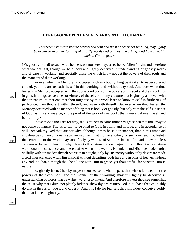#### **HERE BEGINNETH THE SEVEN AND SIXTIETH CHAPTER**

*That whoso knoweth not the powers of a soul and the manner of her working, may lightly be deceived in understanding of ghostly words and of ghostly working; and how a soul is made a God in grace.*

LO, ghostly friend! to such wretchedness as thou here may est see be we fallen for sin: and therefore what wonder is it, though we be blindly and lightly deceived in understanding of ghostly words and of ghostly working, and specially those the which know not yet the powers of their souls and the manners of their working?

For ever when the Memory is occupied with any bodily thing be it taken to never so good an end, yet thou art beneath thyself in this working, and without any soul. And ever when thou feelest thy Memory occupied with the subtle conditions of the powers of thy soul and their workings in ghostly things, as be vices or virtues, of thyself, or of any creature that is ghostly and even with thee in nature, to that end that thou mightest by this work learn to know thyself in furthering of perfection: then thou art within thyself, and even with thyself. But ever when thou feelest thy Memory occupied with no manner of thing that is bodily or ghostly, but only with the self substance of God, as it is and may be, in the proof of the work of this book: then thou art above thyself and beneath thy God.

Above thyself thou art: for why, thou attainest to come thither by grace, whither thou mayest not come by nature. That is to say, to be oned to God, in spirit, and in love, and in accordance of will. Beneath thy God thou art: for why, although it may be said in manner, that in this time God and thou be not two but one in spirit—insomuch that thou or another, for such onehead that feeleth the perfection of this work, may soothfastly by witness of Scripture be called a God—nevertheless yet thou art beneath Him. For why, He is God by nature without beginning; and thou, that sometime wert nought in substance, and thereto after when thou wert by His might and His love made ought, wilfully with sin madest thyself worse than nought, only by His mercy without thy desert are made a God in grace, oned with Him in spirit without departing, both here and in bliss of heaven without any end. So that, although thou be all one with Him in grace, yet thou art full far beneath Him in nature.

Lo, ghostly friend! hereby mayest thou see somewhat in part, that whoso knoweth not the powers of their own soul, and the manner of their working, may full lightly be deceived in understanding of words that be written to ghostly intent. And therefore mayest thou see somewhat the cause why that I durst not plainly bid thee shew thy desire unto God, but I bade thee childishly do that in thee is to hide it and cover it. And this I do for fear lest thou shouldest conceive bodily that that is meant ghostly.







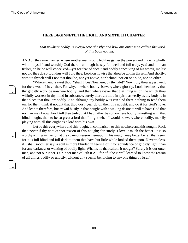#### **HERE BEGINNETH THE EIGHT AND SIXTIETH CHAPTER**

## *That nowhere bodily, is everywhere ghostly; and how our outer man calleth the word of this book nought.*

AND on the same manner, where another man would bid thee gather thy powers and thy wits wholly within thyself, and worship God there—although he say full well and full truly, yea! and no man trulier, an he be well conceived—yet for fear of deceit and bodily conceiving of his words, me list not bid thee do so. But thus will I bid thee. Look on nowise that thou be within thyself. And shortly, without thyself will I not that thou be, nor yet above, nor behind, nor on one side, nor on other.

"Where then," sayest thou, "shall I be? Nowhere, by thy tale!" Now truly thou sayest well; for there would I have thee. For why, nowhere bodily, is everywhere ghostly. Look then busily that thy ghostly work be nowhere bodily; and then wheresoever that that thing is, on the which thou wilfully workest in thy mind in substance, surely there art thou in spirit, as verily as thy body is in that place that thou art bodily. And although thy bodily wits can find there nothing to feed them on, for them think it nought that thou dost, yea! do on then this nought, and do it for God's love. And let not therefore, but travail busily in that nought with a waking desire to will to have God that no man may know. For I tell thee truly, that I had rather be so nowhere bodily, wrestling with that blind nought, than to be so great a lord that I might when I would be everywhere bodily, merrily playing with all this ought as a lord with his own.

Let be this everywhere and this ought, in comparison or this nowhere and this nought. Reck thee never if thy wits cannot reason of this nought; for surely, I love it much the better. It is so worthy a thing in itself, that they cannot reason thereupon. This nought may better be felt than seen: for it is full blind and full dark to them that have but little while looked thereupon. Nevertheless, if I shall soothlier say, a soul is more blinded in feeling of it for abundance of ghostly light, than for any darkness or wanting of bodily light. What is he that calleth it nought? Surely it is our outer man, and not our inner. Our inner man calleth it All; for of it he is well learned to know the reason of all things bodily or ghostly, without any special beholding to any one thing by itself.



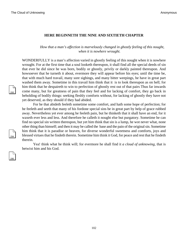## **HERE BEGINNETH THE NINE AND SIXTIETH CHAPTER**

#### *How that a man's affection is marvelously changed in ghostly feeling of this nought, when it is nowhere wrought.*

WONDERFULLY is a man's affection varied in ghostly feeling of this nought when it is nowhere wrought. For at the first time that a soul looketh thereupon, it shall find all the special deeds of sin that ever he did since he was born, bodily or ghostly, privily or darkly painted thereupon. And howsoever that he turneth it about, evermore they will appear before his eyes; until the time be, that with much hard travail, many sore sighings, and many bitter weepings, he have in great part washed them away. Sometime in this travail him think that it is to look thereupon as on hell; for him think that he despaireth to win to perfection of ghostly rest out of that pairs Thus far inwards come many, but for greatness of pain that they feel and for lacking of comfort, they go back in beholding of bodily things: seeking fleshly comforts without, for lacking of ghostly they have not yet deserved, as they should if they had abided.

<span id="page-108-1"></span>For he that abideth feeleth sometime some comfort, and hath some hope of perfection; for he feeleth and seeth that many of his fordone special sins be in great part by help of grace rubbed away. Nevertheless yet ever among he feeleth pain, but he thinketh that it shall have an end, for it waxeth ever less and less. And therefore he calleth it nought else but purgatory. Sometime he can find no special sin written thereupon, but yet him think that sin is a lump, he wot never what, none other thing than himself; and then it may be called the base and the pain of the original sin. Sometime him think that it is paradise or heaven, for diverse wonderful sweetness and comforts, joys and blessed virtues that he findeth therein. Sometime him think it God, for peace and rest that he findeth therein.

<span id="page-108-2"></span>Yea! think what he think will; for evermore he shall find it *a cloud of unknowing,* that is betwixt him and his God.

<span id="page-108-0"></span>



295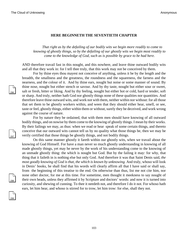#### **HERE BEGINNETH THE SEVENTIETH CHAPTER**

*That right as by the defailing of our bodily wits we begin more readily to come to knowing of ghostly things, so by the defailing of our ghostly wits we begin most readily to come to the knowledge of God, such as is possible by grace to be had here.*

AND therefore travail fast in this nought, and this nowhere, and leave thine outward bodily wits and all that they work in: for I tell thee truly, that this work may not be conceived by them.

<span id="page-109-0"></span>For by thine eyes thou mayest not conceive of anything, unless it be by the length and the breadth, the smallness and the greatness, the roundness and the squareness, the farness and the nearness, and the colour of it. And by thine ears, nought but noise or some manner of sound. By thine nose, nought but either stench or savour. And by thy taste, nought but either sour or sweet, salt or fresh, bitter or liking. And by thy feeling, nought but either hot or cold, hard or tender, soft or sharp. And truly, neither hath God nor ghostly things none of these qualities nor quantities. And therefore leave thine outward wits, and work not with them, neither within nor without: for all those that set them to be ghostly workers within, and ween that they should either hear, smell, or see, taste or feel, ghostly things, either within them or without, surely they be deceived, and work wrong against the course of nature.

<span id="page-109-1"></span>For by nature they be ordained, that with them men should have knowing of all outward bodily things, and on nowise by them come to the knowing of ghostly things. I mean by their works. By their failings we may, as thus: when we read or hear speak of some certain things, and thereto conceive that our outward wits cannot tell us by no quality what those things be, then we may be verily certified that those things be ghostly things, and not bodily things.

<span id="page-109-2"></span>On this same manner ghostly it fareth within our ghostly wits, when we travail about the knowing of God Himself. For have a man never so much ghostly understanding in knowing of all made ghostly things, yet may he never by the work of his understanding come to the knowing of an unmade ghostly thing: the which is nought but God. But by the failing it may: for why, that thing that it faileth in is nothing else but only God. And therefore it was that Saint Denis said, *the most goodly knowing of God is that, the which is known by unknowing.* And truly, whoso will look in Denis' books, he shall find that his words will clearly affirm all that I have said or shall say, from the beginning of this treatise to the end. On otherwise than thus, list me not cite him, nor none other doctor, for me at this time. For sometime, men thought it meekness to say nought of their own heads, unless they affirmed it by Scripture and doctors' words: and now it is turned into curiosity, and shewing of cunning. To thee it needeth not, and therefore I do it not. For whoso hath ears, let him hear, and whoso is stirred for to trow, let him trow: for else, shall they not.





<span id="page-109-3"></span>

299

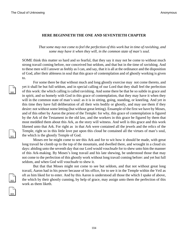## **HERE BEGINNETH THE ONE AND SEVENTIETH CHAPTER**

#### *That some may not come to feel the perfection of this work but in time of ravishing, and some may have it when they will, in the common state of man's soul.*

SOME think this matter so hard and so fearful, that they say it may not be come to without much strong travail coming before, nor conceived but seldom, and that but in the time of ravishing. And to these men will I answer as feebly as I can, and say, that it is all at the ordinance and the disposition of God, after their ableness in soul that this grace of contemplation and of ghostly working is given to.

<span id="page-110-0"></span>For some there be that without much and long ghostly exercise may not come thereto, and yet it shall be but full seldom, and in special calling of our Lord that they shall feel the perfection of this work: the which calling is called ravishing. And some there be that be so subtle in grace and in spirit, and so homely with God in this grace of contemplation, that they may have it when they will in the common state of man's soul: as it is in sitting, going, standing, or kneeling. And yet in this time they have full deliberation of all their wits bodily or ghostly, and may use them if they desire: not without some letting (but without great letting). Ensample of the first we have by Moses, and of this other by Aaron the priest of the Temple: for why, this grace of contemplation is figured by the Ark of the Testament in the old law, and the workers in this grace be figured by them that most meddled them about this Ark, as the story will witness. And well is this grace and this work likened unto that Ark. For right as in that Ark were contained all the jewels and the relics of the Temple, right so in this little love put upon this cloud be contained all the virtues of man's soul, the which is the ghostly Temple of God.

Moses ere he might come to see this Ark and for to wit how it should be made, with great long travail he clomb up to the top of the mountain, and dwelled there, and wrought in a cloud six days: abiding unto the seventh day that our Lord would vouchsafe for to shew unto him the manner of this Ark-making. By Moses's long travail and his late shewing, be understood those that may not come to the perfection of this ghostly work without long travail coming before: and yet but full seldom, and when God will vouchsafe to shew it.

<span id="page-110-3"></span><span id="page-110-2"></span>But that that Moses might not come to see but seldom, and that not without great long travail, Aaron had in his power because of his office, for to see it in the Temple within the Veil as oft as him liked for to enter. And by this Aaron is understood all those the which I spake of above, the which by their ghostly cunning, by help of grace, may assign unto them the perfection of this work as them liketh.

<span id="page-110-1"></span>



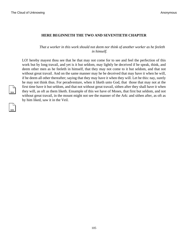## **HERE BEGINNETH THE TWO AND SEVENTIETH CHAPTER**

## *That a worker in this work should not deem nor think of another worker as he feeleth in himself.*

LO! hereby mayest thou see that he that may not come for to see and feel the perfection of this work but by long travail, and yet is it but seldom, may lightly be deceived if he speak, think, and deem other men as he feeleth in himself, that they may not come to it but seldom, and that not without great travail. And on the same manner may he be deceived that may have it when he will, if he deem all other thereafter; saying that they may have it when they will. Let be this: nay, surely he may not think thus. For peradventure, when it liketh unto God, that those that may not at the first time have it but seldom, and that not without great travail, sithen after they shall have it when they will, as oft as them liketh. Ensample of this we have of Moses, that first but seldom, and not without great travail, in the mount might not see the manner of the Ark: and sithen after, as oft as by him liked, saw it in the Veil.

<span id="page-111-1"></span><span id="page-111-0"></span>

| 15<br>з |  |
|---------|--|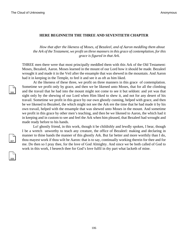#### **HERE BEGINNETH THE THREE AND SEVENTIETH CHAPTER**

*How that after the likeness of Moses, of Bezaleel, and of Aaron meddling them about the Ark of the Testament, we profit on three manners in this grace of contemplation, for this grace is figured in that Ark.*

THREE men there were that most principally meddled them with this Ark of the Old Testament: Moses, Bezaleel, Aaron. Moses learned in the mount of our Lord how it should be made. Bezaleel wrought it and made it in the Veil after the ensample that was shewed in the mountain. And Aaron had it in keeping in the Temple, to feel it and see it as oft as him liked.

<span id="page-112-0"></span>At the likeness of these three, we profit on three manners in this grace of contemplation. Sometime we profit only by grace, and then we be likened unto Moses, that for all the climbing and the travail that he had into the mount might not come to see it but seldom: and yet was that sight only by the shewing of our Lord when Him liked to shew it, and not for any desert of his travail. Sometime we profit in this grace by our own ghostly cunning, helped with grace, and then be we likened to Bezaleel, the which might not see the Ark ere the time that he had made it by his own travail, helped with the ensample that was shewed unto Moses in the mount. And sometime we profit in this grace by other men's teaching, and then be we likened to Aaron, the which had it in keeping and in custom to see and feel the Ark when him pleased, that Bezaleel had wrought and made ready before to his hands.

<span id="page-112-1"></span>Lo! ghostly friend, in this work, though it be childishly and lewdly spoken, I bear, though I be a wretch unworthy to teach any creature, the office of Bezaleel: making and declaring in manner to thine hands the manner of this ghostly Ark. But far better and more worthily than I do, thou mayest work if thou wilt be Aaron: that is to say, continually working therein for thee and for me. Do then so I pray thee, for the love of God Almighty. And since we be both called of God to work in this work, I beseech thee for God's love fulfil in thy part what lacketh of mine.



<span id="page-112-2"></span>

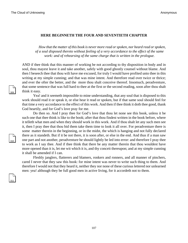### **HERE BEGINNETH THE FOUR AND SEVENTIETH CHAPTER**

*How that the matter of this book is never more read or spoken, nor heard read or spoken, of a soul disposed thereto without feeling of a very accordance to the effect of the same work: and of rehearsing of the same charge that is written in the prologue.*

<span id="page-113-0"></span>AND if thee think that this manner of working be not according to thy disposition in body and in soul, thou mayest leave it and take another, safely with good ghostly counsel without blame. And then I beseech thee that thou wilt have me excused, for truly I would have profited unto thee in this writing at my simple cunning; and that was mine intent. And therefore read over twice or thrice; and ever the ofter the better, and the more thou shalt conceive thereof. Insomuch, peradventure, that some sentence that was full hard to thee at the first or the second reading, soon after thou shalt think it easy.

Yea! and it seemeth impossible to mine understanding, that any soul that is disposed to this work should read it or speak it, or else hear it read or spoken, but if that same soul should feel for that time a very accordance to the effect of this work. And then if thee think it doth thee good, thank God heartily, and for God's love pray for me.

<span id="page-113-1"></span>Do then so. And I pray thee for God's love that thou let none see this book, unless it be such one that thee think is like to the book; after that thou findest written in the book before, where it telleth what men and when they should work in this work. And if thou shalt let any such men see it, then I pray thee that thou bid them take them time to look it all over. For peradventure there is some matter therein in the beginning, or in the midst, the which is hanging and not fully declared there as it standeth. But if it be not there, it is soon after, or else in the end. And thus if a man saw one part and not another, peradventure he should lightly be led into error: and therefore I pray thee to work as I say thee. And if thee think that there be any matter therein that thou wouldest have more opened than it is, let me wit which it is, and thy conceit thereupon; and at my simple cunning it shall be amended if I can.

<span id="page-113-2"></span>Fleshly janglers, flatterers and blamers, ronkers and ronners, and all manner of pinchers, cared I never that they saw this book: for mine intent was never to write such thing to them. And therefore I would not that they heard it, neither they nor none of these curious lettered nor unlearned men: yea! although they be full good men in active living, for it accordeth not to them.



311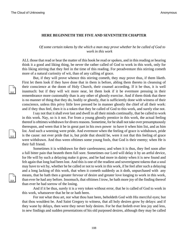#### **HERE BEGINNETH THE FIVE AND SEVENTIETH CHAPTER**

#### *Of some certain tokens by the which a man may prove whether he be called of God to work in this work*

ALL those that read or hear the matter of this book be read or spoken, and in this reading or hearing think it a good and liking thing, be never the rather called of God to work in this work, only for this liking stirring that they feel in the time of this reading. For peradventure this stirring cometh more of a natural curiosity of wit, than of any calling of grace.

<span id="page-114-0"></span>But, if they will prove whence this stirring cometh, they may prove thus, if them liketh. First let them look if they have done that in them is before, abling them thereto in cleansing of their conscience at the doom of Holy Church, their counsel according. If it be thus, it is well inasmuch: but if they will wit more near, let them look if it be evermore pressing in their remembrance more customably than is any other of ghostly exercise. And if them think that there is no manner of thing that they do, bodily or ghostly, that is sufficiently done with witness of their conscience, unless this privy little love pressed be in manner ghostly the chief of all their work: and if they thus feel, then it is a token that they be called of God to this work, and surely else not.

<span id="page-114-1"></span>I say not that it shall ever last and dwell in all their minds continually, that be called to work in this work. Nay, so is it not. For from a young ghostly prentice in this work, the actual feeling thereof is ofttimes withdrawn for divers reasons. Sometime, for he shall not take over presumptuously thereupon, and ween that it be in great part in his own power to have it when him list, and as him list. And such a weening were pride. And evermore when the feeling of grace is withdrawn, pride is the cause: not ever pride that is, but pride that should be, were it not that this feeling of grace were withdrawn. And thus ween ofttimes some young fools, that God is their enemy; when He is their full friend.

<span id="page-114-2"></span>Sometimes it is withdrawn for their carelessness; and when it is thus, they feel soon after a full bitter pain that beateth them full sore. Sometimes our Lord will delay it by an artful device, for He will by such a delaying make it grow, and be had more in dainty when it is new found and felt again that long had been lost. And this is one of the readiest and sovereignest tokens that a soul may have to wit by, whether he be called or not to work in this work, if he feel after such a delaying and a long lacking of this work, that when it cometh suddenly as it doth, unpurchased with any means, that he hath then a greater fervour of desire and greater love longing to work in this work, than ever he had any before. Insomuch, that ofttimes I trow, he hath more joy of the finding thereof than ever he had sorrow of the losing.

And if it be thus, surely it is a very token without error, that he is called of God to work in this work, whatsoever that he be or hath been.

For not what thou art, nor what thou hast been, beholdeth God with His merciful eyes; but that thou wouldest be. And Saint Gregory to witness, that all holy desires grow by delays: and if they wane by delays, then were they never holy desires. For he that feeleth ever less joy and less, in new findings and sudden presentations of his old purposed desires, although they may be called





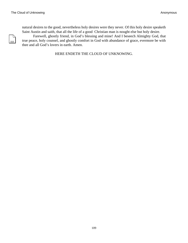315

natural desires to the good, nevertheless holy desires were they never. Of this holy desire speaketh Saint Austin and saith, that all the life of a good Christian man is nought else but holy desire.

<span id="page-115-0"></span>Farewell, ghostly friend, in God's blessing and mine! And I beseech Almighty God, that true peace, holy counsel, and ghostly comfort in God with abundance of grace, evermore be with thee and all God's lovers in earth. Amen.

HERE ENDETH THE CLOUD OF UNKNOWING.